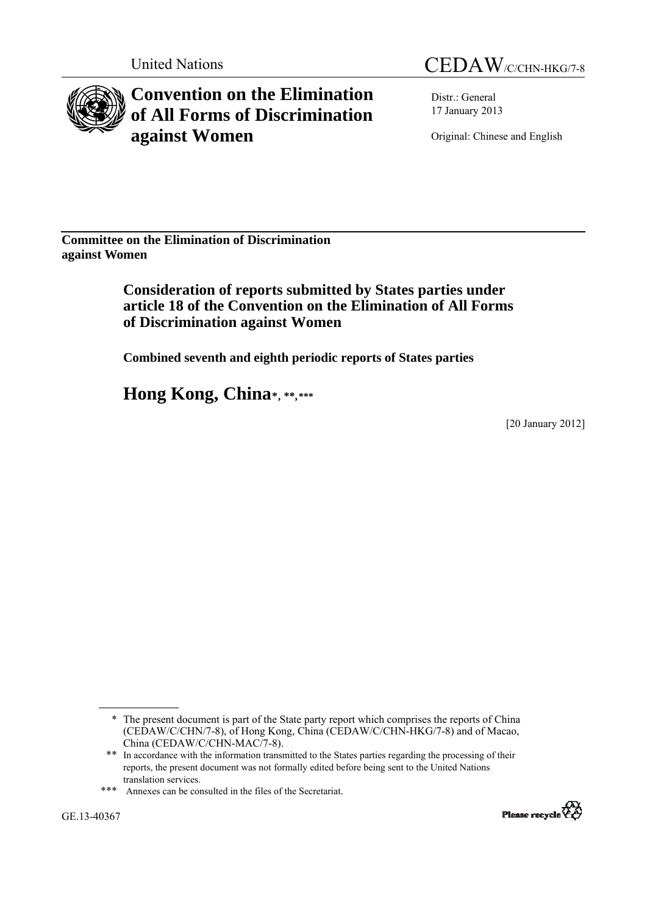



**Convention on the Elimination of All Forms of Discrimination against Women** 

Distr.: General 17 January 2013

Original: Chinese and English

**Committee on the Elimination of Discrimination against Women** 

## **Consideration of reports submitted by States parties under article 18 of the Convention on the Elimination of All Forms of Discrimination against Women**

 **Combined seventh and eighth periodic reports of States parties** 

 **Hong Kong, China**\*, \*\*,\*\*\*

[20 January 2012]



<sup>\*</sup> The present document is part of the State party report which comprises the reports of China (CEDAW/C/CHN/7-8), of Hong Kong, China (CEDAW/C/CHN-HKG/7-8) and of Macao, China (CEDAW/C/CHN-MAC/7-8).

<sup>\*\*</sup> In accordance with the information transmitted to the States parties regarding the processing of their reports, the present document was not formally edited before being sent to the United Nations translation services.

<sup>\*\*\*</sup> Annexes can be consulted in the files of the Secretariat.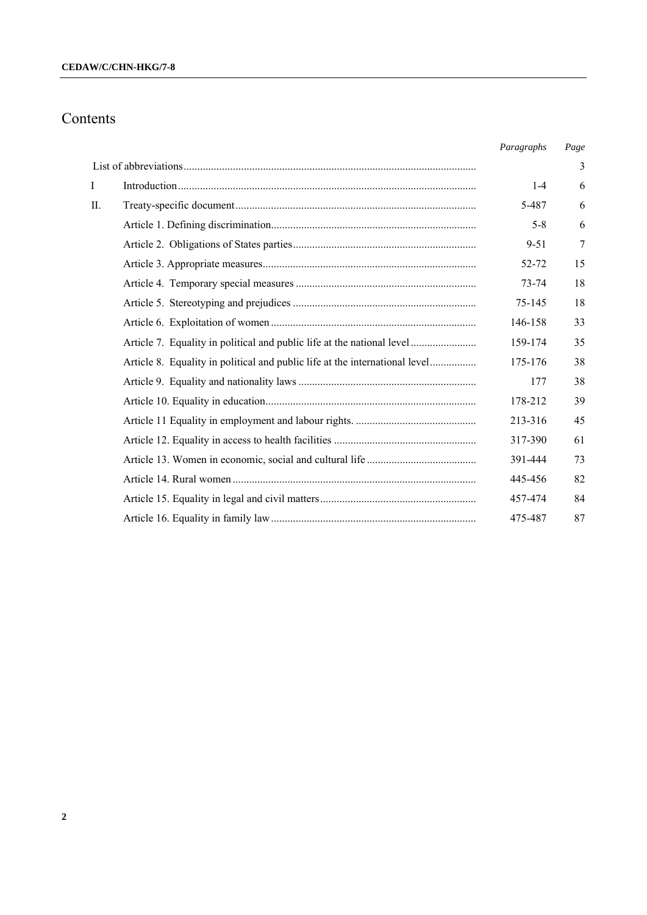# Contents

|              |                                                                             | Paragraphs | Page |
|--------------|-----------------------------------------------------------------------------|------------|------|
|              |                                                                             |            | 3    |
| $\mathbf{I}$ |                                                                             | $1 - 4$    | 6    |
| II.          |                                                                             | 5-487      | 6    |
|              |                                                                             | $5 - 8$    | 6    |
|              |                                                                             | 9-51       | 7    |
|              |                                                                             | 52-72      | 15   |
|              |                                                                             | 73-74      | 18   |
|              |                                                                             | 75-145     | 18   |
|              |                                                                             | 146-158    | 33   |
|              | Article 7. Equality in political and public life at the national level      | 159-174    | 35   |
|              | Article 8. Equality in political and public life at the international level | 175-176    | 38   |
|              |                                                                             | 177        | 38   |
|              |                                                                             | 178-212    | 39   |
|              |                                                                             | 213-316    | 45   |
|              |                                                                             | 317-390    | 61   |
|              |                                                                             | 391-444    | 73   |
|              |                                                                             | 445-456    | 82   |
|              |                                                                             | 457-474    | 84   |
|              |                                                                             | 475-487    | 87   |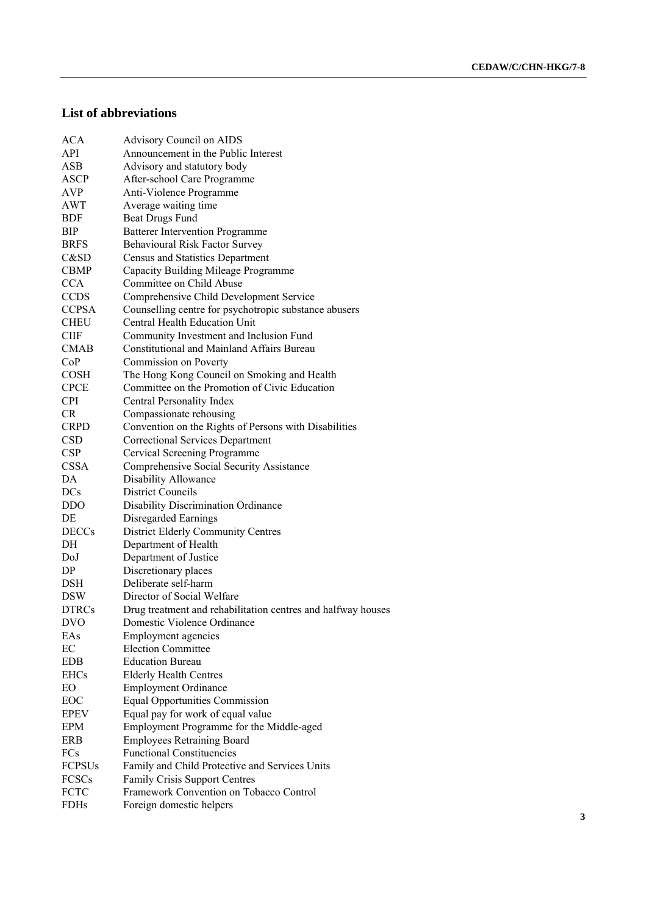## **List of abbreviations**

| <b>ACA</b>    | <b>Advisory Council on AIDS</b>                                                              |
|---------------|----------------------------------------------------------------------------------------------|
| <b>API</b>    | Announcement in the Public Interest                                                          |
| <b>ASB</b>    | Advisory and statutory body                                                                  |
| ASCP          | After-school Care Programme                                                                  |
| AVP           | Anti-Violence Programme                                                                      |
| AWT           | Average waiting time                                                                         |
| BDF           | <b>Beat Drugs Fund</b>                                                                       |
| <b>BIP</b>    | <b>Batterer Intervention Programme</b>                                                       |
| <b>BRFS</b>   | Behavioural Risk Factor Survey                                                               |
| C&SD          | Census and Statistics Department                                                             |
| <b>CBMP</b>   | Capacity Building Mileage Programme                                                          |
| <b>CCA</b>    | Committee on Child Abuse                                                                     |
| <b>CCDS</b>   | Comprehensive Child Development Service                                                      |
| <b>CCPSA</b>  | Counselling centre for psychotropic substance abusers                                        |
| <b>CHEU</b>   | Central Health Education Unit                                                                |
| <b>CIIF</b>   |                                                                                              |
| <b>CMAB</b>   | Community Investment and Inclusion Fund<br><b>Constitutional and Mainland Affairs Bureau</b> |
|               |                                                                                              |
| CoP           | Commission on Poverty                                                                        |
| <b>COSH</b>   | The Hong Kong Council on Smoking and Health                                                  |
| <b>CPCE</b>   | Committee on the Promotion of Civic Education                                                |
| <b>CPI</b>    | Central Personality Index                                                                    |
| <b>CR</b>     | Compassionate rehousing                                                                      |
| <b>CRPD</b>   | Convention on the Rights of Persons with Disabilities                                        |
| <b>CSD</b>    | <b>Correctional Services Department</b>                                                      |
| <b>CSP</b>    | Cervical Screening Programme                                                                 |
| <b>CSSA</b>   | Comprehensive Social Security Assistance                                                     |
| DA            | Disability Allowance                                                                         |
| <b>DCs</b>    | <b>District Councils</b>                                                                     |
| <b>DDO</b>    | Disability Discrimination Ordinance                                                          |
| DE            | Disregarded Earnings                                                                         |
| <b>DECCs</b>  | District Elderly Community Centres                                                           |
| DH            | Department of Health                                                                         |
| DoJ           | Department of Justice                                                                        |
| DP            | Discretionary places                                                                         |
| DSH           | Deliberate self-harm                                                                         |
| <b>DSW</b>    | Director of Social Welfare                                                                   |
| <b>DTRCs</b>  | Drug treatment and rehabilitation centres and halfway houses                                 |
| <b>DVO</b>    | Domestic Violence Ordinance                                                                  |
| EAs           | <b>Employment</b> agencies                                                                   |
| EC            | <b>Election Committee</b>                                                                    |
| <b>EDB</b>    | <b>Education Bureau</b>                                                                      |
| <b>EHCs</b>   | <b>Elderly Health Centres</b>                                                                |
| EO            | <b>Employment Ordinance</b>                                                                  |
| EOC           | <b>Equal Opportunities Commission</b>                                                        |
| <b>EPEV</b>   | Equal pay for work of equal value                                                            |
| <b>EPM</b>    | Employment Programme for the Middle-aged                                                     |
| <b>ERB</b>    | <b>Employees Retraining Board</b>                                                            |
| FCs           | <b>Functional Constituencies</b>                                                             |
| <b>FCPSUs</b> | Family and Child Protective and Services Units                                               |
| FCSCs         | Family Crisis Support Centres                                                                |
| <b>FCTC</b>   | Framework Convention on Tobacco Control                                                      |
| <b>FDHs</b>   | Foreign domestic helpers                                                                     |
|               |                                                                                              |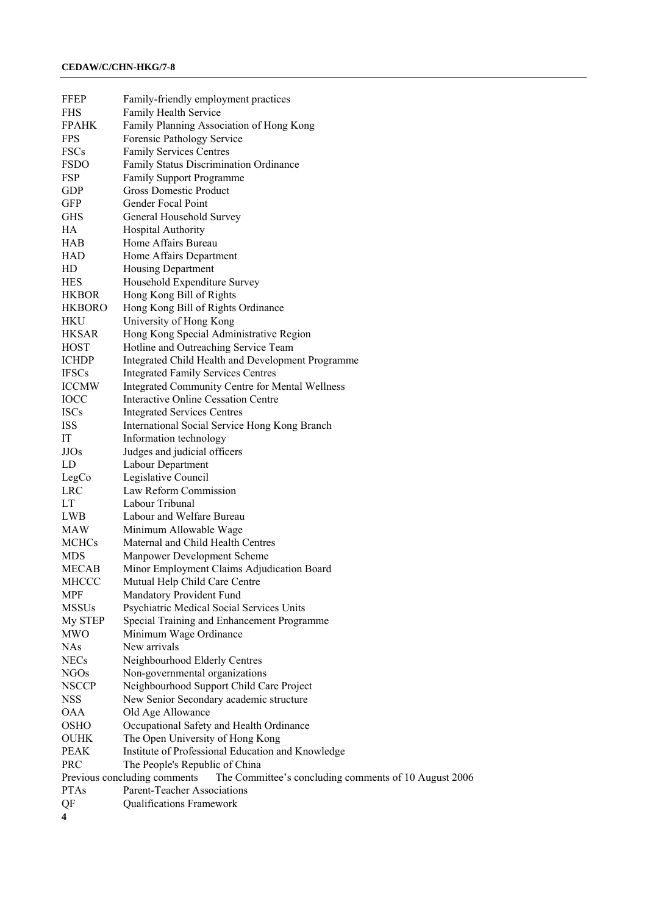| FFEP                    | Family-friendly employment practices                                                  |
|-------------------------|---------------------------------------------------------------------------------------|
| <b>FHS</b>              | Family Health Service                                                                 |
| <b>FPAHK</b>            | Family Planning Association of Hong Kong                                              |
| <b>FPS</b>              | Forensic Pathology Service                                                            |
| <b>FSCs</b>             | <b>Family Services Centres</b>                                                        |
| <b>FSDO</b>             | Family Status Discrimination Ordinance                                                |
| FSP                     | Family Support Programme                                                              |
| <b>GDP</b>              | Gross Domestic Product                                                                |
| GFP                     | Gender Focal Point                                                                    |
| <b>GHS</b>              | General Household Survey                                                              |
| HA                      | <b>Hospital Authority</b>                                                             |
| HAB                     | Home Affairs Bureau                                                                   |
| <b>HAD</b>              | Home Affairs Department                                                               |
| HD                      | Housing Department                                                                    |
| <b>HES</b>              | Household Expenditure Survey                                                          |
| <b>HKBOR</b>            | Hong Kong Bill of Rights                                                              |
| <b>HKBORO</b>           | Hong Kong Bill of Rights Ordinance                                                    |
| <b>HKU</b>              | University of Hong Kong                                                               |
| <b>HKSAR</b>            | Hong Kong Special Administrative Region                                               |
| <b>HOST</b>             | Hotline and Outreaching Service Team                                                  |
| <b>ICHDP</b>            | Integrated Child Health and Development Programme                                     |
| <b>IFSCs</b>            | <b>Integrated Family Services Centres</b>                                             |
| <b>ICCMW</b>            | <b>Integrated Community Centre for Mental Wellness</b>                                |
| IOCC                    | <b>Interactive Online Cessation Centre</b>                                            |
| <b>ISCs</b>             | <b>Integrated Services Centres</b>                                                    |
| <b>ISS</b>              | International Social Service Hong Kong Branch                                         |
| IT                      | Information technology                                                                |
| <b>JJOs</b>             | Judges and judicial officers                                                          |
| LD                      | Labour Department                                                                     |
| LegCo                   | Legislative Council                                                                   |
| <b>LRC</b>              | Law Reform Commission                                                                 |
| LT                      | Labour Tribunal                                                                       |
| LWB                     | Labour and Welfare Bureau                                                             |
| <b>MAW</b>              | Minimum Allowable Wage                                                                |
| <b>MCHCs</b>            | Maternal and Child Health Centres                                                     |
| <b>MDS</b>              | Manpower Development Scheme                                                           |
| <b>MECAB</b>            | Minor Employment Claims Adjudication Board                                            |
| MHCCC                   | Mutual Help Child Care Centre                                                         |
| MPF                     | Mandatory Provident Fund                                                              |
| <b>MSSUs</b>            | Psychiatric Medical Social Services Units                                             |
| My STEP                 | Special Training and Enhancement Programme                                            |
| <b>MWO</b>              | Minimum Wage Ordinance                                                                |
| <b>NAs</b>              | New arrivals                                                                          |
| <b>NECs</b>             | Neighbourhood Elderly Centres                                                         |
| <b>NGOs</b>             | Non-governmental organizations                                                        |
| <b>NSCCP</b>            | Neighbourhood Support Child Care Project                                              |
| <b>NSS</b>              | New Senior Secondary academic structure                                               |
| <b>OAA</b>              | Old Age Allowance                                                                     |
| <b>OSHO</b>             | Occupational Safety and Health Ordinance                                              |
| OUHK                    | The Open University of Hong Kong                                                      |
| <b>PEAK</b>             | Institute of Professional Education and Knowledge                                     |
| PRC                     | The People's Republic of China                                                        |
|                         | Previous concluding comments<br>The Committee's concluding comments of 10 August 2006 |
| <b>PTAs</b>             | <b>Parent-Teacher Associations</b>                                                    |
| QF                      | Qualifications Framework                                                              |
| $\overline{\mathbf{4}}$ |                                                                                       |
|                         |                                                                                       |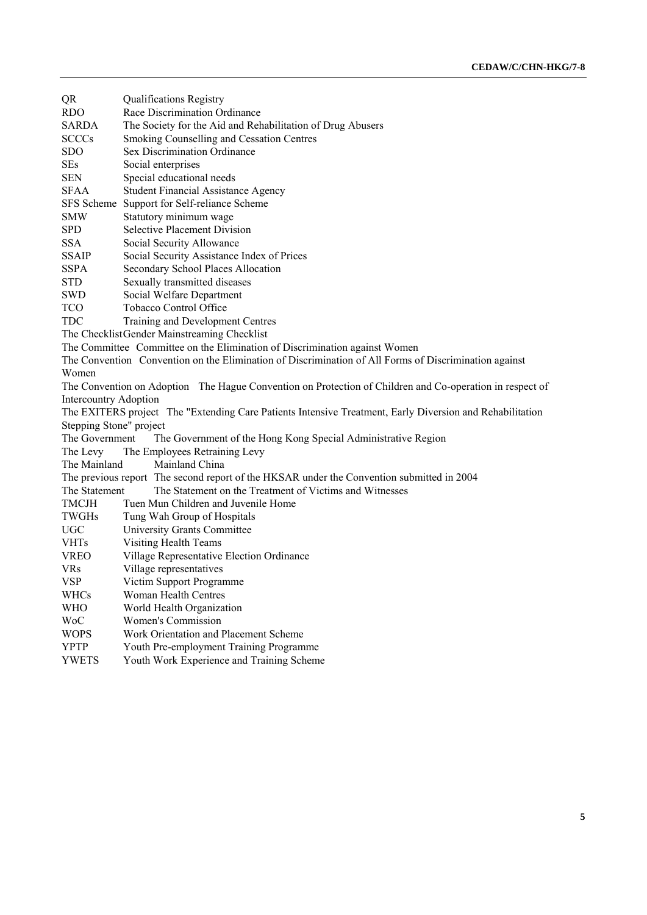| QR<br>Race Discrimination Ordinance<br><b>RDO</b><br>SARDA<br>The Society for the Aid and Rehabilitation of Drug Abusers<br><b>SCCCs</b><br>Smoking Counselling and Cessation Centres<br><b>Sex Discrimination Ordinance</b><br><b>SDO</b><br><b>SEs</b><br>Social enterprises<br>Special educational needs<br><b>SEN</b><br><b>SFAA</b><br><b>Student Financial Assistance Agency</b><br>SFS Scheme<br>Support for Self-reliance Scheme<br><b>SMW</b><br>Statutory minimum wage<br><b>Selective Placement Division</b><br><b>SPD</b><br><b>SSA</b><br>Social Security Allowance<br><b>SSAIP</b><br>Social Security Assistance Index of Prices<br><b>SSPA</b><br>Secondary School Places Allocation<br><b>STD</b><br>Sexually transmitted diseases<br>SWD<br>Social Welfare Department<br>Tobacco Control Office<br>TCO<br>TDC<br>Training and Development Centres<br>The Checklist Gender Mainstreaming Checklist<br>The Committee Committee on the Elimination of Discrimination against Women<br>The Convention Convention on the Elimination of Discrimination of All Forms of Discrimination against<br>Women<br>The Convention on Adoption The Hague Convention on Protection of Children and Co-operation in respect of<br><b>Intercountry Adoption</b><br>The EXITERS project The "Extending Care Patients Intensive Treatment, Early Diversion and Rehabilitation<br>Stepping Stone" project<br>The Government<br>The Government of the Hong Kong Special Administrative Region<br>The Employees Retraining Levy<br>The Levy<br>The Mainland<br>Mainland China<br>The previous report The second report of the HKSAR under the Convention submitted in 2004<br>The Statement on the Treatment of Victims and Witnesses<br>The Statement<br><b>TMCJH</b><br>Tuen Mun Children and Juvenile Home<br>TWGHs<br>Tung Wah Group of Hospitals<br>UGC<br>University Grants Committee<br><b>Visiting Health Teams</b><br><b>VHTs</b><br>VREO<br>Village Representative Election Ordinance<br>Village representatives<br><b>VRs</b><br>VSP<br>Victim Support Programme<br><b>WHCs</b><br>Woman Health Centres<br><b>WHO</b><br>World Health Organization<br><b>WoC</b><br><b>Women's Commission</b><br><b>WOPS</b><br>Work Orientation and Placement Scheme |              |                                           |  |  |  |
|------------------------------------------------------------------------------------------------------------------------------------------------------------------------------------------------------------------------------------------------------------------------------------------------------------------------------------------------------------------------------------------------------------------------------------------------------------------------------------------------------------------------------------------------------------------------------------------------------------------------------------------------------------------------------------------------------------------------------------------------------------------------------------------------------------------------------------------------------------------------------------------------------------------------------------------------------------------------------------------------------------------------------------------------------------------------------------------------------------------------------------------------------------------------------------------------------------------------------------------------------------------------------------------------------------------------------------------------------------------------------------------------------------------------------------------------------------------------------------------------------------------------------------------------------------------------------------------------------------------------------------------------------------------------------------------------------------------------------------------------------------------------------------------------------------------------------------------------------------------------------------------------------------------------------------------------------------------------------------------------------------------------------------------------------------------------------------------------------------------------------------------------------------------------------------------------------------------------------------------------------------|--------------|-------------------------------------------|--|--|--|
|                                                                                                                                                                                                                                                                                                                                                                                                                                                                                                                                                                                                                                                                                                                                                                                                                                                                                                                                                                                                                                                                                                                                                                                                                                                                                                                                                                                                                                                                                                                                                                                                                                                                                                                                                                                                                                                                                                                                                                                                                                                                                                                                                                                                                                                            |              |                                           |  |  |  |
|                                                                                                                                                                                                                                                                                                                                                                                                                                                                                                                                                                                                                                                                                                                                                                                                                                                                                                                                                                                                                                                                                                                                                                                                                                                                                                                                                                                                                                                                                                                                                                                                                                                                                                                                                                                                                                                                                                                                                                                                                                                                                                                                                                                                                                                            |              |                                           |  |  |  |
|                                                                                                                                                                                                                                                                                                                                                                                                                                                                                                                                                                                                                                                                                                                                                                                                                                                                                                                                                                                                                                                                                                                                                                                                                                                                                                                                                                                                                                                                                                                                                                                                                                                                                                                                                                                                                                                                                                                                                                                                                                                                                                                                                                                                                                                            |              |                                           |  |  |  |
|                                                                                                                                                                                                                                                                                                                                                                                                                                                                                                                                                                                                                                                                                                                                                                                                                                                                                                                                                                                                                                                                                                                                                                                                                                                                                                                                                                                                                                                                                                                                                                                                                                                                                                                                                                                                                                                                                                                                                                                                                                                                                                                                                                                                                                                            |              |                                           |  |  |  |
|                                                                                                                                                                                                                                                                                                                                                                                                                                                                                                                                                                                                                                                                                                                                                                                                                                                                                                                                                                                                                                                                                                                                                                                                                                                                                                                                                                                                                                                                                                                                                                                                                                                                                                                                                                                                                                                                                                                                                                                                                                                                                                                                                                                                                                                            |              |                                           |  |  |  |
|                                                                                                                                                                                                                                                                                                                                                                                                                                                                                                                                                                                                                                                                                                                                                                                                                                                                                                                                                                                                                                                                                                                                                                                                                                                                                                                                                                                                                                                                                                                                                                                                                                                                                                                                                                                                                                                                                                                                                                                                                                                                                                                                                                                                                                                            |              |                                           |  |  |  |
|                                                                                                                                                                                                                                                                                                                                                                                                                                                                                                                                                                                                                                                                                                                                                                                                                                                                                                                                                                                                                                                                                                                                                                                                                                                                                                                                                                                                                                                                                                                                                                                                                                                                                                                                                                                                                                                                                                                                                                                                                                                                                                                                                                                                                                                            |              |                                           |  |  |  |
|                                                                                                                                                                                                                                                                                                                                                                                                                                                                                                                                                                                                                                                                                                                                                                                                                                                                                                                                                                                                                                                                                                                                                                                                                                                                                                                                                                                                                                                                                                                                                                                                                                                                                                                                                                                                                                                                                                                                                                                                                                                                                                                                                                                                                                                            |              |                                           |  |  |  |
|                                                                                                                                                                                                                                                                                                                                                                                                                                                                                                                                                                                                                                                                                                                                                                                                                                                                                                                                                                                                                                                                                                                                                                                                                                                                                                                                                                                                                                                                                                                                                                                                                                                                                                                                                                                                                                                                                                                                                                                                                                                                                                                                                                                                                                                            |              |                                           |  |  |  |
|                                                                                                                                                                                                                                                                                                                                                                                                                                                                                                                                                                                                                                                                                                                                                                                                                                                                                                                                                                                                                                                                                                                                                                                                                                                                                                                                                                                                                                                                                                                                                                                                                                                                                                                                                                                                                                                                                                                                                                                                                                                                                                                                                                                                                                                            |              |                                           |  |  |  |
|                                                                                                                                                                                                                                                                                                                                                                                                                                                                                                                                                                                                                                                                                                                                                                                                                                                                                                                                                                                                                                                                                                                                                                                                                                                                                                                                                                                                                                                                                                                                                                                                                                                                                                                                                                                                                                                                                                                                                                                                                                                                                                                                                                                                                                                            |              |                                           |  |  |  |
|                                                                                                                                                                                                                                                                                                                                                                                                                                                                                                                                                                                                                                                                                                                                                                                                                                                                                                                                                                                                                                                                                                                                                                                                                                                                                                                                                                                                                                                                                                                                                                                                                                                                                                                                                                                                                                                                                                                                                                                                                                                                                                                                                                                                                                                            |              |                                           |  |  |  |
|                                                                                                                                                                                                                                                                                                                                                                                                                                                                                                                                                                                                                                                                                                                                                                                                                                                                                                                                                                                                                                                                                                                                                                                                                                                                                                                                                                                                                                                                                                                                                                                                                                                                                                                                                                                                                                                                                                                                                                                                                                                                                                                                                                                                                                                            |              |                                           |  |  |  |
|                                                                                                                                                                                                                                                                                                                                                                                                                                                                                                                                                                                                                                                                                                                                                                                                                                                                                                                                                                                                                                                                                                                                                                                                                                                                                                                                                                                                                                                                                                                                                                                                                                                                                                                                                                                                                                                                                                                                                                                                                                                                                                                                                                                                                                                            |              |                                           |  |  |  |
|                                                                                                                                                                                                                                                                                                                                                                                                                                                                                                                                                                                                                                                                                                                                                                                                                                                                                                                                                                                                                                                                                                                                                                                                                                                                                                                                                                                                                                                                                                                                                                                                                                                                                                                                                                                                                                                                                                                                                                                                                                                                                                                                                                                                                                                            |              |                                           |  |  |  |
|                                                                                                                                                                                                                                                                                                                                                                                                                                                                                                                                                                                                                                                                                                                                                                                                                                                                                                                                                                                                                                                                                                                                                                                                                                                                                                                                                                                                                                                                                                                                                                                                                                                                                                                                                                                                                                                                                                                                                                                                                                                                                                                                                                                                                                                            |              |                                           |  |  |  |
|                                                                                                                                                                                                                                                                                                                                                                                                                                                                                                                                                                                                                                                                                                                                                                                                                                                                                                                                                                                                                                                                                                                                                                                                                                                                                                                                                                                                                                                                                                                                                                                                                                                                                                                                                                                                                                                                                                                                                                                                                                                                                                                                                                                                                                                            |              |                                           |  |  |  |
|                                                                                                                                                                                                                                                                                                                                                                                                                                                                                                                                                                                                                                                                                                                                                                                                                                                                                                                                                                                                                                                                                                                                                                                                                                                                                                                                                                                                                                                                                                                                                                                                                                                                                                                                                                                                                                                                                                                                                                                                                                                                                                                                                                                                                                                            |              |                                           |  |  |  |
|                                                                                                                                                                                                                                                                                                                                                                                                                                                                                                                                                                                                                                                                                                                                                                                                                                                                                                                                                                                                                                                                                                                                                                                                                                                                                                                                                                                                                                                                                                                                                                                                                                                                                                                                                                                                                                                                                                                                                                                                                                                                                                                                                                                                                                                            |              |                                           |  |  |  |
|                                                                                                                                                                                                                                                                                                                                                                                                                                                                                                                                                                                                                                                                                                                                                                                                                                                                                                                                                                                                                                                                                                                                                                                                                                                                                                                                                                                                                                                                                                                                                                                                                                                                                                                                                                                                                                                                                                                                                                                                                                                                                                                                                                                                                                                            |              |                                           |  |  |  |
|                                                                                                                                                                                                                                                                                                                                                                                                                                                                                                                                                                                                                                                                                                                                                                                                                                                                                                                                                                                                                                                                                                                                                                                                                                                                                                                                                                                                                                                                                                                                                                                                                                                                                                                                                                                                                                                                                                                                                                                                                                                                                                                                                                                                                                                            |              |                                           |  |  |  |
|                                                                                                                                                                                                                                                                                                                                                                                                                                                                                                                                                                                                                                                                                                                                                                                                                                                                                                                                                                                                                                                                                                                                                                                                                                                                                                                                                                                                                                                                                                                                                                                                                                                                                                                                                                                                                                                                                                                                                                                                                                                                                                                                                                                                                                                            |              |                                           |  |  |  |
|                                                                                                                                                                                                                                                                                                                                                                                                                                                                                                                                                                                                                                                                                                                                                                                                                                                                                                                                                                                                                                                                                                                                                                                                                                                                                                                                                                                                                                                                                                                                                                                                                                                                                                                                                                                                                                                                                                                                                                                                                                                                                                                                                                                                                                                            |              |                                           |  |  |  |
|                                                                                                                                                                                                                                                                                                                                                                                                                                                                                                                                                                                                                                                                                                                                                                                                                                                                                                                                                                                                                                                                                                                                                                                                                                                                                                                                                                                                                                                                                                                                                                                                                                                                                                                                                                                                                                                                                                                                                                                                                                                                                                                                                                                                                                                            |              |                                           |  |  |  |
|                                                                                                                                                                                                                                                                                                                                                                                                                                                                                                                                                                                                                                                                                                                                                                                                                                                                                                                                                                                                                                                                                                                                                                                                                                                                                                                                                                                                                                                                                                                                                                                                                                                                                                                                                                                                                                                                                                                                                                                                                                                                                                                                                                                                                                                            |              |                                           |  |  |  |
|                                                                                                                                                                                                                                                                                                                                                                                                                                                                                                                                                                                                                                                                                                                                                                                                                                                                                                                                                                                                                                                                                                                                                                                                                                                                                                                                                                                                                                                                                                                                                                                                                                                                                                                                                                                                                                                                                                                                                                                                                                                                                                                                                                                                                                                            |              |                                           |  |  |  |
|                                                                                                                                                                                                                                                                                                                                                                                                                                                                                                                                                                                                                                                                                                                                                                                                                                                                                                                                                                                                                                                                                                                                                                                                                                                                                                                                                                                                                                                                                                                                                                                                                                                                                                                                                                                                                                                                                                                                                                                                                                                                                                                                                                                                                                                            |              |                                           |  |  |  |
|                                                                                                                                                                                                                                                                                                                                                                                                                                                                                                                                                                                                                                                                                                                                                                                                                                                                                                                                                                                                                                                                                                                                                                                                                                                                                                                                                                                                                                                                                                                                                                                                                                                                                                                                                                                                                                                                                                                                                                                                                                                                                                                                                                                                                                                            |              |                                           |  |  |  |
|                                                                                                                                                                                                                                                                                                                                                                                                                                                                                                                                                                                                                                                                                                                                                                                                                                                                                                                                                                                                                                                                                                                                                                                                                                                                                                                                                                                                                                                                                                                                                                                                                                                                                                                                                                                                                                                                                                                                                                                                                                                                                                                                                                                                                                                            |              |                                           |  |  |  |
|                                                                                                                                                                                                                                                                                                                                                                                                                                                                                                                                                                                                                                                                                                                                                                                                                                                                                                                                                                                                                                                                                                                                                                                                                                                                                                                                                                                                                                                                                                                                                                                                                                                                                                                                                                                                                                                                                                                                                                                                                                                                                                                                                                                                                                                            |              |                                           |  |  |  |
|                                                                                                                                                                                                                                                                                                                                                                                                                                                                                                                                                                                                                                                                                                                                                                                                                                                                                                                                                                                                                                                                                                                                                                                                                                                                                                                                                                                                                                                                                                                                                                                                                                                                                                                                                                                                                                                                                                                                                                                                                                                                                                                                                                                                                                                            |              |                                           |  |  |  |
|                                                                                                                                                                                                                                                                                                                                                                                                                                                                                                                                                                                                                                                                                                                                                                                                                                                                                                                                                                                                                                                                                                                                                                                                                                                                                                                                                                                                                                                                                                                                                                                                                                                                                                                                                                                                                                                                                                                                                                                                                                                                                                                                                                                                                                                            |              |                                           |  |  |  |
|                                                                                                                                                                                                                                                                                                                                                                                                                                                                                                                                                                                                                                                                                                                                                                                                                                                                                                                                                                                                                                                                                                                                                                                                                                                                                                                                                                                                                                                                                                                                                                                                                                                                                                                                                                                                                                                                                                                                                                                                                                                                                                                                                                                                                                                            |              |                                           |  |  |  |
|                                                                                                                                                                                                                                                                                                                                                                                                                                                                                                                                                                                                                                                                                                                                                                                                                                                                                                                                                                                                                                                                                                                                                                                                                                                                                                                                                                                                                                                                                                                                                                                                                                                                                                                                                                                                                                                                                                                                                                                                                                                                                                                                                                                                                                                            |              |                                           |  |  |  |
|                                                                                                                                                                                                                                                                                                                                                                                                                                                                                                                                                                                                                                                                                                                                                                                                                                                                                                                                                                                                                                                                                                                                                                                                                                                                                                                                                                                                                                                                                                                                                                                                                                                                                                                                                                                                                                                                                                                                                                                                                                                                                                                                                                                                                                                            |              |                                           |  |  |  |
|                                                                                                                                                                                                                                                                                                                                                                                                                                                                                                                                                                                                                                                                                                                                                                                                                                                                                                                                                                                                                                                                                                                                                                                                                                                                                                                                                                                                                                                                                                                                                                                                                                                                                                                                                                                                                                                                                                                                                                                                                                                                                                                                                                                                                                                            |              |                                           |  |  |  |
|                                                                                                                                                                                                                                                                                                                                                                                                                                                                                                                                                                                                                                                                                                                                                                                                                                                                                                                                                                                                                                                                                                                                                                                                                                                                                                                                                                                                                                                                                                                                                                                                                                                                                                                                                                                                                                                                                                                                                                                                                                                                                                                                                                                                                                                            |              |                                           |  |  |  |
|                                                                                                                                                                                                                                                                                                                                                                                                                                                                                                                                                                                                                                                                                                                                                                                                                                                                                                                                                                                                                                                                                                                                                                                                                                                                                                                                                                                                                                                                                                                                                                                                                                                                                                                                                                                                                                                                                                                                                                                                                                                                                                                                                                                                                                                            |              |                                           |  |  |  |
|                                                                                                                                                                                                                                                                                                                                                                                                                                                                                                                                                                                                                                                                                                                                                                                                                                                                                                                                                                                                                                                                                                                                                                                                                                                                                                                                                                                                                                                                                                                                                                                                                                                                                                                                                                                                                                                                                                                                                                                                                                                                                                                                                                                                                                                            |              |                                           |  |  |  |
|                                                                                                                                                                                                                                                                                                                                                                                                                                                                                                                                                                                                                                                                                                                                                                                                                                                                                                                                                                                                                                                                                                                                                                                                                                                                                                                                                                                                                                                                                                                                                                                                                                                                                                                                                                                                                                                                                                                                                                                                                                                                                                                                                                                                                                                            |              |                                           |  |  |  |
|                                                                                                                                                                                                                                                                                                                                                                                                                                                                                                                                                                                                                                                                                                                                                                                                                                                                                                                                                                                                                                                                                                                                                                                                                                                                                                                                                                                                                                                                                                                                                                                                                                                                                                                                                                                                                                                                                                                                                                                                                                                                                                                                                                                                                                                            |              |                                           |  |  |  |
| <b>YPTP</b><br>Youth Pre-employment Training Programme                                                                                                                                                                                                                                                                                                                                                                                                                                                                                                                                                                                                                                                                                                                                                                                                                                                                                                                                                                                                                                                                                                                                                                                                                                                                                                                                                                                                                                                                                                                                                                                                                                                                                                                                                                                                                                                                                                                                                                                                                                                                                                                                                                                                     |              |                                           |  |  |  |
|                                                                                                                                                                                                                                                                                                                                                                                                                                                                                                                                                                                                                                                                                                                                                                                                                                                                                                                                                                                                                                                                                                                                                                                                                                                                                                                                                                                                                                                                                                                                                                                                                                                                                                                                                                                                                                                                                                                                                                                                                                                                                                                                                                                                                                                            | <b>YWETS</b> | Youth Work Experience and Training Scheme |  |  |  |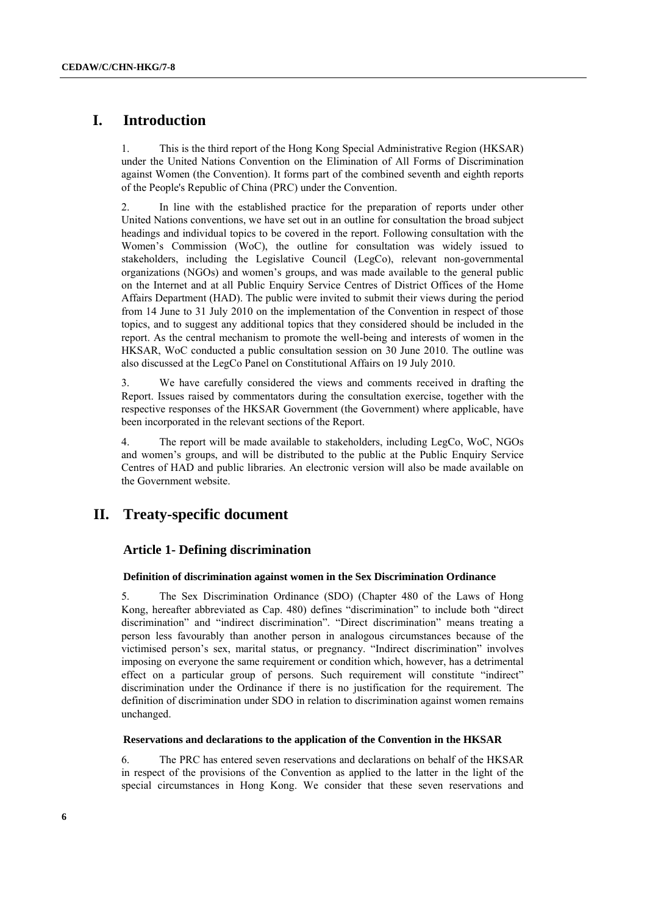## **I. Introduction**

1. This is the third report of the Hong Kong Special Administrative Region (HKSAR) under the United Nations Convention on the Elimination of All Forms of Discrimination against Women (the Convention). It forms part of the combined seventh and eighth reports of the People's Republic of China (PRC) under the Convention.

2. In line with the established practice for the preparation of reports under other United Nations conventions, we have set out in an outline for consultation the broad subject headings and individual topics to be covered in the report. Following consultation with the Women's Commission (WoC), the outline for consultation was widely issued to stakeholders, including the Legislative Council (LegCo), relevant non-governmental organizations (NGOs) and women's groups, and was made available to the general public on the Internet and at all Public Enquiry Service Centres of District Offices of the Home Affairs Department (HAD). The public were invited to submit their views during the period from 14 June to 31 July 2010 on the implementation of the Convention in respect of those topics, and to suggest any additional topics that they considered should be included in the report. As the central mechanism to promote the well-being and interests of women in the HKSAR, WoC conducted a public consultation session on 30 June 2010. The outline was also discussed at the LegCo Panel on Constitutional Affairs on 19 July 2010.

3. We have carefully considered the views and comments received in drafting the Report. Issues raised by commentators during the consultation exercise, together with the respective responses of the HKSAR Government (the Government) where applicable, have been incorporated in the relevant sections of the Report.

4. The report will be made available to stakeholders, including LegCo, WoC, NGOs and women's groups, and will be distributed to the public at the Public Enquiry Service Centres of HAD and public libraries. An electronic version will also be made available on the Government website.

## **II. Treaty-specific document**

## **Article 1- Defining discrimination**

## **Definition of discrimination against women in the Sex Discrimination Ordinance**

5. The Sex Discrimination Ordinance (SDO) (Chapter 480 of the Laws of Hong Kong, hereafter abbreviated as Cap. 480) defines "discrimination" to include both "direct discrimination" and "indirect discrimination". "Direct discrimination" means treating a person less favourably than another person in analogous circumstances because of the victimised person's sex, marital status, or pregnancy. "Indirect discrimination" involves imposing on everyone the same requirement or condition which, however, has a detrimental effect on a particular group of persons. Such requirement will constitute "indirect" discrimination under the Ordinance if there is no justification for the requirement. The definition of discrimination under SDO in relation to discrimination against women remains unchanged.

#### **Reservations and declarations to the application of the Convention in the HKSAR**

6. The PRC has entered seven reservations and declarations on behalf of the HKSAR in respect of the provisions of the Convention as applied to the latter in the light of the special circumstances in Hong Kong. We consider that these seven reservations and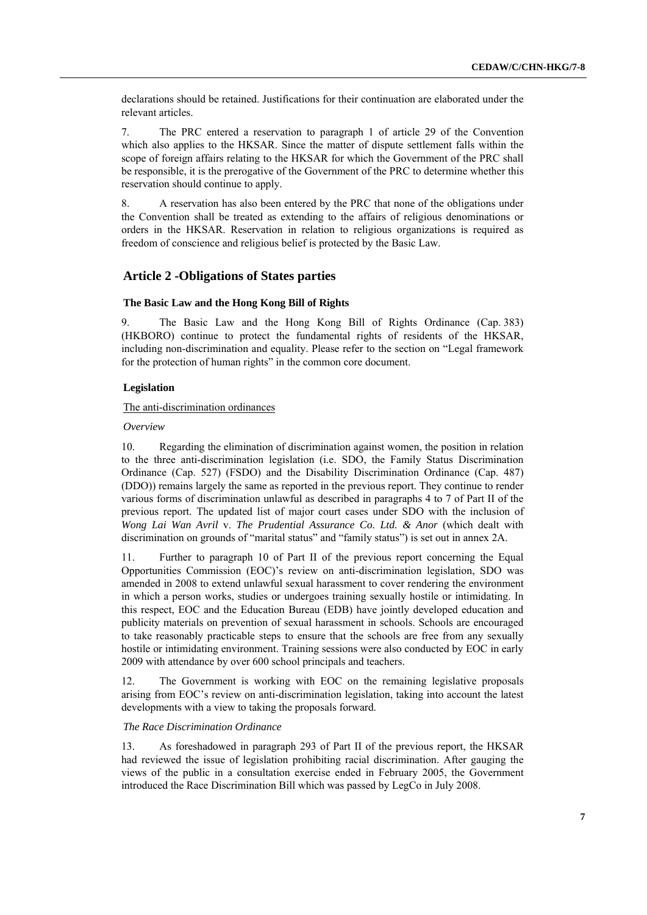declarations should be retained. Justifications for their continuation are elaborated under the relevant articles.

7. The PRC entered a reservation to paragraph 1 of article 29 of the Convention which also applies to the HKSAR. Since the matter of dispute settlement falls within the scope of foreign affairs relating to the HKSAR for which the Government of the PRC shall be responsible, it is the prerogative of the Government of the PRC to determine whether this reservation should continue to apply.

8. A reservation has also been entered by the PRC that none of the obligations under the Convention shall be treated as extending to the affairs of religious denominations or orders in the HKSAR. Reservation in relation to religious organizations is required as freedom of conscience and religious belief is protected by the Basic Law.

## **Article 2 -Obligations of States parties**

### **The Basic Law and the Hong Kong Bill of Rights**

9. The Basic Law and the Hong Kong Bill of Rights Ordinance (Cap. 383) (HKBORO) continue to protect the fundamental rights of residents of the HKSAR, including non-discrimination and equality. Please refer to the section on "Legal framework for the protection of human rights" in the common core document.

#### **Legislation**

#### The anti-discrimination ordinances

#### *Overview*

10. Regarding the elimination of discrimination against women, the position in relation to the three anti-discrimination legislation (i.e. SDO, the Family Status Discrimination Ordinance (Cap. 527) (FSDO) and the Disability Discrimination Ordinance (Cap. 487) (DDO)) remains largely the same as reported in the previous report. They continue to render various forms of discrimination unlawful as described in paragraphs 4 to 7 of Part II of the previous report. The updated list of major court cases under SDO with the inclusion of *Wong Lai Wan Avril* v. *The Prudential Assurance Co. Ltd. & Anor* (which dealt with discrimination on grounds of "marital status" and "family status") is set out in annex 2A.

11. Further to paragraph 10 of Part II of the previous report concerning the Equal Opportunities Commission (EOC)'s review on anti-discrimination legislation, SDO was amended in 2008 to extend unlawful sexual harassment to cover rendering the environment in which a person works, studies or undergoes training sexually hostile or intimidating. In this respect, EOC and the Education Bureau (EDB) have jointly developed education and publicity materials on prevention of sexual harassment in schools. Schools are encouraged to take reasonably practicable steps to ensure that the schools are free from any sexually hostile or intimidating environment. Training sessions were also conducted by EOC in early 2009 with attendance by over 600 school principals and teachers.

12. The Government is working with EOC on the remaining legislative proposals arising from EOC's review on anti-discrimination legislation, taking into account the latest developments with a view to taking the proposals forward.

#### *The Race Discrimination Ordinance*

13. As foreshadowed in paragraph 293 of Part II of the previous report, the HKSAR had reviewed the issue of legislation prohibiting racial discrimination. After gauging the views of the public in a consultation exercise ended in February 2005, the Government introduced the Race Discrimination Bill which was passed by LegCo in July 2008.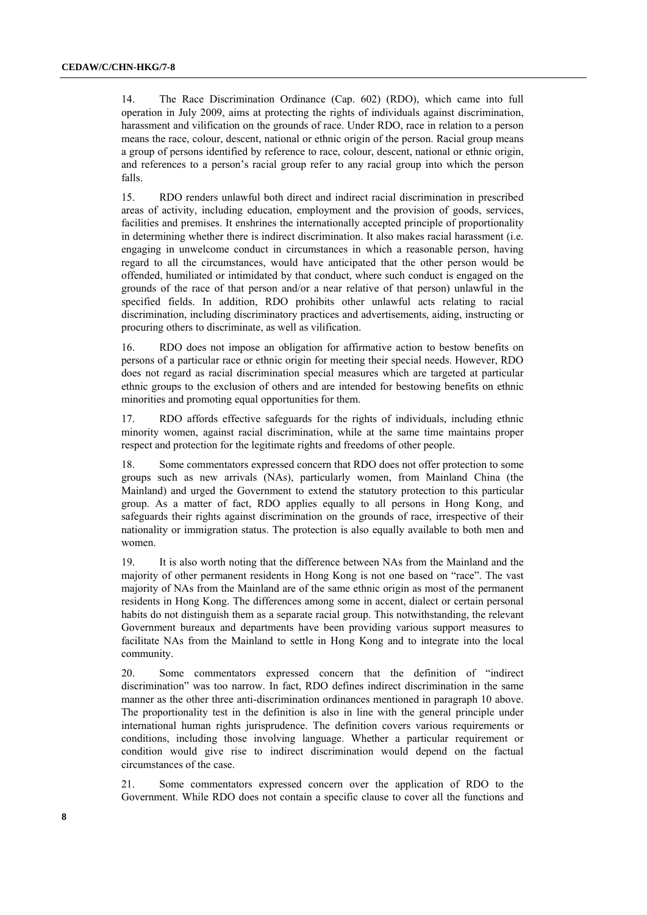14. The Race Discrimination Ordinance (Cap. 602) (RDO), which came into full operation in July 2009, aims at protecting the rights of individuals against discrimination, harassment and vilification on the grounds of race. Under RDO, race in relation to a person means the race, colour, descent, national or ethnic origin of the person. Racial group means a group of persons identified by reference to race, colour, descent, national or ethnic origin, and references to a person's racial group refer to any racial group into which the person falls.

15. RDO renders unlawful both direct and indirect racial discrimination in prescribed areas of activity, including education, employment and the provision of goods, services, facilities and premises. It enshrines the internationally accepted principle of proportionality in determining whether there is indirect discrimination. It also makes racial harassment (i.e. engaging in unwelcome conduct in circumstances in which a reasonable person, having regard to all the circumstances, would have anticipated that the other person would be offended, humiliated or intimidated by that conduct, where such conduct is engaged on the grounds of the race of that person and/or a near relative of that person) unlawful in the specified fields. In addition, RDO prohibits other unlawful acts relating to racial discrimination, including discriminatory practices and advertisements, aiding, instructing or procuring others to discriminate, as well as vilification.

16. RDO does not impose an obligation for affirmative action to bestow benefits on persons of a particular race or ethnic origin for meeting their special needs. However, RDO does not regard as racial discrimination special measures which are targeted at particular ethnic groups to the exclusion of others and are intended for bestowing benefits on ethnic minorities and promoting equal opportunities for them.

17. RDO affords effective safeguards for the rights of individuals, including ethnic minority women, against racial discrimination, while at the same time maintains proper respect and protection for the legitimate rights and freedoms of other people.

18. Some commentators expressed concern that RDO does not offer protection to some groups such as new arrivals (NAs), particularly women, from Mainland China (the Mainland) and urged the Government to extend the statutory protection to this particular group. As a matter of fact, RDO applies equally to all persons in Hong Kong, and safeguards their rights against discrimination on the grounds of race, irrespective of their nationality or immigration status. The protection is also equally available to both men and women.

19. It is also worth noting that the difference between NAs from the Mainland and the majority of other permanent residents in Hong Kong is not one based on "race". The vast majority of NAs from the Mainland are of the same ethnic origin as most of the permanent residents in Hong Kong. The differences among some in accent, dialect or certain personal habits do not distinguish them as a separate racial group. This notwithstanding, the relevant Government bureaux and departments have been providing various support measures to facilitate NAs from the Mainland to settle in Hong Kong and to integrate into the local community.

20. Some commentators expressed concern that the definition of "indirect discrimination" was too narrow. In fact, RDO defines indirect discrimination in the same manner as the other three anti-discrimination ordinances mentioned in paragraph 10 above. The proportionality test in the definition is also in line with the general principle under international human rights jurisprudence. The definition covers various requirements or conditions, including those involving language. Whether a particular requirement or condition would give rise to indirect discrimination would depend on the factual circumstances of the case.

21. Some commentators expressed concern over the application of RDO to the Government. While RDO does not contain a specific clause to cover all the functions and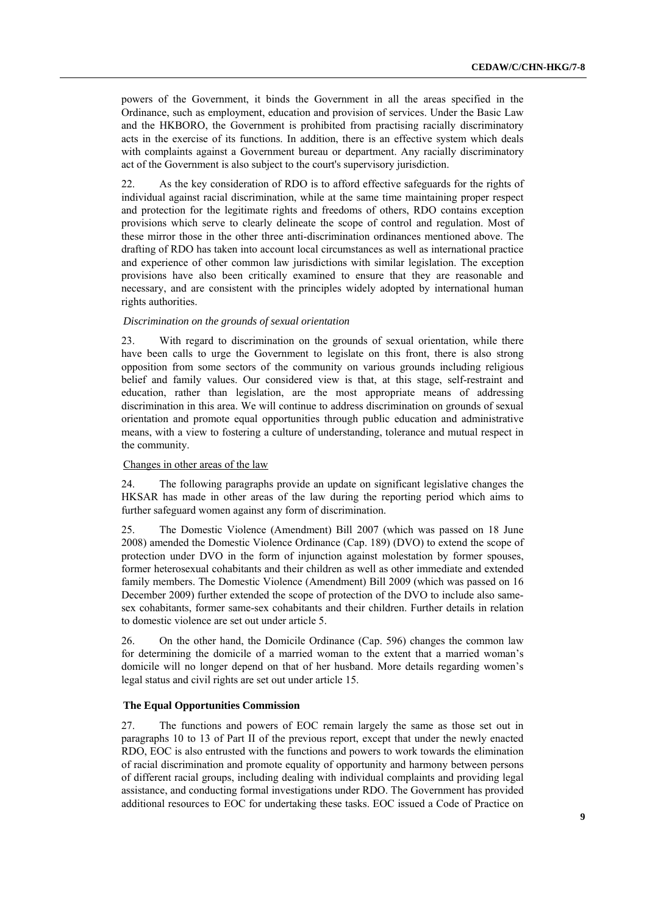powers of the Government, it binds the Government in all the areas specified in the Ordinance, such as employment, education and provision of services. Under the Basic Law and the HKBORO, the Government is prohibited from practising racially discriminatory acts in the exercise of its functions. In addition, there is an effective system which deals with complaints against a Government bureau or department. Any racially discriminatory act of the Government is also subject to the court's supervisory jurisdiction.

22. As the key consideration of RDO is to afford effective safeguards for the rights of individual against racial discrimination, while at the same time maintaining proper respect and protection for the legitimate rights and freedoms of others, RDO contains exception provisions which serve to clearly delineate the scope of control and regulation. Most of these mirror those in the other three anti-discrimination ordinances mentioned above. The drafting of RDO has taken into account local circumstances as well as international practice and experience of other common law jurisdictions with similar legislation. The exception provisions have also been critically examined to ensure that they are reasonable and necessary, and are consistent with the principles widely adopted by international human rights authorities.

#### *Discrimination on the grounds of sexual orientation*

23. With regard to discrimination on the grounds of sexual orientation, while there have been calls to urge the Government to legislate on this front, there is also strong opposition from some sectors of the community on various grounds including religious belief and family values. Our considered view is that, at this stage, self-restraint and education, rather than legislation, are the most appropriate means of addressing discrimination in this area. We will continue to address discrimination on grounds of sexual orientation and promote equal opportunities through public education and administrative means, with a view to fostering a culture of understanding, tolerance and mutual respect in the community.

#### Changes in other areas of the law

24. The following paragraphs provide an update on significant legislative changes the HKSAR has made in other areas of the law during the reporting period which aims to further safeguard women against any form of discrimination.

25. The Domestic Violence (Amendment) Bill 2007 (which was passed on 18 June 2008) amended the Domestic Violence Ordinance (Cap. 189) (DVO) to extend the scope of protection under DVO in the form of injunction against molestation by former spouses, former heterosexual cohabitants and their children as well as other immediate and extended family members. The Domestic Violence (Amendment) Bill 2009 (which was passed on 16 December 2009) further extended the scope of protection of the DVO to include also samesex cohabitants, former same-sex cohabitants and their children. Further details in relation to domestic violence are set out under article 5.

26. On the other hand, the Domicile Ordinance (Cap. 596) changes the common law for determining the domicile of a married woman to the extent that a married woman's domicile will no longer depend on that of her husband. More details regarding women's legal status and civil rights are set out under article 15.

#### **The Equal Opportunities Commission**

27. The functions and powers of EOC remain largely the same as those set out in paragraphs 10 to 13 of Part II of the previous report, except that under the newly enacted RDO, EOC is also entrusted with the functions and powers to work towards the elimination of racial discrimination and promote equality of opportunity and harmony between persons of different racial groups, including dealing with individual complaints and providing legal assistance, and conducting formal investigations under RDO. The Government has provided additional resources to EOC for undertaking these tasks. EOC issued a Code of Practice on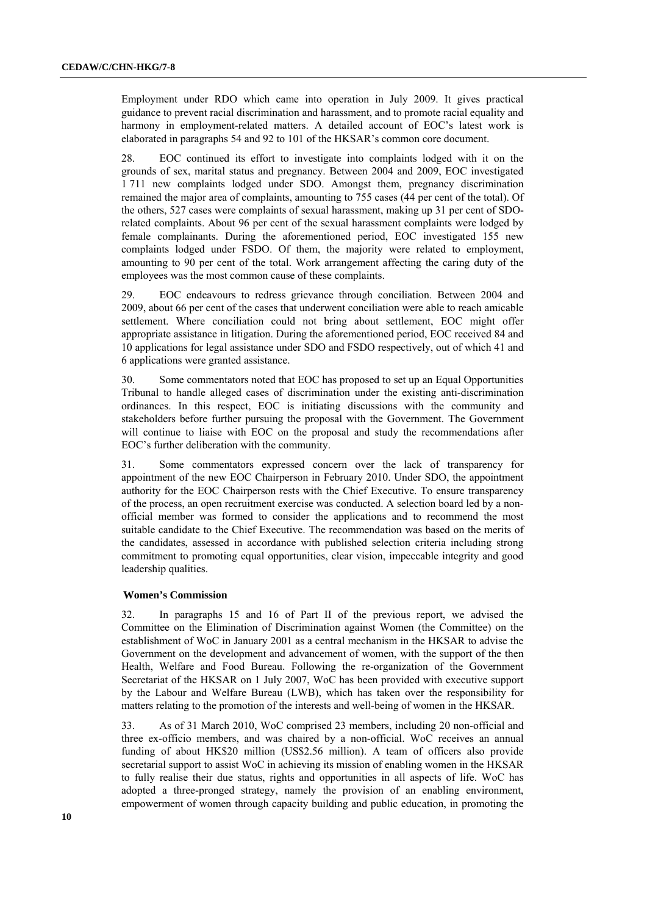Employment under RDO which came into operation in July 2009. It gives practical guidance to prevent racial discrimination and harassment, and to promote racial equality and harmony in employment-related matters. A detailed account of EOC's latest work is elaborated in paragraphs 54 and 92 to 101 of the HKSAR's common core document.

28. EOC continued its effort to investigate into complaints lodged with it on the grounds of sex, marital status and pregnancy. Between 2004 and 2009, EOC investigated 1 711 new complaints lodged under SDO. Amongst them, pregnancy discrimination remained the major area of complaints, amounting to 755 cases (44 per cent of the total). Of the others, 527 cases were complaints of sexual harassment, making up 31 per cent of SDOrelated complaints. About 96 per cent of the sexual harassment complaints were lodged by female complainants. During the aforementioned period, EOC investigated 155 new complaints lodged under FSDO. Of them, the majority were related to employment, amounting to 90 per cent of the total. Work arrangement affecting the caring duty of the employees was the most common cause of these complaints.

29. EOC endeavours to redress grievance through conciliation. Between 2004 and 2009, about 66 per cent of the cases that underwent conciliation were able to reach amicable settlement. Where conciliation could not bring about settlement, EOC might offer appropriate assistance in litigation. During the aforementioned period, EOC received 84 and 10 applications for legal assistance under SDO and FSDO respectively, out of which 41 and 6 applications were granted assistance.

30. Some commentators noted that EOC has proposed to set up an Equal Opportunities Tribunal to handle alleged cases of discrimination under the existing anti-discrimination ordinances. In this respect, EOC is initiating discussions with the community and stakeholders before further pursuing the proposal with the Government. The Government will continue to liaise with EOC on the proposal and study the recommendations after EOC's further deliberation with the community.

31. Some commentators expressed concern over the lack of transparency for appointment of the new EOC Chairperson in February 2010. Under SDO, the appointment authority for the EOC Chairperson rests with the Chief Executive. To ensure transparency of the process, an open recruitment exercise was conducted. A selection board led by a nonofficial member was formed to consider the applications and to recommend the most suitable candidate to the Chief Executive. The recommendation was based on the merits of the candidates, assessed in accordance with published selection criteria including strong commitment to promoting equal opportunities, clear vision, impeccable integrity and good leadership qualities.

#### **Women's Commission**

32. In paragraphs 15 and 16 of Part II of the previous report, we advised the Committee on the Elimination of Discrimination against Women (the Committee) on the establishment of WoC in January 2001 as a central mechanism in the HKSAR to advise the Government on the development and advancement of women, with the support of the then Health, Welfare and Food Bureau. Following the re-organization of the Government Secretariat of the HKSAR on 1 July 2007, WoC has been provided with executive support by the Labour and Welfare Bureau (LWB), which has taken over the responsibility for matters relating to the promotion of the interests and well-being of women in the HKSAR.

33. As of 31 March 2010, WoC comprised 23 members, including 20 non-official and three ex-officio members, and was chaired by a non-official. WoC receives an annual funding of about HK\$20 million (US\$2.56 million). A team of officers also provide secretarial support to assist WoC in achieving its mission of enabling women in the HKSAR to fully realise their due status, rights and opportunities in all aspects of life. WoC has adopted a three-pronged strategy, namely the provision of an enabling environment, empowerment of women through capacity building and public education, in promoting the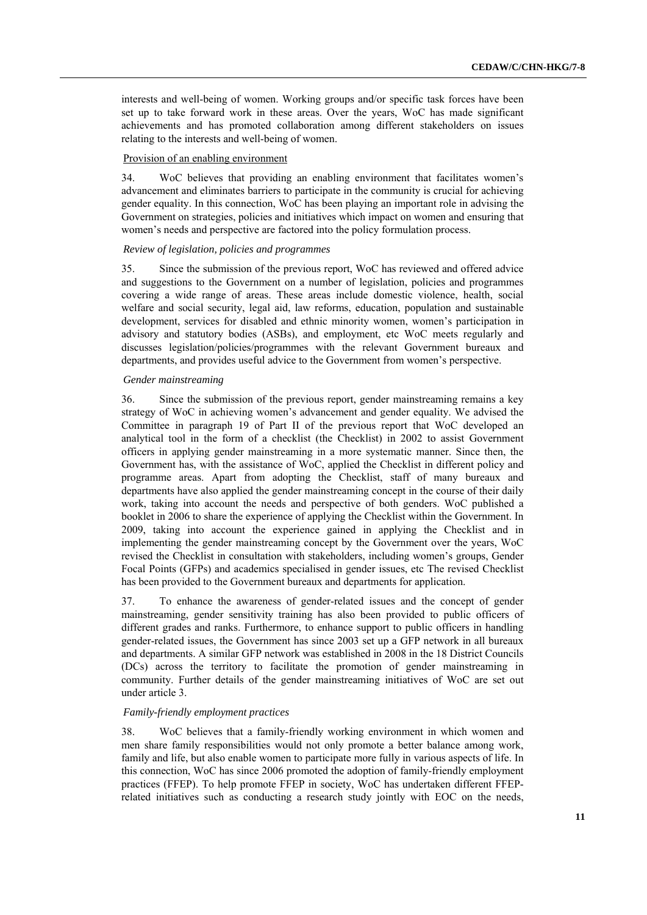interests and well-being of women. Working groups and/or specific task forces have been set up to take forward work in these areas. Over the years, WoC has made significant achievements and has promoted collaboration among different stakeholders on issues relating to the interests and well-being of women.

#### Provision of an enabling environment

34. WoC believes that providing an enabling environment that facilitates women's advancement and eliminates barriers to participate in the community is crucial for achieving gender equality. In this connection, WoC has been playing an important role in advising the Government on strategies, policies and initiatives which impact on women and ensuring that women's needs and perspective are factored into the policy formulation process.

#### *Review of legislation, policies and programmes*

35. Since the submission of the previous report, WoC has reviewed and offered advice and suggestions to the Government on a number of legislation, policies and programmes covering a wide range of areas. These areas include domestic violence, health, social welfare and social security, legal aid, law reforms, education, population and sustainable development, services for disabled and ethnic minority women, women's participation in advisory and statutory bodies (ASBs), and employment, etc WoC meets regularly and discusses legislation/policies/programmes with the relevant Government bureaux and departments, and provides useful advice to the Government from women's perspective.

#### *Gender mainstreaming*

36. Since the submission of the previous report, gender mainstreaming remains a key strategy of WoC in achieving women's advancement and gender equality. We advised the Committee in paragraph 19 of Part II of the previous report that WoC developed an analytical tool in the form of a checklist (the Checklist) in 2002 to assist Government officers in applying gender mainstreaming in a more systematic manner. Since then, the Government has, with the assistance of WoC, applied the Checklist in different policy and programme areas. Apart from adopting the Checklist, staff of many bureaux and departments have also applied the gender mainstreaming concept in the course of their daily work, taking into account the needs and perspective of both genders. WoC published a booklet in 2006 to share the experience of applying the Checklist within the Government. In 2009, taking into account the experience gained in applying the Checklist and in implementing the gender mainstreaming concept by the Government over the years, WoC revised the Checklist in consultation with stakeholders, including women's groups, Gender Focal Points (GFPs) and academics specialised in gender issues, etc The revised Checklist has been provided to the Government bureaux and departments for application.

37. To enhance the awareness of gender-related issues and the concept of gender mainstreaming, gender sensitivity training has also been provided to public officers of different grades and ranks. Furthermore, to enhance support to public officers in handling gender-related issues, the Government has since 2003 set up a GFP network in all bureaux and departments. A similar GFP network was established in 2008 in the 18 District Councils (DCs) across the territory to facilitate the promotion of gender mainstreaming in community. Further details of the gender mainstreaming initiatives of WoC are set out under article 3.

#### *Family-friendly employment practices*

38. WoC believes that a family-friendly working environment in which women and men share family responsibilities would not only promote a better balance among work, family and life, but also enable women to participate more fully in various aspects of life. In this connection, WoC has since 2006 promoted the adoption of family-friendly employment practices (FFEP). To help promote FFEP in society, WoC has undertaken different FFEPrelated initiatives such as conducting a research study jointly with EOC on the needs,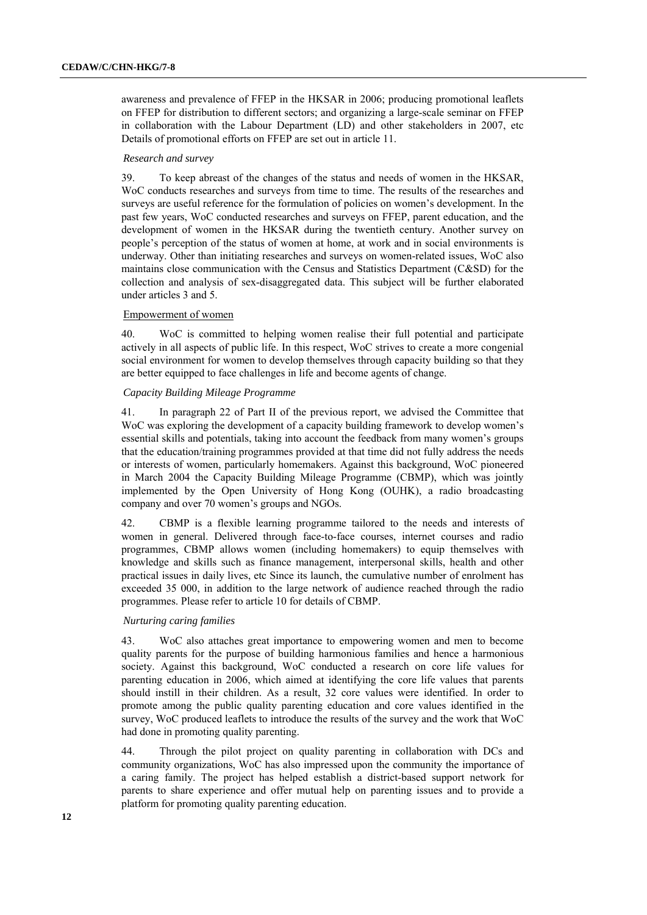awareness and prevalence of FFEP in the HKSAR in 2006; producing promotional leaflets on FFEP for distribution to different sectors; and organizing a large-scale seminar on FFEP in collaboration with the Labour Department (LD) and other stakeholders in 2007, etc Details of promotional efforts on FFEP are set out in article 11.

#### *Research and survey*

39. To keep abreast of the changes of the status and needs of women in the HKSAR, WoC conducts researches and surveys from time to time. The results of the researches and surveys are useful reference for the formulation of policies on women's development. In the past few years, WoC conducted researches and surveys on FFEP, parent education, and the development of women in the HKSAR during the twentieth century. Another survey on people's perception of the status of women at home, at work and in social environments is underway. Other than initiating researches and surveys on women-related issues, WoC also maintains close communication with the Census and Statistics Department (C&SD) for the collection and analysis of sex-disaggregated data. This subject will be further elaborated under articles 3 and 5.

#### Empowerment of women

40. WoC is committed to helping women realise their full potential and participate actively in all aspects of public life. In this respect, WoC strives to create a more congenial social environment for women to develop themselves through capacity building so that they are better equipped to face challenges in life and become agents of change.

#### *Capacity Building Mileage Programme*

41. In paragraph 22 of Part II of the previous report, we advised the Committee that WoC was exploring the development of a capacity building framework to develop women's essential skills and potentials, taking into account the feedback from many women's groups that the education/training programmes provided at that time did not fully address the needs or interests of women, particularly homemakers. Against this background, WoC pioneered in March 2004 the Capacity Building Mileage Programme (CBMP), which was jointly implemented by the Open University of Hong Kong (OUHK), a radio broadcasting company and over 70 women's groups and NGOs.

42. CBMP is a flexible learning programme tailored to the needs and interests of women in general. Delivered through face-to-face courses, internet courses and radio programmes, CBMP allows women (including homemakers) to equip themselves with knowledge and skills such as finance management, interpersonal skills, health and other practical issues in daily lives, etc Since its launch, the cumulative number of enrolment has exceeded 35 000, in addition to the large network of audience reached through the radio programmes. Please refer to article 10 for details of CBMP.

#### *Nurturing caring families*

43. WoC also attaches great importance to empowering women and men to become quality parents for the purpose of building harmonious families and hence a harmonious society. Against this background, WoC conducted a research on core life values for parenting education in 2006, which aimed at identifying the core life values that parents should instill in their children. As a result, 32 core values were identified. In order to promote among the public quality parenting education and core values identified in the survey, WoC produced leaflets to introduce the results of the survey and the work that WoC had done in promoting quality parenting.

44. Through the pilot project on quality parenting in collaboration with DCs and community organizations, WoC has also impressed upon the community the importance of a caring family. The project has helped establish a district-based support network for parents to share experience and offer mutual help on parenting issues and to provide a platform for promoting quality parenting education.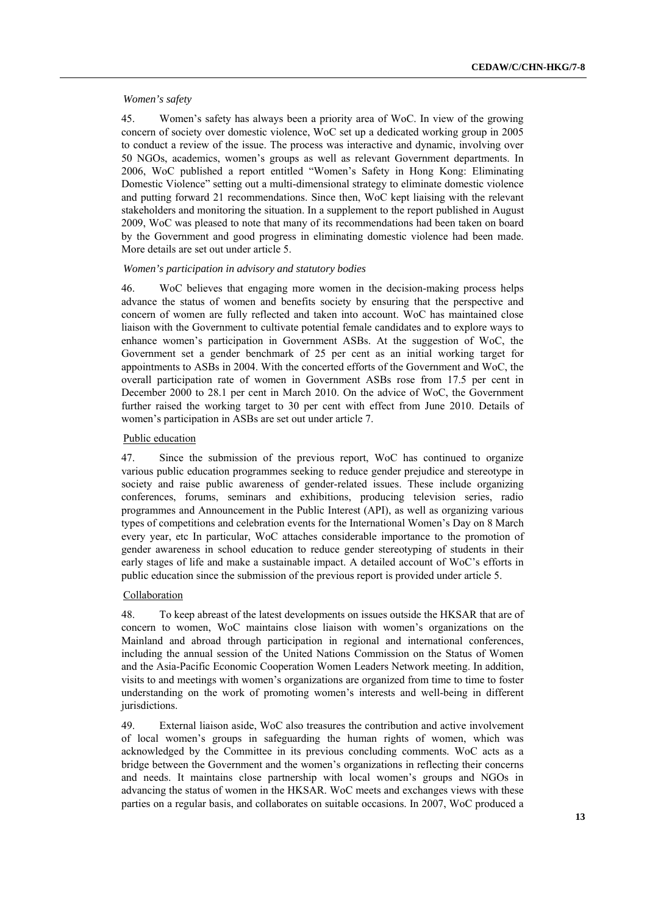#### *Women's safety*

45. Women's safety has always been a priority area of WoC. In view of the growing concern of society over domestic violence, WoC set up a dedicated working group in 2005 to conduct a review of the issue. The process was interactive and dynamic, involving over 50 NGOs, academics, women's groups as well as relevant Government departments. In 2006, WoC published a report entitled "Women's Safety in Hong Kong: Eliminating Domestic Violence" setting out a multi-dimensional strategy to eliminate domestic violence and putting forward 21 recommendations. Since then, WoC kept liaising with the relevant stakeholders and monitoring the situation. In a supplement to the report published in August 2009, WoC was pleased to note that many of its recommendations had been taken on board by the Government and good progress in eliminating domestic violence had been made. More details are set out under article 5.

### *Women's participation in advisory and statutory bodies*

46. WoC believes that engaging more women in the decision-making process helps advance the status of women and benefits society by ensuring that the perspective and concern of women are fully reflected and taken into account. WoC has maintained close liaison with the Government to cultivate potential female candidates and to explore ways to enhance women's participation in Government ASBs. At the suggestion of WoC, the Government set a gender benchmark of 25 per cent as an initial working target for appointments to ASBs in 2004. With the concerted efforts of the Government and WoC, the overall participation rate of women in Government ASBs rose from 17.5 per cent in December 2000 to 28.1 per cent in March 2010. On the advice of WoC, the Government further raised the working target to 30 per cent with effect from June 2010. Details of women's participation in ASBs are set out under article 7.

#### Public education

47. Since the submission of the previous report, WoC has continued to organize various public education programmes seeking to reduce gender prejudice and stereotype in society and raise public awareness of gender-related issues. These include organizing conferences, forums, seminars and exhibitions, producing television series, radio programmes and Announcement in the Public Interest (API), as well as organizing various types of competitions and celebration events for the International Women's Day on 8 March every year, etc In particular, WoC attaches considerable importance to the promotion of gender awareness in school education to reduce gender stereotyping of students in their early stages of life and make a sustainable impact. A detailed account of WoC's efforts in public education since the submission of the previous report is provided under article 5.

#### Collaboration

48. To keep abreast of the latest developments on issues outside the HKSAR that are of concern to women, WoC maintains close liaison with women's organizations on the Mainland and abroad through participation in regional and international conferences, including the annual session of the United Nations Commission on the Status of Women and the Asia-Pacific Economic Cooperation Women Leaders Network meeting. In addition, visits to and meetings with women's organizations are organized from time to time to foster understanding on the work of promoting women's interests and well-being in different jurisdictions.

49. External liaison aside, WoC also treasures the contribution and active involvement of local women's groups in safeguarding the human rights of women, which was acknowledged by the Committee in its previous concluding comments. WoC acts as a bridge between the Government and the women's organizations in reflecting their concerns and needs. It maintains close partnership with local women's groups and NGOs in advancing the status of women in the HKSAR. WoC meets and exchanges views with these parties on a regular basis, and collaborates on suitable occasions. In 2007, WoC produced a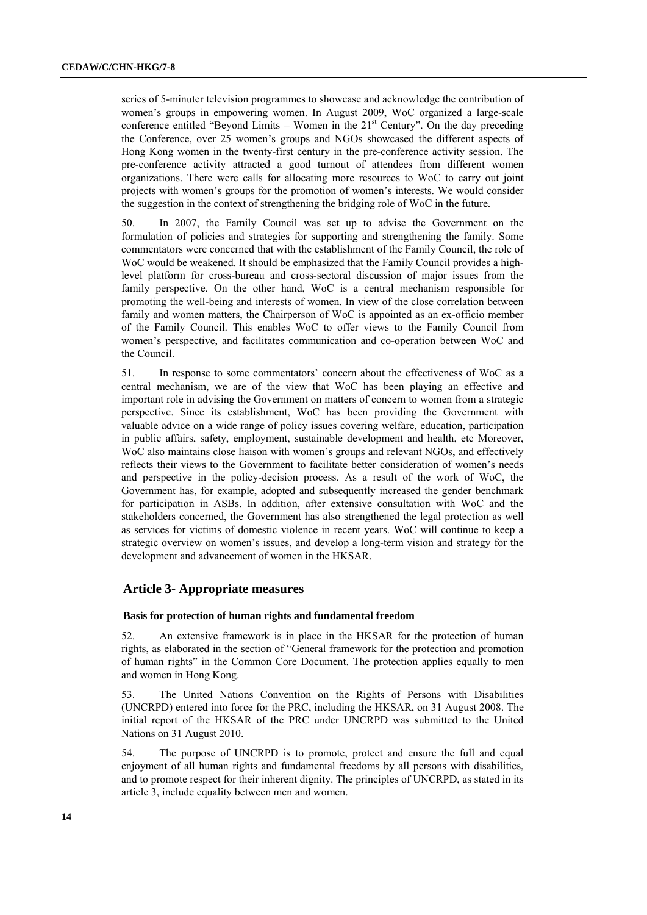series of 5-minuter television programmes to showcase and acknowledge the contribution of women's groups in empowering women. In August 2009, WoC organized a large-scale conference entitled "Beyond Limits – Women in the  $21<sup>st</sup>$  Century". On the day preceding the Conference, over 25 women's groups and NGOs showcased the different aspects of Hong Kong women in the twenty-first century in the pre-conference activity session. The pre-conference activity attracted a good turnout of attendees from different women organizations. There were calls for allocating more resources to WoC to carry out joint projects with women's groups for the promotion of women's interests. We would consider the suggestion in the context of strengthening the bridging role of WoC in the future.

50. In 2007, the Family Council was set up to advise the Government on the formulation of policies and strategies for supporting and strengthening the family. Some commentators were concerned that with the establishment of the Family Council, the role of WoC would be weakened. It should be emphasized that the Family Council provides a highlevel platform for cross-bureau and cross-sectoral discussion of major issues from the family perspective. On the other hand, WoC is a central mechanism responsible for promoting the well-being and interests of women. In view of the close correlation between family and women matters, the Chairperson of WoC is appointed as an ex-officio member of the Family Council. This enables WoC to offer views to the Family Council from women's perspective, and facilitates communication and co-operation between WoC and the Council.

51. In response to some commentators' concern about the effectiveness of WoC as a central mechanism, we are of the view that WoC has been playing an effective and important role in advising the Government on matters of concern to women from a strategic perspective. Since its establishment, WoC has been providing the Government with valuable advice on a wide range of policy issues covering welfare, education, participation in public affairs, safety, employment, sustainable development and health, etc Moreover, WoC also maintains close liaison with women's groups and relevant NGOs, and effectively reflects their views to the Government to facilitate better consideration of women's needs and perspective in the policy-decision process. As a result of the work of WoC, the Government has, for example, adopted and subsequently increased the gender benchmark for participation in ASBs. In addition, after extensive consultation with WoC and the stakeholders concerned, the Government has also strengthened the legal protection as well as services for victims of domestic violence in recent years. WoC will continue to keep a strategic overview on women's issues, and develop a long-term vision and strategy for the development and advancement of women in the HKSAR.

## **Article 3- Appropriate measures**

#### **Basis for protection of human rights and fundamental freedom**

52. An extensive framework is in place in the HKSAR for the protection of human rights, as elaborated in the section of "General framework for the protection and promotion of human rights" in the Common Core Document. The protection applies equally to men and women in Hong Kong.

53. The United Nations Convention on the Rights of Persons with Disabilities (UNCRPD) entered into force for the PRC, including the HKSAR, on 31 August 2008. The initial report of the HKSAR of the PRC under UNCRPD was submitted to the United Nations on 31 August 2010.

54. The purpose of UNCRPD is to promote, protect and ensure the full and equal enjoyment of all human rights and fundamental freedoms by all persons with disabilities, and to promote respect for their inherent dignity. The principles of UNCRPD, as stated in its article 3, include equality between men and women.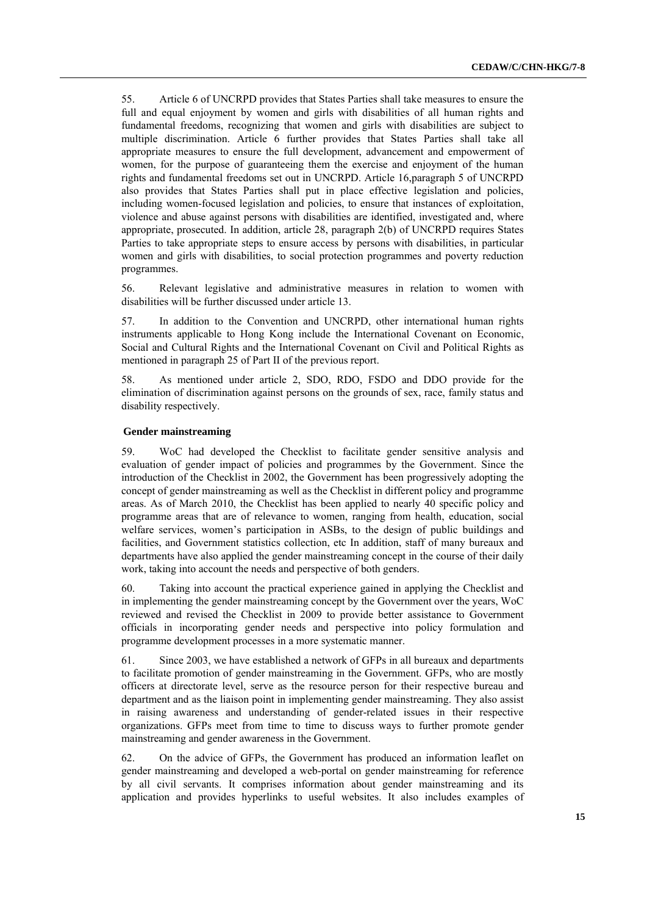55. Article 6 of UNCRPD provides that States Parties shall take measures to ensure the full and equal enjoyment by women and girls with disabilities of all human rights and fundamental freedoms, recognizing that women and girls with disabilities are subject to multiple discrimination. Article 6 further provides that States Parties shall take all appropriate measures to ensure the full development, advancement and empowerment of women, for the purpose of guaranteeing them the exercise and enjoyment of the human rights and fundamental freedoms set out in UNCRPD. Article 16,paragraph 5 of UNCRPD also provides that States Parties shall put in place effective legislation and policies, including women-focused legislation and policies, to ensure that instances of exploitation, violence and abuse against persons with disabilities are identified, investigated and, where appropriate, prosecuted. In addition, article 28, paragraph 2(b) of UNCRPD requires States Parties to take appropriate steps to ensure access by persons with disabilities, in particular women and girls with disabilities, to social protection programmes and poverty reduction programmes.

56. Relevant legislative and administrative measures in relation to women with disabilities will be further discussed under article 13.

57. In addition to the Convention and UNCRPD, other international human rights instruments applicable to Hong Kong include the International Covenant on Economic, Social and Cultural Rights and the International Covenant on Civil and Political Rights as mentioned in paragraph 25 of Part II of the previous report.

58. As mentioned under article 2, SDO, RDO, FSDO and DDO provide for the elimination of discrimination against persons on the grounds of sex, race, family status and disability respectively.

#### **Gender mainstreaming**

59. WoC had developed the Checklist to facilitate gender sensitive analysis and evaluation of gender impact of policies and programmes by the Government. Since the introduction of the Checklist in 2002, the Government has been progressively adopting the concept of gender mainstreaming as well as the Checklist in different policy and programme areas. As of March 2010, the Checklist has been applied to nearly 40 specific policy and programme areas that are of relevance to women, ranging from health, education, social welfare services, women's participation in ASBs, to the design of public buildings and facilities, and Government statistics collection, etc In addition, staff of many bureaux and departments have also applied the gender mainstreaming concept in the course of their daily work, taking into account the needs and perspective of both genders.

60. Taking into account the practical experience gained in applying the Checklist and in implementing the gender mainstreaming concept by the Government over the years, WoC reviewed and revised the Checklist in 2009 to provide better assistance to Government officials in incorporating gender needs and perspective into policy formulation and programme development processes in a more systematic manner.

61. Since 2003, we have established a network of GFPs in all bureaux and departments to facilitate promotion of gender mainstreaming in the Government. GFPs, who are mostly officers at directorate level, serve as the resource person for their respective bureau and department and as the liaison point in implementing gender mainstreaming. They also assist in raising awareness and understanding of gender-related issues in their respective organizations. GFPs meet from time to time to discuss ways to further promote gender mainstreaming and gender awareness in the Government.

62. On the advice of GFPs, the Government has produced an information leaflet on gender mainstreaming and developed a web-portal on gender mainstreaming for reference by all civil servants. It comprises information about gender mainstreaming and its application and provides hyperlinks to useful websites. It also includes examples of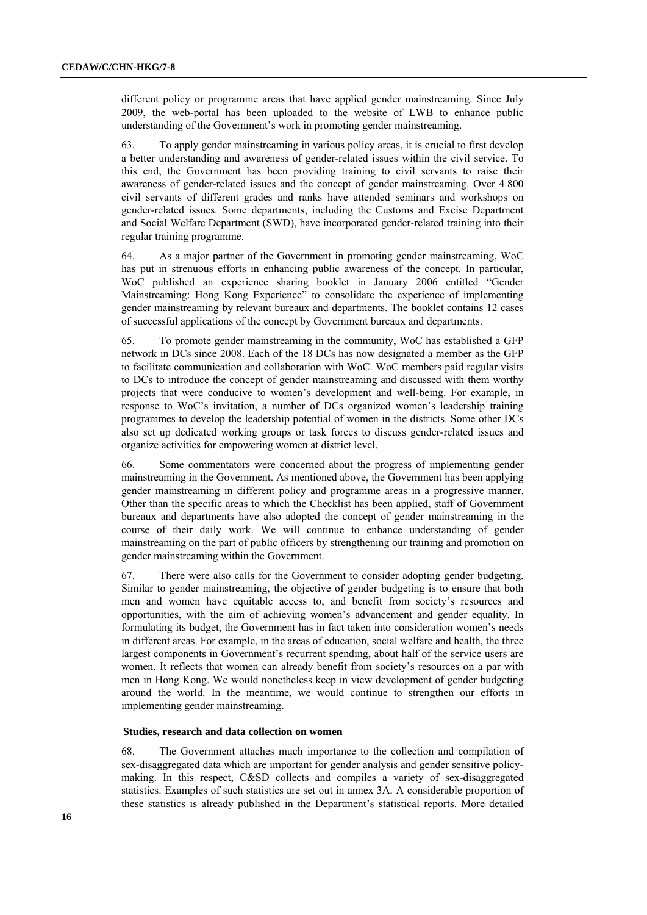different policy or programme areas that have applied gender mainstreaming. Since July 2009, the web-portal has been uploaded to the website of LWB to enhance public understanding of the Government's work in promoting gender mainstreaming.

63. To apply gender mainstreaming in various policy areas, it is crucial to first develop a better understanding and awareness of gender-related issues within the civil service. To this end, the Government has been providing training to civil servants to raise their awareness of gender-related issues and the concept of gender mainstreaming. Over 4 800 civil servants of different grades and ranks have attended seminars and workshops on gender-related issues. Some departments, including the Customs and Excise Department and Social Welfare Department (SWD), have incorporated gender-related training into their regular training programme.

64. As a major partner of the Government in promoting gender mainstreaming, WoC has put in strenuous efforts in enhancing public awareness of the concept. In particular, WoC published an experience sharing booklet in January 2006 entitled "Gender Mainstreaming: Hong Kong Experience" to consolidate the experience of implementing gender mainstreaming by relevant bureaux and departments. The booklet contains 12 cases of successful applications of the concept by Government bureaux and departments.

65. To promote gender mainstreaming in the community, WoC has established a GFP network in DCs since 2008. Each of the 18 DCs has now designated a member as the GFP to facilitate communication and collaboration with WoC. WoC members paid regular visits to DCs to introduce the concept of gender mainstreaming and discussed with them worthy projects that were conducive to women's development and well-being. For example, in response to WoC's invitation, a number of DCs organized women's leadership training programmes to develop the leadership potential of women in the districts. Some other DCs also set up dedicated working groups or task forces to discuss gender-related issues and organize activities for empowering women at district level.

66. Some commentators were concerned about the progress of implementing gender mainstreaming in the Government. As mentioned above, the Government has been applying gender mainstreaming in different policy and programme areas in a progressive manner. Other than the specific areas to which the Checklist has been applied, staff of Government bureaux and departments have also adopted the concept of gender mainstreaming in the course of their daily work. We will continue to enhance understanding of gender mainstreaming on the part of public officers by strengthening our training and promotion on gender mainstreaming within the Government.

67. There were also calls for the Government to consider adopting gender budgeting. Similar to gender mainstreaming, the objective of gender budgeting is to ensure that both men and women have equitable access to, and benefit from society's resources and opportunities, with the aim of achieving women's advancement and gender equality. In formulating its budget, the Government has in fact taken into consideration women's needs in different areas. For example, in the areas of education, social welfare and health, the three largest components in Government's recurrent spending, about half of the service users are women. It reflects that women can already benefit from society's resources on a par with men in Hong Kong. We would nonetheless keep in view development of gender budgeting around the world. In the meantime, we would continue to strengthen our efforts in implementing gender mainstreaming.

## **Studies, research and data collection on women**

68. The Government attaches much importance to the collection and compilation of sex-disaggregated data which are important for gender analysis and gender sensitive policymaking. In this respect, C&SD collects and compiles a variety of sex-disaggregated statistics. Examples of such statistics are set out in annex 3A*.* A considerable proportion of these statistics is already published in the Department's statistical reports. More detailed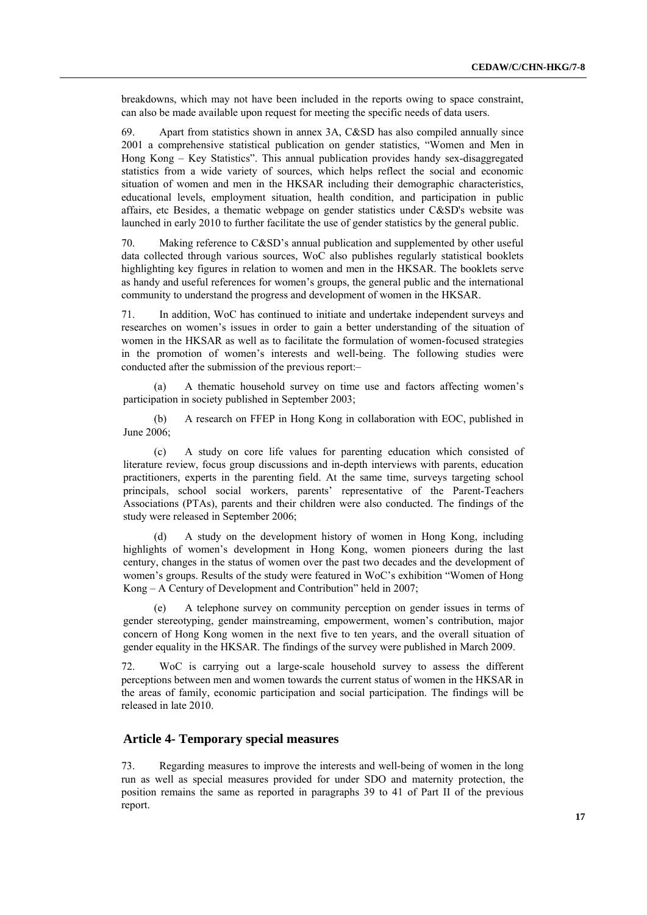breakdowns, which may not have been included in the reports owing to space constraint, can also be made available upon request for meeting the specific needs of data users.

69. Apart from statistics shown in annex 3A, C&SD has also compiled annually since 2001 a comprehensive statistical publication on gender statistics, "Women and Men in Hong Kong – Key Statistics". This annual publication provides handy sex-disaggregated statistics from a wide variety of sources, which helps reflect the social and economic situation of women and men in the HKSAR including their demographic characteristics, educational levels, employment situation, health condition, and participation in public affairs, etc Besides, a thematic webpage on gender statistics under C&SD's website was launched in early 2010 to further facilitate the use of gender statistics by the general public.

70. Making reference to C&SD's annual publication and supplemented by other useful data collected through various sources, WoC also publishes regularly statistical booklets highlighting key figures in relation to women and men in the HKSAR. The booklets serve as handy and useful references for women's groups, the general public and the international community to understand the progress and development of women in the HKSAR.

71. In addition, WoC has continued to initiate and undertake independent surveys and researches on women's issues in order to gain a better understanding of the situation of women in the HKSAR as well as to facilitate the formulation of women-focused strategies in the promotion of women's interests and well-being. The following studies were conducted after the submission of the previous report:–

A thematic household survey on time use and factors affecting women's participation in society published in September 2003;

(b) A research on FFEP in Hong Kong in collaboration with EOC, published in June 2006;

(c) A study on core life values for parenting education which consisted of literature review, focus group discussions and in-depth interviews with parents, education practitioners, experts in the parenting field. At the same time, surveys targeting school principals, school social workers, parents' representative of the Parent-Teachers Associations (PTAs), parents and their children were also conducted. The findings of the study were released in September 2006;

(d) A study on the development history of women in Hong Kong, including highlights of women's development in Hong Kong, women pioneers during the last century, changes in the status of women over the past two decades and the development of women's groups. Results of the study were featured in WoC's exhibition "Women of Hong Kong – A Century of Development and Contribution" held in 2007;

(e) A telephone survey on community perception on gender issues in terms of gender stereotyping, gender mainstreaming, empowerment, women's contribution, major concern of Hong Kong women in the next five to ten years, and the overall situation of gender equality in the HKSAR. The findings of the survey were published in March 2009.

72. WoC is carrying out a large-scale household survey to assess the different perceptions between men and women towards the current status of women in the HKSAR in the areas of family, economic participation and social participation. The findings will be released in late 2010.

## **Article 4- Temporary special measures**

73. Regarding measures to improve the interests and well-being of women in the long run as well as special measures provided for under SDO and maternity protection, the position remains the same as reported in paragraphs 39 to 41 of Part II of the previous report.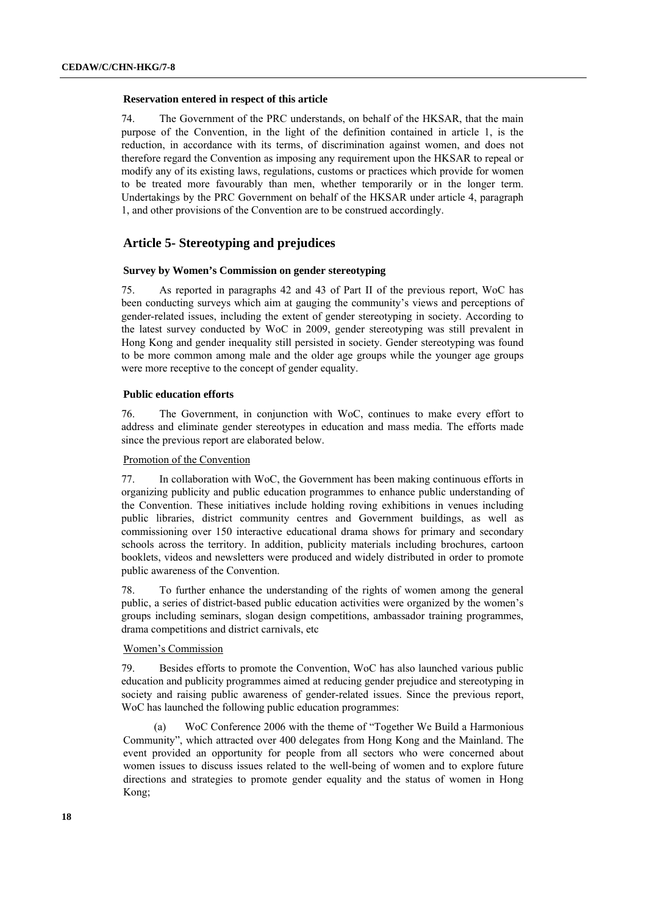#### **Reservation entered in respect of this article**

74. The Government of the PRC understands, on behalf of the HKSAR, that the main purpose of the Convention, in the light of the definition contained in article 1, is the reduction, in accordance with its terms, of discrimination against women, and does not therefore regard the Convention as imposing any requirement upon the HKSAR to repeal or modify any of its existing laws, regulations, customs or practices which provide for women to be treated more favourably than men, whether temporarily or in the longer term. Undertakings by the PRC Government on behalf of the HKSAR under article 4, paragraph 1, and other provisions of the Convention are to be construed accordingly.

## **Article 5- Stereotyping and prejudices**

#### **Survey by Women's Commission on gender stereotyping**

75. As reported in paragraphs 42 and 43 of Part II of the previous report, WoC has been conducting surveys which aim at gauging the community's views and perceptions of gender-related issues, including the extent of gender stereotyping in society. According to the latest survey conducted by WoC in 2009, gender stereotyping was still prevalent in Hong Kong and gender inequality still persisted in society. Gender stereotyping was found to be more common among male and the older age groups while the younger age groups were more receptive to the concept of gender equality.

## **Public education efforts**

76. The Government, in conjunction with WoC, continues to make every effort to address and eliminate gender stereotypes in education and mass media. The efforts made since the previous report are elaborated below.

#### Promotion of the Convention

77. In collaboration with WoC, the Government has been making continuous efforts in organizing publicity and public education programmes to enhance public understanding of the Convention. These initiatives include holding roving exhibitions in venues including public libraries, district community centres and Government buildings, as well as commissioning over 150 interactive educational drama shows for primary and secondary schools across the territory. In addition, publicity materials including brochures, cartoon booklets, videos and newsletters were produced and widely distributed in order to promote public awareness of the Convention.

78. To further enhance the understanding of the rights of women among the general public, a series of district-based public education activities were organized by the women's groups including seminars, slogan design competitions, ambassador training programmes, drama competitions and district carnivals, etc

#### <sup>U</sup>Women's Commission

79. Besides efforts to promote the Convention, WoC has also launched various public education and publicity programmes aimed at reducing gender prejudice and stereotyping in society and raising public awareness of gender-related issues. Since the previous report, WoC has launched the following public education programmes:

(a) WoC Conference 2006 with the theme of "Together We Build a Harmonious Community", which attracted over 400 delegates from Hong Kong and the Mainland. The event provided an opportunity for people from all sectors who were concerned about women issues to discuss issues related to the well-being of women and to explore future directions and strategies to promote gender equality and the status of women in Hong Kong;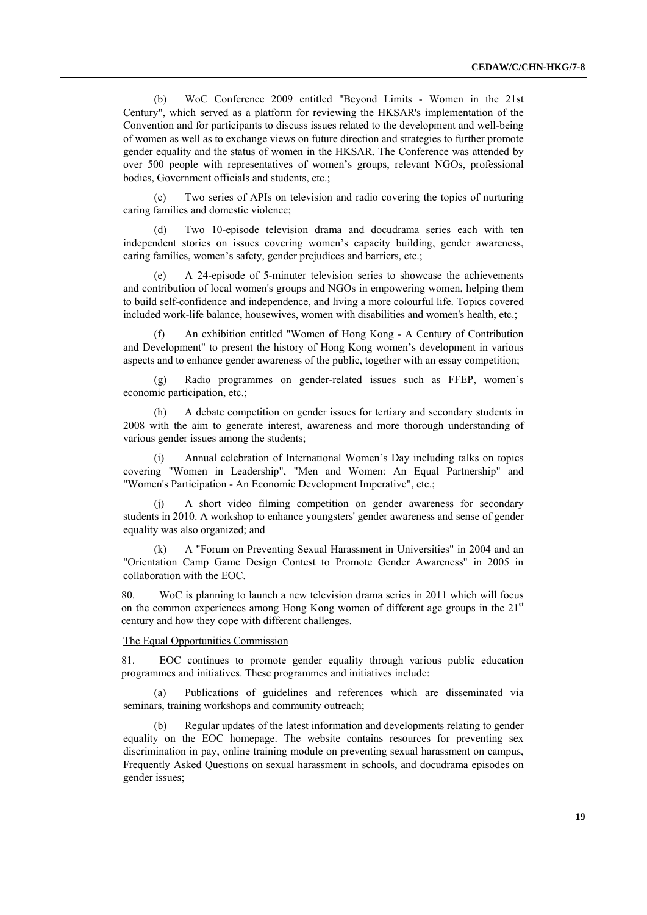(b) WoC Conference 2009 entitled "Beyond Limits - Women in the 21st Century", which served as a platform for reviewing the HKSAR's implementation of the Convention and for participants to discuss issues related to the development and well-being of women as well as to exchange views on future direction and strategies to further promote gender equality and the status of women in the HKSAR. The Conference was attended by over 500 people with representatives of women's groups, relevant NGOs, professional bodies, Government officials and students, etc.;

(c) Two series of APIs on television and radio covering the topics of nurturing caring families and domestic violence;

(d) Two 10-episode television drama and docudrama series each with ten independent stories on issues covering women's capacity building, gender awareness, caring families, women's safety, gender prejudices and barriers, etc.;

(e) A 24-episode of 5-minuter television series to showcase the achievements and contribution of local women's groups and NGOs in empowering women, helping them to build self-confidence and independence, and living a more colourful life. Topics covered included work-life balance, housewives, women with disabilities and women's health, etc.;

An exhibition entitled "Women of Hong Kong - A Century of Contribution and Development" to present the history of Hong Kong women's development in various aspects and to enhance gender awareness of the public, together with an essay competition;

(g) Radio programmes on gender-related issues such as FFEP, women's economic participation, etc.;

(h) A debate competition on gender issues for tertiary and secondary students in 2008 with the aim to generate interest, awareness and more thorough understanding of various gender issues among the students;

Annual celebration of International Women's Day including talks on topics covering "Women in Leadership", "Men and Women: An Equal Partnership" and "Women's Participation - An Economic Development Imperative", etc.;

(j) A short video filming competition on gender awareness for secondary students in 2010. A workshop to enhance youngsters' gender awareness and sense of gender equality was also organized; and

(k) A "Forum on Preventing Sexual Harassment in Universities" in 2004 and an "Orientation Camp Game Design Contest to Promote Gender Awareness" in 2005 in collaboration with the EOC.

80. WoC is planning to launch a new television drama series in 2011 which will focus on the common experiences among Hong Kong women of different age groups in the  $21<sup>st</sup>$ century and how they cope with different challenges.

## The Equal Opportunities Commission

81. EOC continues to promote gender equality through various public education programmes and initiatives. These programmes and initiatives include:

(a) Publications of guidelines and references which are disseminated via seminars, training workshops and community outreach;

Regular updates of the latest information and developments relating to gender equality on the EOC homepage. The website contains resources for preventing sex discrimination in pay, online training module on preventing sexual harassment on campus, Frequently Asked Questions on sexual harassment in schools, and docudrama episodes on gender issues;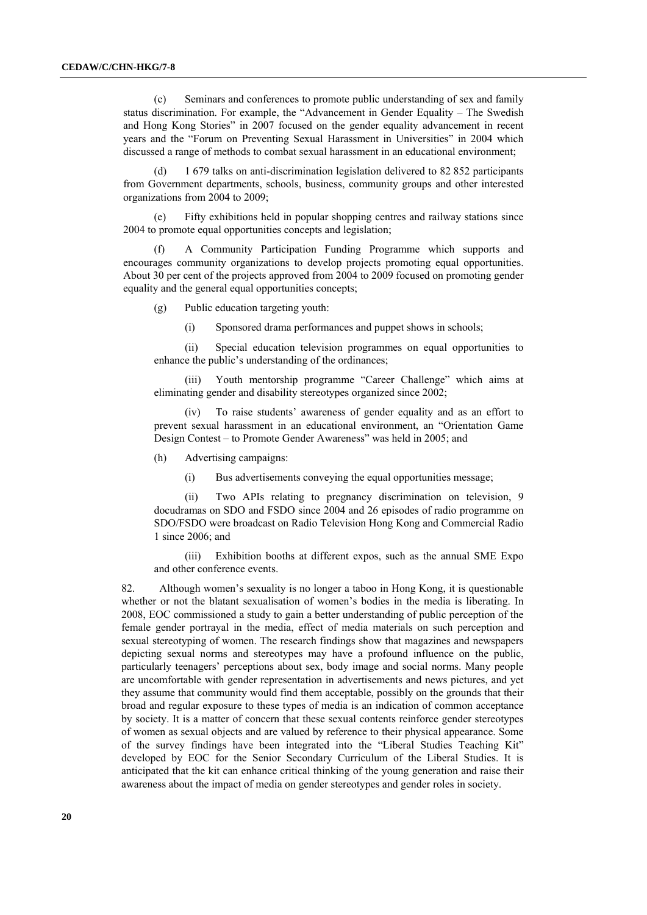(c) Seminars and conferences to promote public understanding of sex and family status discrimination. For example, the "Advancement in Gender Equality – The Swedish and Hong Kong Stories" in 2007 focused on the gender equality advancement in recent years and the "Forum on Preventing Sexual Harassment in Universities" in 2004 which discussed a range of methods to combat sexual harassment in an educational environment;

(d) 1 679 talks on anti-discrimination legislation delivered to 82 852 participants from Government departments, schools, business, community groups and other interested organizations from 2004 to 2009;

Fifty exhibitions held in popular shopping centres and railway stations since 2004 to promote equal opportunities concepts and legislation;

(f) A Community Participation Funding Programme which supports and encourages community organizations to develop projects promoting equal opportunities. About 30 per cent of the projects approved from 2004 to 2009 focused on promoting gender equality and the general equal opportunities concepts;

(g) Public education targeting youth:

(i) Sponsored drama performances and puppet shows in schools;

(ii) Special education television programmes on equal opportunities to enhance the public's understanding of the ordinances;

(iii) Youth mentorship programme "Career Challenge" which aims at eliminating gender and disability stereotypes organized since 2002;

(iv) To raise students' awareness of gender equality and as an effort to prevent sexual harassment in an educational environment, an "Orientation Game Design Contest – to Promote Gender Awareness" was held in 2005; and

(h) Advertising campaigns:

(i) Bus advertisements conveying the equal opportunities message;

(ii) Two APIs relating to pregnancy discrimination on television, 9 docudramas on SDO and FSDO since 2004 and 26 episodes of radio programme on SDO/FSDO were broadcast on Radio Television Hong Kong and Commercial Radio 1 since 2006; and

(iii) Exhibition booths at different expos, such as the annual SME Expo and other conference events.

82. Although women's sexuality is no longer a taboo in Hong Kong, it is questionable whether or not the blatant sexualisation of women's bodies in the media is liberating. In 2008, EOC commissioned a study to gain a better understanding of public perception of the female gender portrayal in the media, effect of media materials on such perception and sexual stereotyping of women. The research findings show that magazines and newspapers depicting sexual norms and stereotypes may have a profound influence on the public, particularly teenagers' perceptions about sex, body image and social norms. Many people are uncomfortable with gender representation in advertisements and news pictures, and yet they assume that community would find them acceptable, possibly on the grounds that their broad and regular exposure to these types of media is an indication of common acceptance by society. It is a matter of concern that these sexual contents reinforce gender stereotypes of women as sexual objects and are valued by reference to their physical appearance. Some of the survey findings have been integrated into the "Liberal Studies Teaching Kit" developed by EOC for the Senior Secondary Curriculum of the Liberal Studies. It is anticipated that the kit can enhance critical thinking of the young generation and raise their awareness about the impact of media on gender stereotypes and gender roles in society.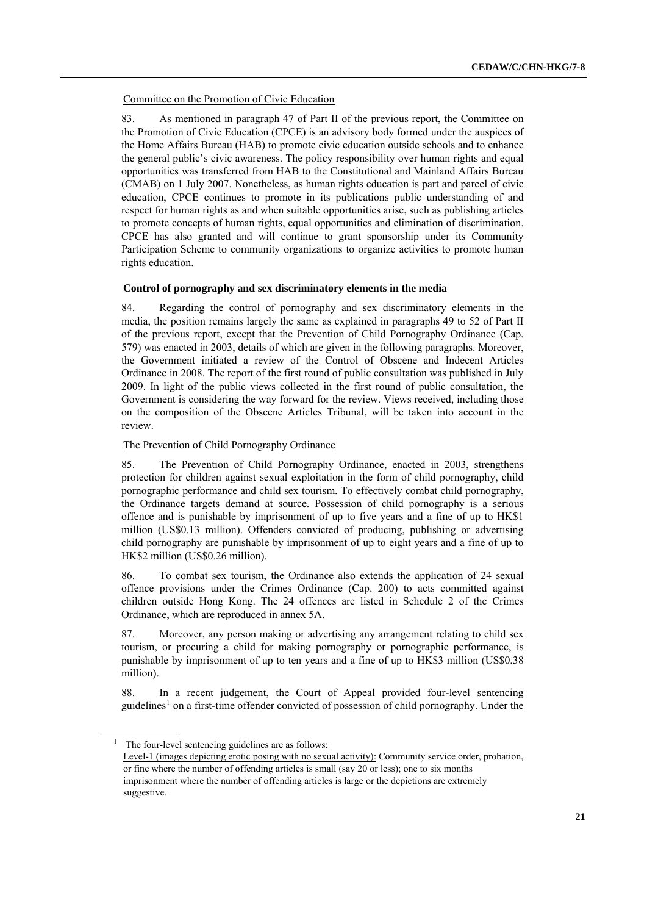<sup>U</sup>Committee on the Promotion of Civic Education

83. As mentioned in paragraph 47 of Part II of the previous report, the Committee on the Promotion of Civic Education (CPCE) is an advisory body formed under the auspices of the Home Affairs Bureau (HAB) to promote civic education outside schools and to enhance the general public's civic awareness. The policy responsibility over human rights and equal opportunities was transferred from HAB to the Constitutional and Mainland Affairs Bureau (CMAB) on 1 July 2007. Nonetheless, as human rights education is part and parcel of civic education, CPCE continues to promote in its publications public understanding of and respect for human rights as and when suitable opportunities arise, such as publishing articles to promote concepts of human rights, equal opportunities and elimination of discrimination. CPCE has also granted and will continue to grant sponsorship under its Community Participation Scheme to community organizations to organize activities to promote human rights education.

### **Control of pornography and sex discriminatory elements in the media**

84. Regarding the control of pornography and sex discriminatory elements in the media, the position remains largely the same as explained in paragraphs 49 to 52 of Part II of the previous report, except that the Prevention of Child Pornography Ordinance (Cap. 579) was enacted in 2003, details of which are given in the following paragraphs. Moreover, the Government initiated a review of the Control of Obscene and Indecent Articles Ordinance in 2008. The report of the first round of public consultation was published in July 2009. In light of the public views collected in the first round of public consultation, the Government is considering the way forward for the review. Views received, including those on the composition of the Obscene Articles Tribunal, will be taken into account in the review.

## The Prevention of Child Pornography Ordinance

85. The Prevention of Child Pornography Ordinance, enacted in 2003, strengthens protection for children against sexual exploitation in the form of child pornography, child pornographic performance and child sex tourism. To effectively combat child pornography, the Ordinance targets demand at source. Possession of child pornography is a serious offence and is punishable by imprisonment of up to five years and a fine of up to HK\$1 million (US\$0.13 million). Offenders convicted of producing, publishing or advertising child pornography are punishable by imprisonment of up to eight years and a fine of up to HK\$2 million (US\$0.26 million).

86. To combat sex tourism, the Ordinance also extends the application of 24 sexual offence provisions under the Crimes Ordinance (Cap. 200) to acts committed against children outside Hong Kong. The 24 offences are listed in Schedule 2 of the Crimes Ordinance, which are reproduced in annex 5A.

87. Moreover, any person making or advertising any arrangement relating to child sex tourism, or procuring a child for making pornography or pornographic performance, is punishable by imprisonment of up to ten years and a fine of up to HK\$3 million (US\$0.38 million).

88. In a recent judgement, the Court of Appeal provided four-level sentencing guidelines<sup>1</sup> on a first-time offender convicted of possession of child pornography. Under the

 $1$  The four-level sentencing guidelines are as follows: Level-1 (images depicting erotic posing with no sexual activity): Community service order, probation, or fine where the number of offending articles is small (say 20 or less); one to six months imprisonment where the number of offending articles is large or the depictions are extremely suggestive.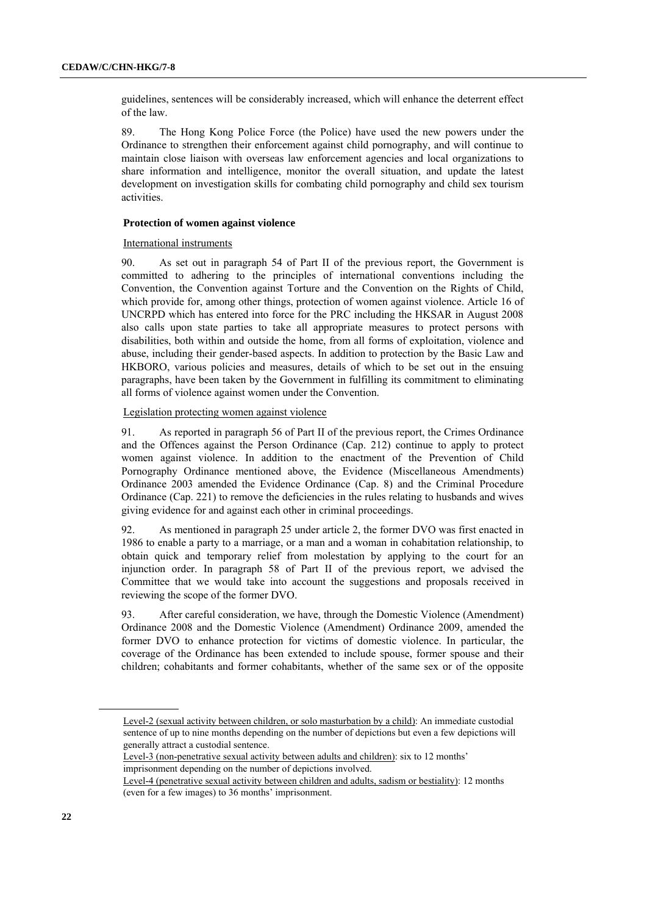guidelines, sentences will be considerably increased, which will enhance the deterrent effect of the law.

89. The Hong Kong Police Force (the Police) have used the new powers under the Ordinance to strengthen their enforcement against child pornography, and will continue to maintain close liaison with overseas law enforcement agencies and local organizations to share information and intelligence, monitor the overall situation, and update the latest development on investigation skills for combating child pornography and child sex tourism activities.

### **Protection of women against violence**

International instruments

90. As set out in paragraph 54 of Part II of the previous report, the Government is committed to adhering to the principles of international conventions including the Convention, the Convention against Torture and the Convention on the Rights of Child, which provide for, among other things, protection of women against violence. Article 16 of UNCRPD which has entered into force for the PRC including the HKSAR in August 2008 also calls upon state parties to take all appropriate measures to protect persons with disabilities, both within and outside the home, from all forms of exploitation, violence and abuse, including their gender-based aspects. In addition to protection by the Basic Law and HKBORO, various policies and measures, details of which to be set out in the ensuing paragraphs, have been taken by the Government in fulfilling its commitment to eliminating all forms of violence against women under the Convention.

Legislation protecting women against violence

91. As reported in paragraph 56 of Part II of the previous report, the Crimes Ordinance and the Offences against the Person Ordinance (Cap. 212) continue to apply to protect women against violence. In addition to the enactment of the Prevention of Child Pornography Ordinance mentioned above, the Evidence (Miscellaneous Amendments) Ordinance 2003 amended the Evidence Ordinance (Cap. 8) and the Criminal Procedure Ordinance (Cap. 221) to remove the deficiencies in the rules relating to husbands and wives giving evidence for and against each other in criminal proceedings.

92. As mentioned in paragraph 25 under article 2, the former DVO was first enacted in 1986 to enable a party to a marriage, or a man and a woman in cohabitation relationship, to obtain quick and temporary relief from molestation by applying to the court for an injunction order. In paragraph 58 of Part II of the previous report, we advised the Committee that we would take into account the suggestions and proposals received in reviewing the scope of the former DVO.

93. After careful consideration, we have, through the Domestic Violence (Amendment) Ordinance 2008 and the Domestic Violence (Amendment) Ordinance 2009, amended the former DVO to enhance protection for victims of domestic violence. In particular, the coverage of the Ordinance has been extended to include spouse, former spouse and their children; cohabitants and former cohabitants, whether of the same sex or of the opposite

Level-2 (sexual activity between children, or solo masturbation by a child): An immediate custodial sentence of up to nine months depending on the number of depictions but even a few depictions will generally attract a custodial sentence.

Level-3 (non-penetrative sexual activity between adults and children): six to 12 months' imprisonment depending on the number of depictions involved.

Level-4 (penetrative sexual activity between children and adults, sadism or bestiality): 12 months (even for a few images) to 36 months' imprisonment.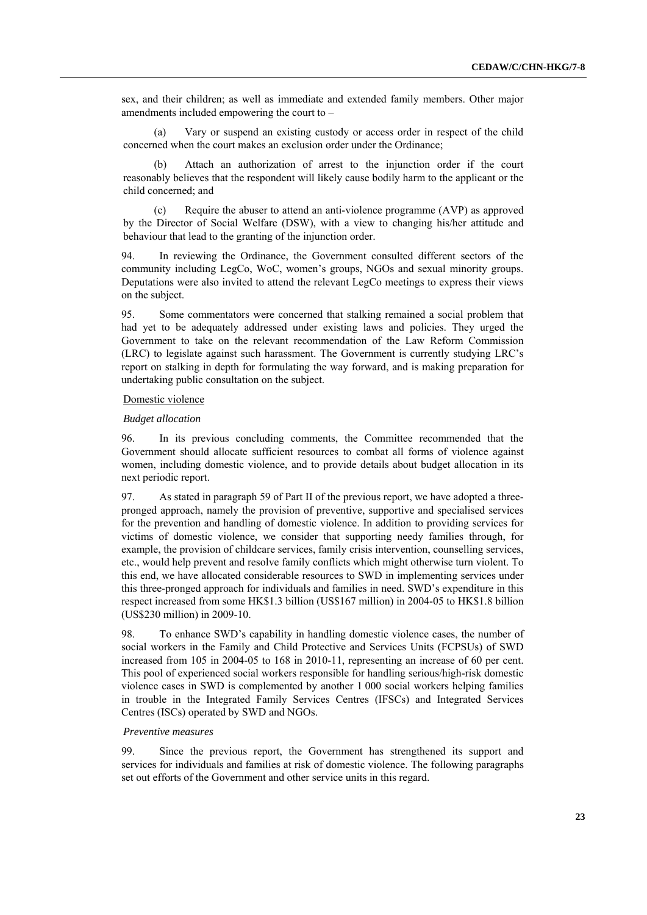sex, and their children; as well as immediate and extended family members. Other major amendments included empowering the court to –

(a) Vary or suspend an existing custody or access order in respect of the child concerned when the court makes an exclusion order under the Ordinance;

(b) Attach an authorization of arrest to the injunction order if the court reasonably believes that the respondent will likely cause bodily harm to the applicant or the child concerned; and

(c) Require the abuser to attend an anti-violence programme (AVP) as approved by the Director of Social Welfare (DSW), with a view to changing his/her attitude and behaviour that lead to the granting of the injunction order.

94. In reviewing the Ordinance, the Government consulted different sectors of the community including LegCo, WoC, women's groups, NGOs and sexual minority groups. Deputations were also invited to attend the relevant LegCo meetings to express their views on the subject.

95. Some commentators were concerned that stalking remained a social problem that had yet to be adequately addressed under existing laws and policies. They urged the Government to take on the relevant recommendation of the Law Reform Commission (LRC) to legislate against such harassment. The Government is currently studying LRC's report on stalking in depth for formulating the way forward, and is making preparation for undertaking public consultation on the subject.

## Domestic violence

#### *Budget allocation*

96. In its previous concluding comments, the Committee recommended that the Government should allocate sufficient resources to combat all forms of violence against women, including domestic violence, and to provide details about budget allocation in its next periodic report.

97. As stated in paragraph 59 of Part II of the previous report, we have adopted a threepronged approach, namely the provision of preventive, supportive and specialised services for the prevention and handling of domestic violence. In addition to providing services for victims of domestic violence, we consider that supporting needy families through, for example, the provision of childcare services, family crisis intervention, counselling services, etc., would help prevent and resolve family conflicts which might otherwise turn violent. To this end, we have allocated considerable resources to SWD in implementing services under this three-pronged approach for individuals and families in need. SWD's expenditure in this respect increased from some HK\$1.3 billion (US\$167 million) in 2004-05 to HK\$1.8 billion (US\$230 million) in 2009-10.

98. To enhance SWD's capability in handling domestic violence cases, the number of social workers in the Family and Child Protective and Services Units (FCPSUs) of SWD increased from 105 in 2004-05 to 168 in 2010-11, representing an increase of 60 per cent. This pool of experienced social workers responsible for handling serious/high-risk domestic violence cases in SWD is complemented by another 1 000 social workers helping families in trouble in the Integrated Family Services Centres (IFSCs) and Integrated Services Centres (ISCs) operated by SWD and NGOs.

#### *Preventive measures*

99. Since the previous report, the Government has strengthened its support and services for individuals and families at risk of domestic violence. The following paragraphs set out efforts of the Government and other service units in this regard.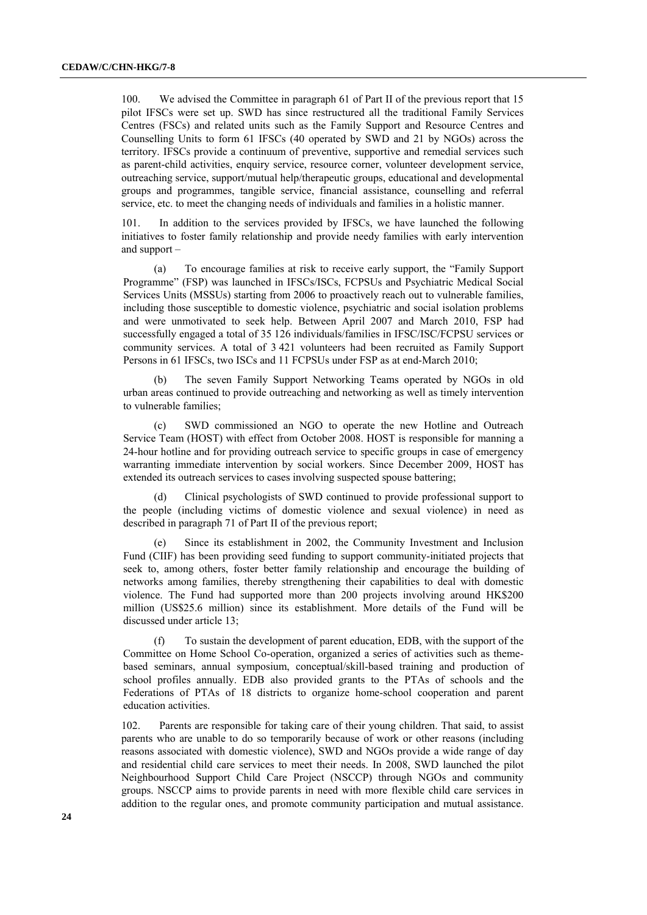100. We advised the Committee in paragraph 61 of Part II of the previous report that 15 pilot IFSCs were set up. SWD has since restructured all the traditional Family Services Centres (FSCs) and related units such as the Family Support and Resource Centres and Counselling Units to form 61 IFSCs (40 operated by SWD and 21 by NGOs) across the territory. IFSCs provide a continuum of preventive, supportive and remedial services such as parent-child activities, enquiry service, resource corner, volunteer development service, outreaching service, support/mutual help/therapeutic groups, educational and developmental groups and programmes, tangible service, financial assistance, counselling and referral service, etc. to meet the changing needs of individuals and families in a holistic manner.

101. In addition to the services provided by IFSCs, we have launched the following initiatives to foster family relationship and provide needy families with early intervention and support –

(a) To encourage families at risk to receive early support, the "Family Support Programme" (FSP) was launched in IFSCs/ISCs, FCPSUs and Psychiatric Medical Social Services Units (MSSUs) starting from 2006 to proactively reach out to vulnerable families, including those susceptible to domestic violence, psychiatric and social isolation problems and were unmotivated to seek help. Between April 2007 and March 2010, FSP had successfully engaged a total of 35 126 individuals/families in IFSC/ISC/FCPSU services or community services. A total of 3 421 volunteers had been recruited as Family Support Persons in 61 IFSCs, two ISCs and 11 FCPSUs under FSP as at end-March 2010;

(b) The seven Family Support Networking Teams operated by NGOs in old urban areas continued to provide outreaching and networking as well as timely intervention to vulnerable families;

(c) SWD commissioned an NGO to operate the new Hotline and Outreach Service Team (HOST) with effect from October 2008. HOST is responsible for manning a 24-hour hotline and for providing outreach service to specific groups in case of emergency warranting immediate intervention by social workers. Since December 2009, HOST has extended its outreach services to cases involving suspected spouse battering;

(d) Clinical psychologists of SWD continued to provide professional support to the people (including victims of domestic violence and sexual violence) in need as described in paragraph 71 of Part II of the previous report;

(e) Since its establishment in 2002, the Community Investment and Inclusion Fund (CIIF) has been providing seed funding to support community-initiated projects that seek to, among others, foster better family relationship and encourage the building of networks among families, thereby strengthening their capabilities to deal with domestic violence. The Fund had supported more than 200 projects involving around HK\$200 million (US\$25.6 million) since its establishment. More details of the Fund will be discussed under article 13;

(f) To sustain the development of parent education, EDB, with the support of the Committee on Home School Co-operation, organized a series of activities such as themebased seminars, annual symposium, conceptual/skill-based training and production of school profiles annually. EDB also provided grants to the PTAs of schools and the Federations of PTAs of 18 districts to organize home-school cooperation and parent education activities.

102. Parents are responsible for taking care of their young children. That said, to assist parents who are unable to do so temporarily because of work or other reasons (including reasons associated with domestic violence), SWD and NGOs provide a wide range of day and residential child care services to meet their needs. In 2008, SWD launched the pilot Neighbourhood Support Child Care Project (NSCCP) through NGOs and community groups. NSCCP aims to provide parents in need with more flexible child care services in addition to the regular ones, and promote community participation and mutual assistance.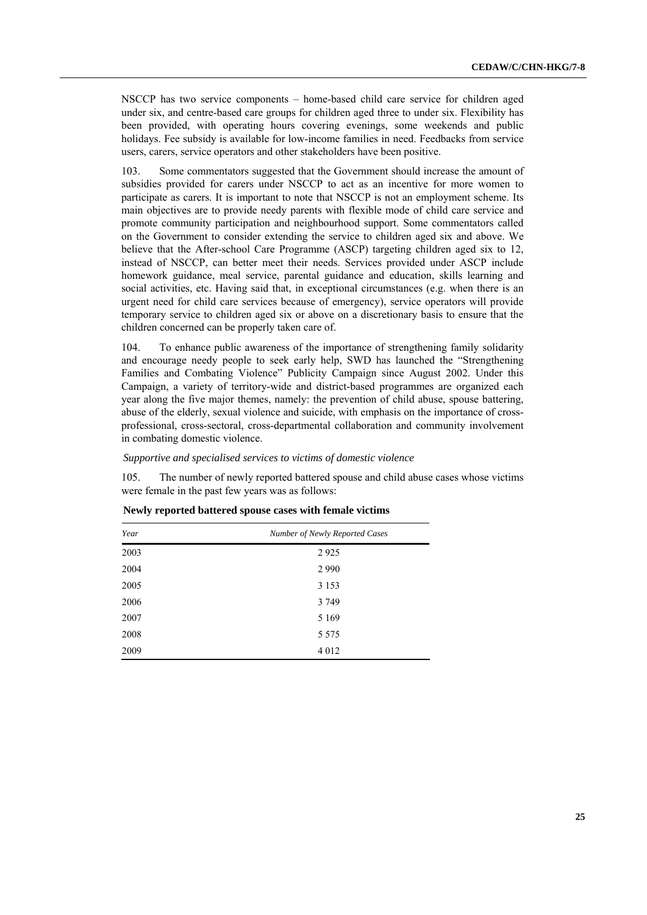NSCCP has two service components – home-based child care service for children aged under six, and centre-based care groups for children aged three to under six. Flexibility has been provided, with operating hours covering evenings, some weekends and public holidays. Fee subsidy is available for low-income families in need. Feedbacks from service users, carers, service operators and other stakeholders have been positive.

103. Some commentators suggested that the Government should increase the amount of subsidies provided for carers under NSCCP to act as an incentive for more women to participate as carers. It is important to note that NSCCP is not an employment scheme. Its main objectives are to provide needy parents with flexible mode of child care service and promote community participation and neighbourhood support. Some commentators called on the Government to consider extending the service to children aged six and above. We believe that the After-school Care Programme (ASCP) targeting children aged six to 12, instead of NSCCP, can better meet their needs. Services provided under ASCP include homework guidance, meal service, parental guidance and education, skills learning and social activities, etc. Having said that, in exceptional circumstances (e.g. when there is an urgent need for child care services because of emergency), service operators will provide temporary service to children aged six or above on a discretionary basis to ensure that the children concerned can be properly taken care of.

104. To enhance public awareness of the importance of strengthening family solidarity and encourage needy people to seek early help, SWD has launched the "Strengthening Families and Combating Violence" Publicity Campaign since August 2002. Under this Campaign, a variety of territory-wide and district-based programmes are organized each year along the five major themes, namely: the prevention of child abuse, spouse battering, abuse of the elderly, sexual violence and suicide, with emphasis on the importance of crossprofessional, cross-sectoral, cross-departmental collaboration and community involvement in combating domestic violence.

*Supportive and specialised services to victims of domestic violence* 

105. The number of newly reported battered spouse and child abuse cases whose victims were female in the past few years was as follows:

| Year | Number of Newly Reported Cases |  |
|------|--------------------------------|--|
| 2003 | 2925                           |  |
| 2004 | 2 9 9 0                        |  |
| 2005 | 3 1 5 3                        |  |
| 2006 | 3 7 4 9                        |  |
| 2007 | 5 1 6 9                        |  |
| 2008 | 5 5 7 5                        |  |
| 2009 | 4 0 1 2                        |  |

| Newly reported battered spouse cases with female victims |  |  |  |  |  |  |  |
|----------------------------------------------------------|--|--|--|--|--|--|--|
|----------------------------------------------------------|--|--|--|--|--|--|--|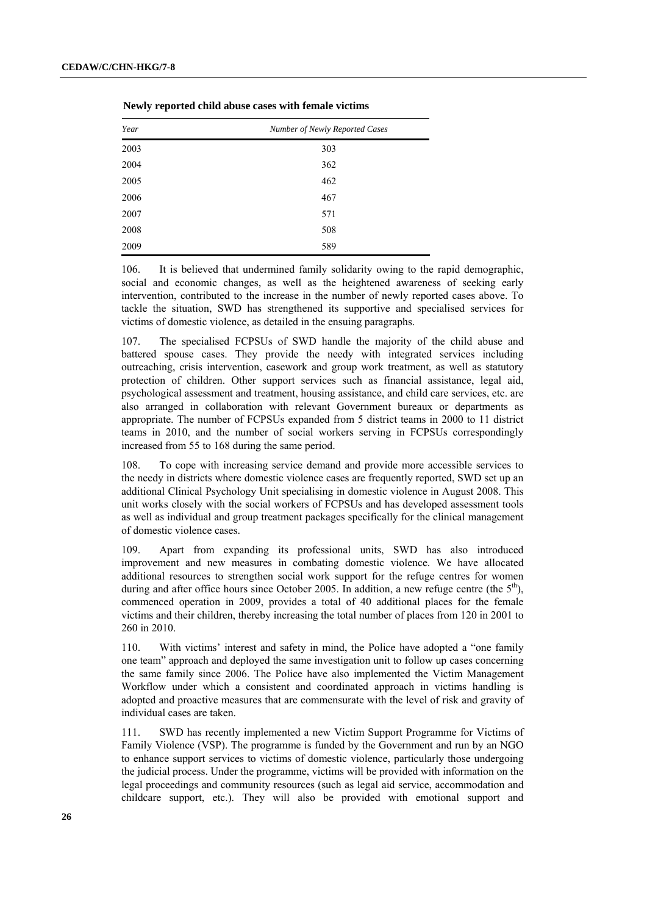| Year | Number of Newly Reported Cases |
|------|--------------------------------|
| 2003 | 303                            |
| 2004 | 362                            |
| 2005 | 462                            |
| 2006 | 467                            |
| 2007 | 571                            |
| 2008 | 508                            |
| 2009 | 589                            |

**Newly reported child abuse cases with female victims** 

106. It is believed that undermined family solidarity owing to the rapid demographic, social and economic changes, as well as the heightened awareness of seeking early intervention, contributed to the increase in the number of newly reported cases above. To tackle the situation, SWD has strengthened its supportive and specialised services for victims of domestic violence, as detailed in the ensuing paragraphs.

107. The specialised FCPSUs of SWD handle the majority of the child abuse and battered spouse cases. They provide the needy with integrated services including outreaching, crisis intervention, casework and group work treatment, as well as statutory protection of children. Other support services such as financial assistance, legal aid, psychological assessment and treatment, housing assistance, and child care services, etc. are also arranged in collaboration with relevant Government bureaux or departments as appropriate. The number of FCPSUs expanded from 5 district teams in 2000 to 11 district teams in 2010, and the number of social workers serving in FCPSUs correspondingly increased from 55 to 168 during the same period.

108. To cope with increasing service demand and provide more accessible services to the needy in districts where domestic violence cases are frequently reported, SWD set up an additional Clinical Psychology Unit specialising in domestic violence in August 2008. This unit works closely with the social workers of FCPSUs and has developed assessment tools as well as individual and group treatment packages specifically for the clinical management of domestic violence cases.

109. Apart from expanding its professional units, SWD has also introduced improvement and new measures in combating domestic violence. We have allocated additional resources to strengthen social work support for the refuge centres for women during and after office hours since October 2005. In addition, a new refuge centre (the  $5<sup>th</sup>$ ), commenced operation in 2009, provides a total of 40 additional places for the female victims and their children, thereby increasing the total number of places from 120 in 2001 to 260 in 2010.

110. With victims' interest and safety in mind, the Police have adopted a "one family one team" approach and deployed the same investigation unit to follow up cases concerning the same family since 2006. The Police have also implemented the Victim Management Workflow under which a consistent and coordinated approach in victims handling is adopted and proactive measures that are commensurate with the level of risk and gravity of individual cases are taken.

111. SWD has recently implemented a new Victim Support Programme for Victims of Family Violence (VSP). The programme is funded by the Government and run by an NGO to enhance support services to victims of domestic violence, particularly those undergoing the judicial process. Under the programme, victims will be provided with information on the legal proceedings and community resources (such as legal aid service, accommodation and childcare support, etc.). They will also be provided with emotional support and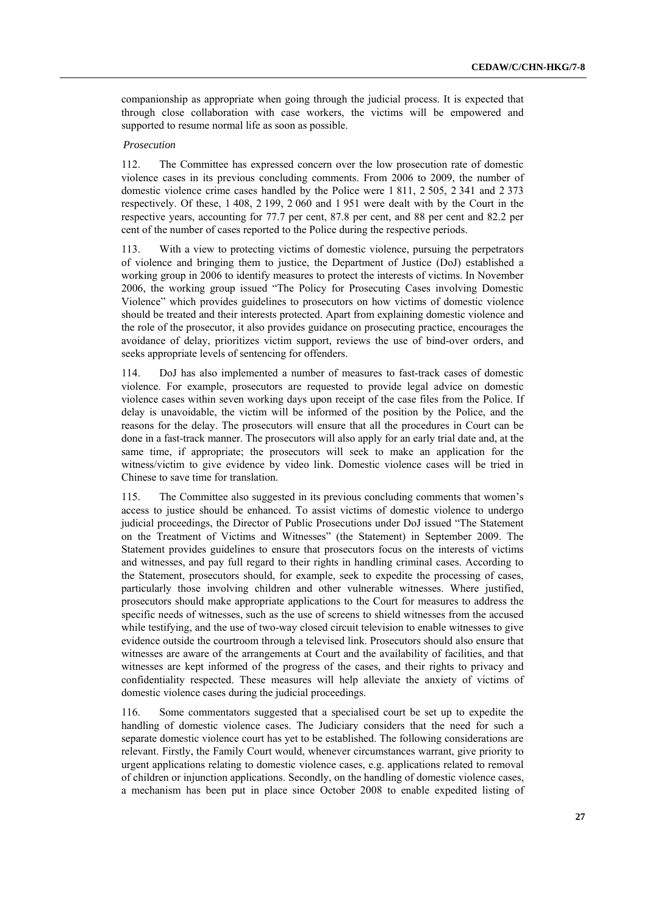companionship as appropriate when going through the judicial process. It is expected that through close collaboration with case workers, the victims will be empowered and supported to resume normal life as soon as possible.

#### *Prosecution*

112. The Committee has expressed concern over the low prosecution rate of domestic violence cases in its previous concluding comments. From 2006 to 2009, the number of domestic violence crime cases handled by the Police were 1 811, 2 505, 2 341 and 2 373 respectively. Of these, 1 408, 2 199, 2 060 and 1 951 were dealt with by the Court in the respective years, accounting for 77.7 per cent, 87.8 per cent, and 88 per cent and 82.2 per cent of the number of cases reported to the Police during the respective periods.

113. With a view to protecting victims of domestic violence, pursuing the perpetrators of violence and bringing them to justice, the Department of Justice (DoJ) established a working group in 2006 to identify measures to protect the interests of victims. In November 2006, the working group issued "The Policy for Prosecuting Cases involving Domestic Violence" which provides guidelines to prosecutors on how victims of domestic violence should be treated and their interests protected. Apart from explaining domestic violence and the role of the prosecutor, it also provides guidance on prosecuting practice, encourages the avoidance of delay, prioritizes victim support, reviews the use of bind-over orders, and seeks appropriate levels of sentencing for offenders.

114. DoJ has also implemented a number of measures to fast-track cases of domestic violence. For example, prosecutors are requested to provide legal advice on domestic violence cases within seven working days upon receipt of the case files from the Police. If delay is unavoidable, the victim will be informed of the position by the Police, and the reasons for the delay. The prosecutors will ensure that all the procedures in Court can be done in a fast-track manner. The prosecutors will also apply for an early trial date and, at the same time, if appropriate; the prosecutors will seek to make an application for the witness/victim to give evidence by video link. Domestic violence cases will be tried in Chinese to save time for translation.

115. The Committee also suggested in its previous concluding comments that women's access to justice should be enhanced. To assist victims of domestic violence to undergo judicial proceedings, the Director of Public Prosecutions under DoJ issued "The Statement on the Treatment of Victims and Witnesses" (the Statement) in September 2009. The Statement provides guidelines to ensure that prosecutors focus on the interests of victims and witnesses, and pay full regard to their rights in handling criminal cases. According to the Statement, prosecutors should, for example, seek to expedite the processing of cases, particularly those involving children and other vulnerable witnesses. Where justified, prosecutors should make appropriate applications to the Court for measures to address the specific needs of witnesses, such as the use of screens to shield witnesses from the accused while testifying, and the use of two-way closed circuit television to enable witnesses to give evidence outside the courtroom through a televised link. Prosecutors should also ensure that witnesses are aware of the arrangements at Court and the availability of facilities, and that witnesses are kept informed of the progress of the cases, and their rights to privacy and confidentiality respected. These measures will help alleviate the anxiety of victims of domestic violence cases during the judicial proceedings.

116. Some commentators suggested that a specialised court be set up to expedite the handling of domestic violence cases. The Judiciary considers that the need for such a separate domestic violence court has yet to be established. The following considerations are relevant. Firstly, the Family Court would, whenever circumstances warrant, give priority to urgent applications relating to domestic violence cases, e.g. applications related to removal of children or injunction applications. Secondly, on the handling of domestic violence cases, a mechanism has been put in place since October 2008 to enable expedited listing of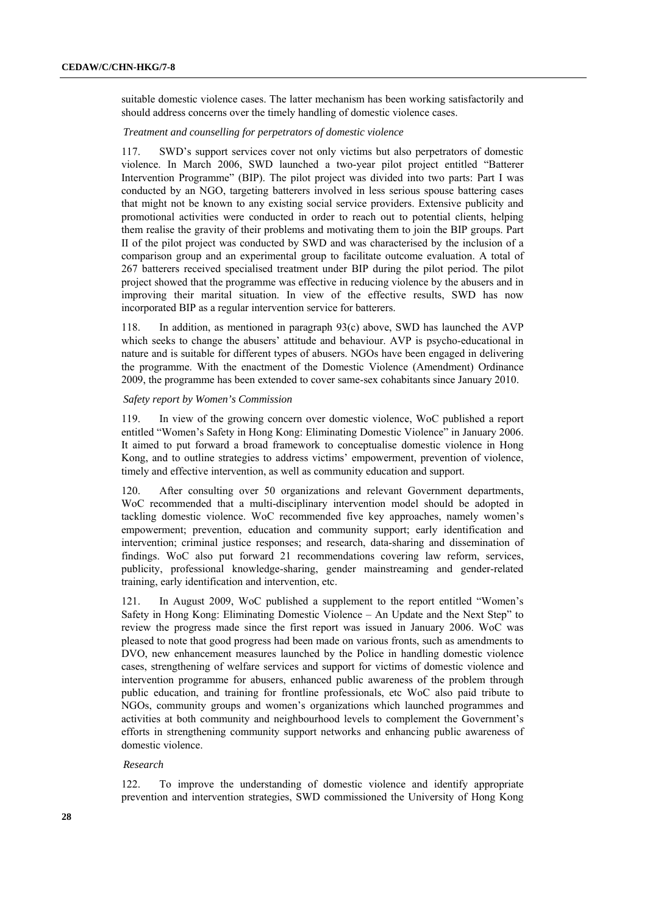suitable domestic violence cases. The latter mechanism has been working satisfactorily and should address concerns over the timely handling of domestic violence cases.

*Treatment and counselling for perpetrators of domestic violence* 

117. SWD's support services cover not only victims but also perpetrators of domestic violence. In March 2006, SWD launched a two-year pilot project entitled "Batterer Intervention Programme" (BIP). The pilot project was divided into two parts: Part I was conducted by an NGO, targeting batterers involved in less serious spouse battering cases that might not be known to any existing social service providers. Extensive publicity and promotional activities were conducted in order to reach out to potential clients, helping them realise the gravity of their problems and motivating them to join the BIP groups. Part II of the pilot project was conducted by SWD and was characterised by the inclusion of a comparison group and an experimental group to facilitate outcome evaluation. A total of 267 batterers received specialised treatment under BIP during the pilot period. The pilot project showed that the programme was effective in reducing violence by the abusers and in improving their marital situation. In view of the effective results, SWD has now incorporated BIP as a regular intervention service for batterers.

118. In addition, as mentioned in paragraph 93(c) above, SWD has launched the AVP which seeks to change the abusers' attitude and behaviour. AVP is psycho-educational in nature and is suitable for different types of abusers. NGOs have been engaged in delivering the programme. With the enactment of the Domestic Violence (Amendment) Ordinance 2009, the programme has been extended to cover same-sex cohabitants since January 2010.

## *Safety report by Women's Commission*

119. In view of the growing concern over domestic violence, WoC published a report entitled "Women's Safety in Hong Kong: Eliminating Domestic Violence" in January 2006. It aimed to put forward a broad framework to conceptualise domestic violence in Hong Kong, and to outline strategies to address victims' empowerment, prevention of violence, timely and effective intervention, as well as community education and support.

120. After consulting over 50 organizations and relevant Government departments, WoC recommended that a multi-disciplinary intervention model should be adopted in tackling domestic violence. WoC recommended five key approaches, namely women's empowerment; prevention, education and community support; early identification and intervention; criminal justice responses; and research, data-sharing and dissemination of findings. WoC also put forward 21 recommendations covering law reform, services, publicity, professional knowledge-sharing, gender mainstreaming and gender-related training, early identification and intervention, etc.

121. In August 2009, WoC published a supplement to the report entitled "Women's Safety in Hong Kong: Eliminating Domestic Violence – An Update and the Next Step" to review the progress made since the first report was issued in January 2006. WoC was pleased to note that good progress had been made on various fronts, such as amendments to DVO, new enhancement measures launched by the Police in handling domestic violence cases, strengthening of welfare services and support for victims of domestic violence and intervention programme for abusers, enhanced public awareness of the problem through public education, and training for frontline professionals, etc WoC also paid tribute to NGOs, community groups and women's organizations which launched programmes and activities at both community and neighbourhood levels to complement the Government's efforts in strengthening community support networks and enhancing public awareness of domestic violence.

#### *Research*

122. To improve the understanding of domestic violence and identify appropriate prevention and intervention strategies, SWD commissioned the University of Hong Kong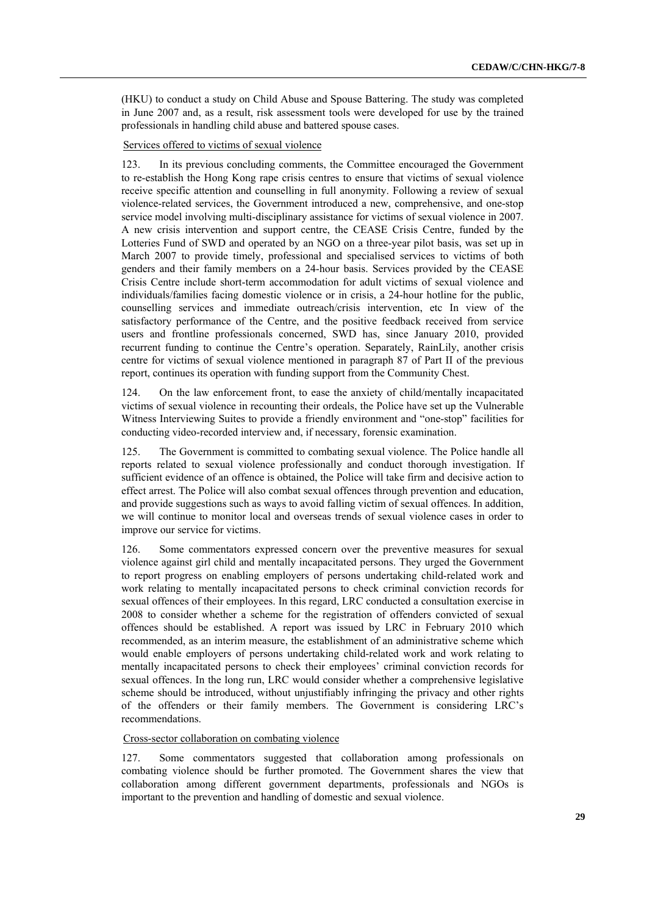(HKU) to conduct a study on Child Abuse and Spouse Battering. The study was completed in June 2007 and, as a result, risk assessment tools were developed for use by the trained professionals in handling child abuse and battered spouse cases.

#### Services offered to victims of sexual violence

123. In its previous concluding comments, the Committee encouraged the Government to re-establish the Hong Kong rape crisis centres to ensure that victims of sexual violence receive specific attention and counselling in full anonymity. Following a review of sexual violence-related services, the Government introduced a new, comprehensive, and one-stop service model involving multi-disciplinary assistance for victims of sexual violence in 2007. A new crisis intervention and support centre, the CEASE Crisis Centre, funded by the Lotteries Fund of SWD and operated by an NGO on a three-year pilot basis, was set up in March 2007 to provide timely, professional and specialised services to victims of both genders and their family members on a 24-hour basis. Services provided by the CEASE Crisis Centre include short-term accommodation for adult victims of sexual violence and individuals/families facing domestic violence or in crisis, a 24-hour hotline for the public, counselling services and immediate outreach/crisis intervention, etc In view of the satisfactory performance of the Centre, and the positive feedback received from service users and frontline professionals concerned, SWD has, since January 2010, provided recurrent funding to continue the Centre's operation. Separately, RainLily, another crisis centre for victims of sexual violence mentioned in paragraph 87 of Part II of the previous report, continues its operation with funding support from the Community Chest.

124. On the law enforcement front, to ease the anxiety of child/mentally incapacitated victims of sexual violence in recounting their ordeals, the Police have set up the Vulnerable Witness Interviewing Suites to provide a friendly environment and "one-stop" facilities for conducting video-recorded interview and, if necessary, forensic examination.

125. The Government is committed to combating sexual violence. The Police handle all reports related to sexual violence professionally and conduct thorough investigation. If sufficient evidence of an offence is obtained, the Police will take firm and decisive action to effect arrest. The Police will also combat sexual offences through prevention and education, and provide suggestions such as ways to avoid falling victim of sexual offences. In addition, we will continue to monitor local and overseas trends of sexual violence cases in order to improve our service for victims.

126. Some commentators expressed concern over the preventive measures for sexual violence against girl child and mentally incapacitated persons. They urged the Government to report progress on enabling employers of persons undertaking child-related work and work relating to mentally incapacitated persons to check criminal conviction records for sexual offences of their employees. In this regard, LRC conducted a consultation exercise in 2008 to consider whether a scheme for the registration of offenders convicted of sexual offences should be established. A report was issued by LRC in February 2010 which recommended, as an interim measure, the establishment of an administrative scheme which would enable employers of persons undertaking child-related work and work relating to mentally incapacitated persons to check their employees' criminal conviction records for sexual offences. In the long run, LRC would consider whether a comprehensive legislative scheme should be introduced, without unjustifiably infringing the privacy and other rights of the offenders or their family members. The Government is considering LRC's recommendations.

#### Cross-sector collaboration on combating violence

127. Some commentators suggested that collaboration among professionals on combating violence should be further promoted. The Government shares the view that collaboration among different government departments, professionals and NGOs is important to the prevention and handling of domestic and sexual violence.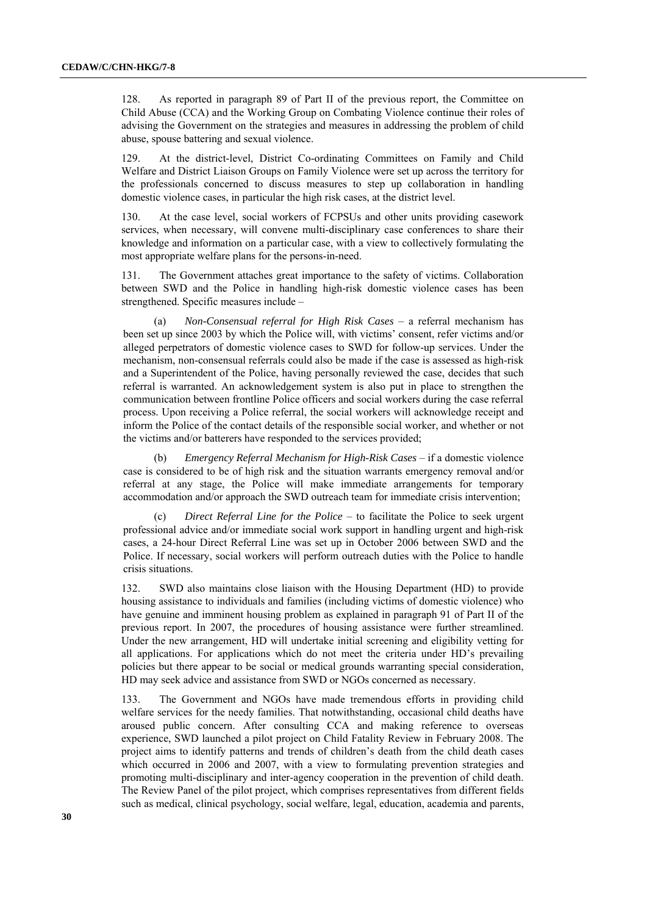128. As reported in paragraph 89 of Part II of the previous report, the Committee on Child Abuse (CCA) and the Working Group on Combating Violence continue their roles of advising the Government on the strategies and measures in addressing the problem of child abuse, spouse battering and sexual violence.

129. At the district-level, District Co-ordinating Committees on Family and Child Welfare and District Liaison Groups on Family Violence were set up across the territory for the professionals concerned to discuss measures to step up collaboration in handling domestic violence cases, in particular the high risk cases, at the district level.

130. At the case level, social workers of FCPSUs and other units providing casework services, when necessary, will convene multi-disciplinary case conferences to share their knowledge and information on a particular case, with a view to collectively formulating the most appropriate welfare plans for the persons-in-need.

131. The Government attaches great importance to the safety of victims. Collaboration between SWD and the Police in handling high-risk domestic violence cases has been strengthened. Specific measures include –

(a) *Non-Consensual referral for High Risk Cases* – a referral mechanism has been set up since 2003 by which the Police will, with victims' consent, refer victims and/or alleged perpetrators of domestic violence cases to SWD for follow-up services. Under the mechanism, non-consensual referrals could also be made if the case is assessed as high-risk and a Superintendent of the Police, having personally reviewed the case, decides that such referral is warranted. An acknowledgement system is also put in place to strengthen the communication between frontline Police officers and social workers during the case referral process. Upon receiving a Police referral, the social workers will acknowledge receipt and inform the Police of the contact details of the responsible social worker, and whether or not the victims and/or batterers have responded to the services provided;

(b) *Emergency Referral Mechanism for High-Risk Cases* – if a domestic violence case is considered to be of high risk and the situation warrants emergency removal and/or referral at any stage, the Police will make immediate arrangements for temporary accommodation and/or approach the SWD outreach team for immediate crisis intervention;

(c) *Direct Referral Line for the Police* – to facilitate the Police to seek urgent professional advice and/or immediate social work support in handling urgent and high-risk cases, a 24-hour Direct Referral Line was set up in October 2006 between SWD and the Police. If necessary, social workers will perform outreach duties with the Police to handle crisis situations.

132. SWD also maintains close liaison with the Housing Department (HD) to provide housing assistance to individuals and families (including victims of domestic violence) who have genuine and imminent housing problem as explained in paragraph 91 of Part II of the previous report. In 2007, the procedures of housing assistance were further streamlined. Under the new arrangement, HD will undertake initial screening and eligibility vetting for all applications. For applications which do not meet the criteria under HD's prevailing policies but there appear to be social or medical grounds warranting special consideration, HD may seek advice and assistance from SWD or NGOs concerned as necessary.

133. The Government and NGOs have made tremendous efforts in providing child welfare services for the needy families. That notwithstanding, occasional child deaths have aroused public concern. After consulting CCA and making reference to overseas experience, SWD launched a pilot project on Child Fatality Review in February 2008. The project aims to identify patterns and trends of children's death from the child death cases which occurred in 2006 and 2007, with a view to formulating prevention strategies and promoting multi-disciplinary and inter-agency cooperation in the prevention of child death. The Review Panel of the pilot project, which comprises representatives from different fields such as medical, clinical psychology, social welfare, legal, education, academia and parents,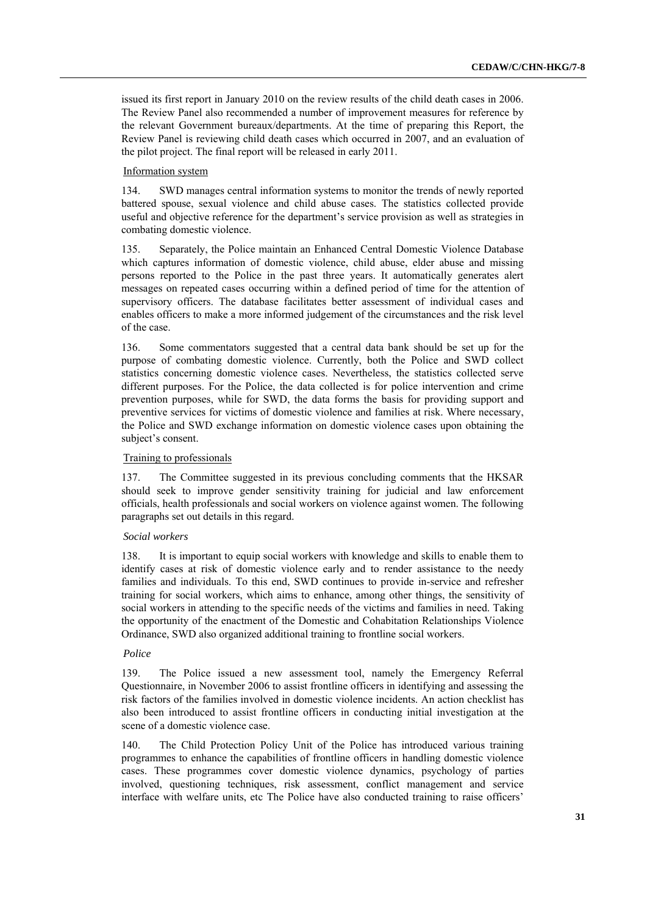issued its first report in January 2010 on the review results of the child death cases in 2006. The Review Panel also recommended a number of improvement measures for reference by the relevant Government bureaux/departments. At the time of preparing this Report, the Review Panel is reviewing child death cases which occurred in 2007, and an evaluation of the pilot project. The final report will be released in early 2011.

## Information system

134. SWD manages central information systems to monitor the trends of newly reported battered spouse, sexual violence and child abuse cases. The statistics collected provide useful and objective reference for the department's service provision as well as strategies in combating domestic violence.

135. Separately, the Police maintain an Enhanced Central Domestic Violence Database which captures information of domestic violence, child abuse, elder abuse and missing persons reported to the Police in the past three years. It automatically generates alert messages on repeated cases occurring within a defined period of time for the attention of supervisory officers. The database facilitates better assessment of individual cases and enables officers to make a more informed judgement of the circumstances and the risk level of the case.

136. Some commentators suggested that a central data bank should be set up for the purpose of combating domestic violence. Currently, both the Police and SWD collect statistics concerning domestic violence cases. Nevertheless, the statistics collected serve different purposes. For the Police, the data collected is for police intervention and crime prevention purposes, while for SWD, the data forms the basis for providing support and preventive services for victims of domestic violence and families at risk. Where necessary, the Police and SWD exchange information on domestic violence cases upon obtaining the subject's consent.

## Training to professionals

137. The Committee suggested in its previous concluding comments that the HKSAR should seek to improve gender sensitivity training for judicial and law enforcement officials, health professionals and social workers on violence against women. The following paragraphs set out details in this regard.

#### *Social workers*

138. It is important to equip social workers with knowledge and skills to enable them to identify cases at risk of domestic violence early and to render assistance to the needy families and individuals. To this end, SWD continues to provide in-service and refresher training for social workers, which aims to enhance, among other things, the sensitivity of social workers in attending to the specific needs of the victims and families in need. Taking the opportunity of the enactment of the Domestic and Cohabitation Relationships Violence Ordinance, SWD also organized additional training to frontline social workers.

## *Police*

139. The Police issued a new assessment tool, namely the Emergency Referral Questionnaire, in November 2006 to assist frontline officers in identifying and assessing the risk factors of the families involved in domestic violence incidents. An action checklist has also been introduced to assist frontline officers in conducting initial investigation at the scene of a domestic violence case.

140. The Child Protection Policy Unit of the Police has introduced various training programmes to enhance the capabilities of frontline officers in handling domestic violence cases. These programmes cover domestic violence dynamics, psychology of parties involved, questioning techniques, risk assessment, conflict management and service interface with welfare units, etc The Police have also conducted training to raise officers'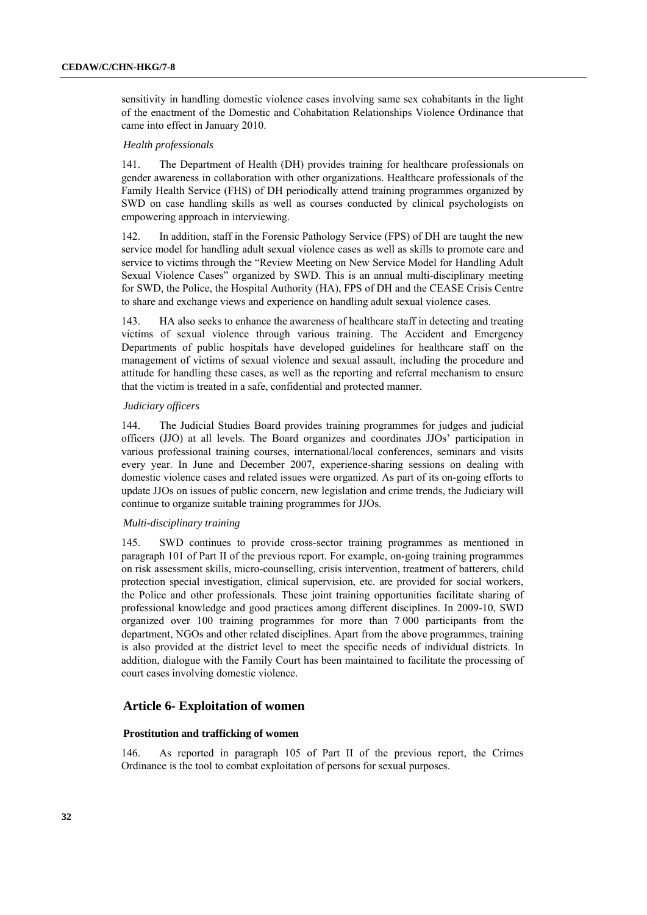sensitivity in handling domestic violence cases involving same sex cohabitants in the light of the enactment of the Domestic and Cohabitation Relationships Violence Ordinance that came into effect in January 2010.

#### *Health professionals*

141. The Department of Health (DH) provides training for healthcare professionals on gender awareness in collaboration with other organizations. Healthcare professionals of the Family Health Service (FHS) of DH periodically attend training programmes organized by SWD on case handling skills as well as courses conducted by clinical psychologists on empowering approach in interviewing.

142. In addition, staff in the Forensic Pathology Service (FPS) of DH are taught the new service model for handling adult sexual violence cases as well as skills to promote care and service to victims through the "Review Meeting on New Service Model for Handling Adult Sexual Violence Cases" organized by SWD. This is an annual multi-disciplinary meeting for SWD, the Police, the Hospital Authority (HA), FPS of DH and the CEASE Crisis Centre to share and exchange views and experience on handling adult sexual violence cases.

143. HA also seeks to enhance the awareness of healthcare staff in detecting and treating victims of sexual violence through various training. The Accident and Emergency Departments of public hospitals have developed guidelines for healthcare staff on the management of victims of sexual violence and sexual assault, including the procedure and attitude for handling these cases, as well as the reporting and referral mechanism to ensure that the victim is treated in a safe, confidential and protected manner.

#### *Judiciary officers*

144. The Judicial Studies Board provides training programmes for judges and judicial officers (JJO) at all levels. The Board organizes and coordinates JJOs' participation in various professional training courses, international/local conferences, seminars and visits every year. In June and December 2007, experience-sharing sessions on dealing with domestic violence cases and related issues were organized. As part of its on-going efforts to update JJOs on issues of public concern, new legislation and crime trends, the Judiciary will continue to organize suitable training programmes for JJOs.

#### *Multi-disciplinary training*

145. SWD continues to provide cross-sector training programmes as mentioned in paragraph 101 of Part II of the previous report. For example, on-going training programmes on risk assessment skills, micro-counselling, crisis intervention, treatment of batterers, child protection special investigation, clinical supervision, etc. are provided for social workers, the Police and other professionals. These joint training opportunities facilitate sharing of professional knowledge and good practices among different disciplines. In 2009-10, SWD organized over 100 training programmes for more than 7 000 participants from the department, NGOs and other related disciplines. Apart from the above programmes, training is also provided at the district level to meet the specific needs of individual districts. In addition, dialogue with the Family Court has been maintained to facilitate the processing of court cases involving domestic violence.

## **Article 6- Exploitation of women**

#### **Prostitution and trafficking of women**

146. As reported in paragraph 105 of Part II of the previous report, the Crimes Ordinance is the tool to combat exploitation of persons for sexual purposes.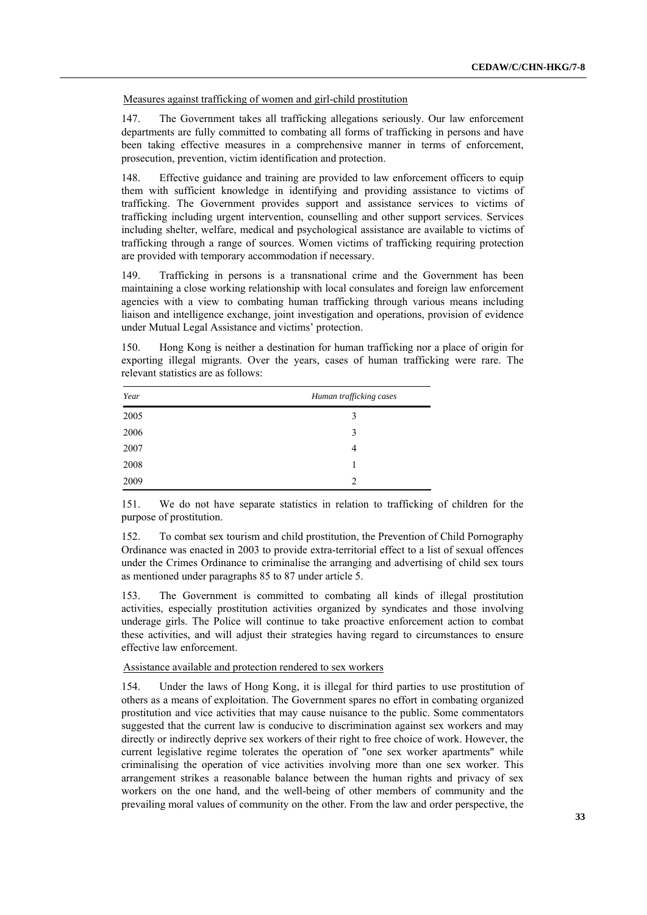Measures against trafficking of women and girl-child prostitution

147. The Government takes all trafficking allegations seriously. Our law enforcement departments are fully committed to combating all forms of trafficking in persons and have been taking effective measures in a comprehensive manner in terms of enforcement, prosecution, prevention, victim identification and protection.

148. Effective guidance and training are provided to law enforcement officers to equip them with sufficient knowledge in identifying and providing assistance to victims of trafficking. The Government provides support and assistance services to victims of trafficking including urgent intervention, counselling and other support services. Services including shelter, welfare, medical and psychological assistance are available to victims of trafficking through a range of sources. Women victims of trafficking requiring protection are provided with temporary accommodation if necessary.

149. Trafficking in persons is a transnational crime and the Government has been maintaining a close working relationship with local consulates and foreign law enforcement agencies with a view to combating human trafficking through various means including liaison and intelligence exchange, joint investigation and operations, provision of evidence under Mutual Legal Assistance and victims' protection.

150. Hong Kong is neither a destination for human trafficking nor a place of origin for exporting illegal migrants. Over the years, cases of human trafficking were rare. The relevant statistics are as follows:

| Year | Human trafficking cases |
|------|-------------------------|
| 2005 | 3                       |
| 2006 | 3                       |
| 2007 | 4                       |
| 2008 | 1                       |
| 2009 | $\overline{2}$          |

151. We do not have separate statistics in relation to trafficking of children for the purpose of prostitution.

152. To combat sex tourism and child prostitution, the Prevention of Child Pornography Ordinance was enacted in 2003 to provide extra-territorial effect to a list of sexual offences under the Crimes Ordinance to criminalise the arranging and advertising of child sex tours as mentioned under paragraphs 85 to 87 under article 5.

153. The Government is committed to combating all kinds of illegal prostitution activities, especially prostitution activities organized by syndicates and those involving underage girls. The Police will continue to take proactive enforcement action to combat these activities, and will adjust their strategies having regard to circumstances to ensure effective law enforcement.

#### Assistance available and protection rendered to sex workers

154. Under the laws of Hong Kong, it is illegal for third parties to use prostitution of others as a means of exploitation. The Government spares no effort in combating organized prostitution and vice activities that may cause nuisance to the public. Some commentators suggested that the current law is conducive to discrimination against sex workers and may directly or indirectly deprive sex workers of their right to free choice of work. However, the current legislative regime tolerates the operation of "one sex worker apartments" while criminalising the operation of vice activities involving more than one sex worker. This arrangement strikes a reasonable balance between the human rights and privacy of sex workers on the one hand, and the well-being of other members of community and the prevailing moral values of community on the other. From the law and order perspective, the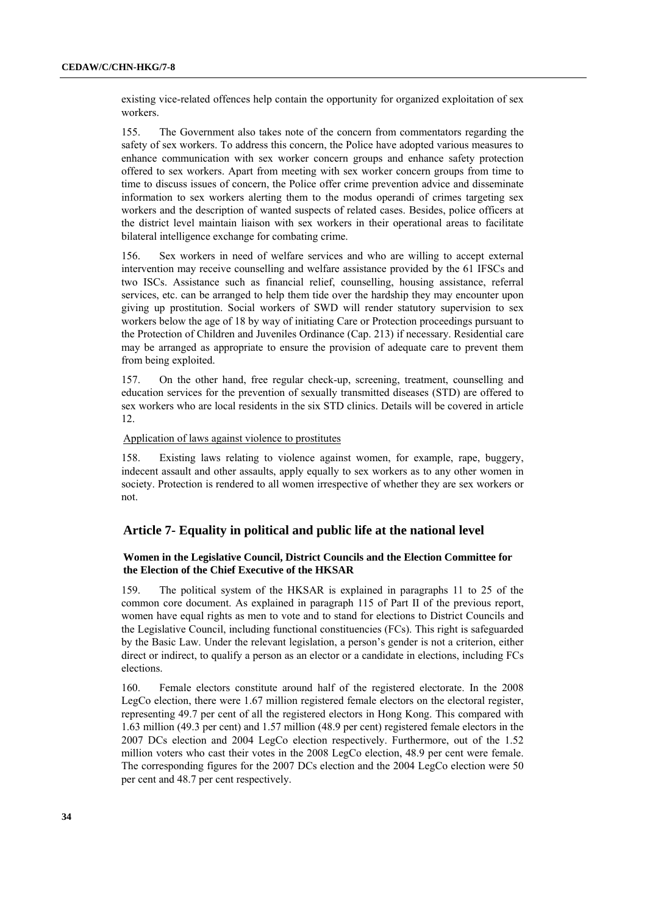existing vice-related offences help contain the opportunity for organized exploitation of sex workers.

155. The Government also takes note of the concern from commentators regarding the safety of sex workers. To address this concern, the Police have adopted various measures to enhance communication with sex worker concern groups and enhance safety protection offered to sex workers. Apart from meeting with sex worker concern groups from time to time to discuss issues of concern, the Police offer crime prevention advice and disseminate information to sex workers alerting them to the modus operandi of crimes targeting sex workers and the description of wanted suspects of related cases. Besides, police officers at the district level maintain liaison with sex workers in their operational areas to facilitate bilateral intelligence exchange for combating crime.

156. Sex workers in need of welfare services and who are willing to accept external intervention may receive counselling and welfare assistance provided by the 61 IFSCs and two ISCs. Assistance such as financial relief, counselling, housing assistance, referral services, etc. can be arranged to help them tide over the hardship they may encounter upon giving up prostitution. Social workers of SWD will render statutory supervision to sex workers below the age of 18 by way of initiating Care or Protection proceedings pursuant to the Protection of Children and Juveniles Ordinance (Cap. 213) if necessary. Residential care may be arranged as appropriate to ensure the provision of adequate care to prevent them from being exploited.

157. On the other hand, free regular check-up, screening, treatment, counselling and education services for the prevention of sexually transmitted diseases (STD) are offered to sex workers who are local residents in the six STD clinics. Details will be covered in article 12.

#### Application of laws against violence to prostitutes

158. Existing laws relating to violence against women, for example, rape, buggery, indecent assault and other assaults, apply equally to sex workers as to any other women in society. Protection is rendered to all women irrespective of whether they are sex workers or not.

## **Article 7- Equality in political and public life at the national level**

## **Women in the Legislative Council, District Councils and the Election Committee for the Election of the Chief Executive of the HKSAR**

159. The political system of the HKSAR is explained in paragraphs 11 to 25 of the common core document. As explained in paragraph 115 of Part II of the previous report, women have equal rights as men to vote and to stand for elections to District Councils and the Legislative Council, including functional constituencies (FCs). This right is safeguarded by the Basic Law. Under the relevant legislation, a person's gender is not a criterion, either direct or indirect, to qualify a person as an elector or a candidate in elections, including FCs elections.

160. Female electors constitute around half of the registered electorate. In the 2008 LegCo election, there were 1.67 million registered female electors on the electoral register, representing 49.7 per cent of all the registered electors in Hong Kong. This compared with 1.63 million (49.3 per cent) and 1.57 million (48.9 per cent) registered female electors in the 2007 DCs election and 2004 LegCo election respectively. Furthermore, out of the 1.52 million voters who cast their votes in the 2008 LegCo election, 48.9 per cent were female. The corresponding figures for the 2007 DCs election and the 2004 LegCo election were 50 per cent and 48.7 per cent respectively.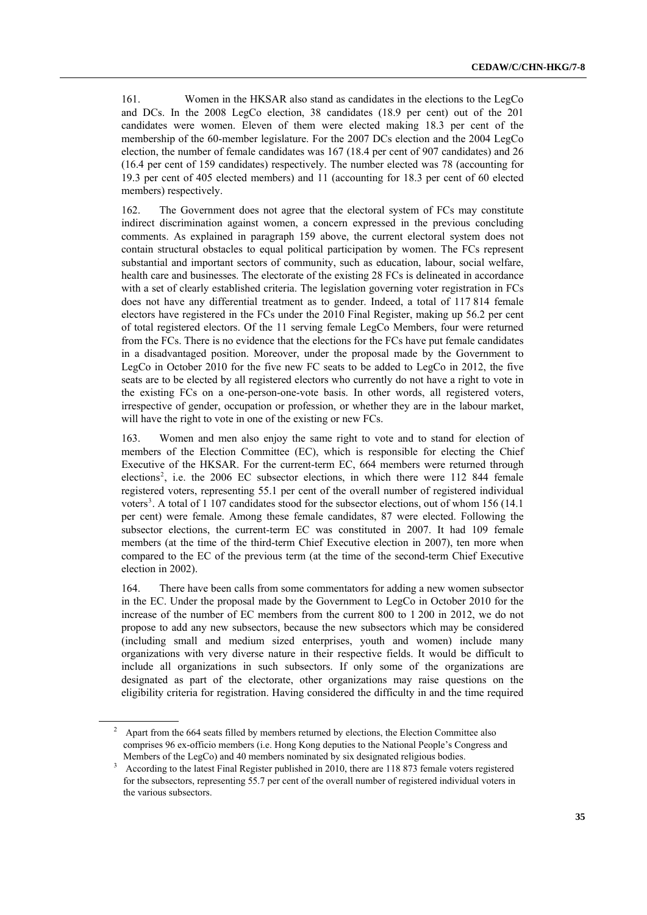161. Women in the HKSAR also stand as candidates in the elections to the LegCo and DCs. In the 2008 LegCo election, 38 candidates (18.9 per cent) out of the 201 candidates were women. Eleven of them were elected making 18.3 per cent of the membership of the 60-member legislature. For the 2007 DCs election and the 2004 LegCo election, the number of female candidates was 167 (18.4 per cent of 907 candidates) and 26 (16.4 per cent of 159 candidates) respectively. The number elected was 78 (accounting for 19.3 per cent of 405 elected members) and 11 (accounting for 18.3 per cent of 60 elected members) respectively.

162. The Government does not agree that the electoral system of FCs may constitute indirect discrimination against women, a concern expressed in the previous concluding comments. As explained in paragraph 159 above, the current electoral system does not contain structural obstacles to equal political participation by women. The FCs represent substantial and important sectors of community, such as education, labour, social welfare, health care and businesses. The electorate of the existing 28 FCs is delineated in accordance with a set of clearly established criteria. The legislation governing voter registration in FCs does not have any differential treatment as to gender. Indeed, a total of 117 814 female electors have registered in the FCs under the 2010 Final Register, making up 56.2 per cent of total registered electors. Of the 11 serving female LegCo Members, four were returned from the FCs. There is no evidence that the elections for the FCs have put female candidates in a disadvantaged position. Moreover, under the proposal made by the Government to LegCo in October 2010 for the five new FC seats to be added to LegCo in 2012, the five seats are to be elected by all registered electors who currently do not have a right to vote in the existing FCs on a one-person-one-vote basis. In other words, all registered voters, irrespective of gender, occupation or profession, or whether they are in the labour market, will have the right to vote in one of the existing or new FCs.

163. Women and men also enjoy the same right to vote and to stand for election of members of the Election Committee (EC), which is responsible for electing the Chief Executive of the HKSAR. For the current-term EC, 664 members were returned through elections<sup>2</sup>, i.e. the 2006 EC subsector elections, in which there were 112 844 female registered voters, representing 55.1 per cent of the overall number of registered individual voters<sup>3</sup>. A total of 1 107 candidates stood for the subsector elections, out of whom 156 (14.1) per cent) were female. Among these female candidates, 87 were elected. Following the subsector elections, the current-term EC was constituted in 2007. It had 109 female members (at the time of the third-term Chief Executive election in 2007), ten more when compared to the EC of the previous term (at the time of the second-term Chief Executive election in 2002).

164. There have been calls from some commentators for adding a new women subsector in the EC. Under the proposal made by the Government to LegCo in October 2010 for the increase of the number of EC members from the current 800 to 1 200 in 2012, we do not propose to add any new subsectors, because the new subsectors which may be considered (including small and medium sized enterprises, youth and women) include many organizations with very diverse nature in their respective fields. It would be difficult to include all organizations in such subsectors. If only some of the organizations are designated as part of the electorate, other organizations may raise questions on the eligibility criteria for registration. Having considered the difficulty in and the time required

 $2^{\circ}$  Apart from the 664 seats filled by members returned by elections, the Election Committee also comprises 96 ex-officio members (i.e. Hong Kong deputies to the National People's Congress and Members of the LegCo) and 40 members nominated by six designated religious bodies.

 $3$  According to the latest Final Register published in 2010, there are 118 873 female voters registered for the subsectors, representing 55.7 per cent of the overall number of registered individual voters in the various subsectors.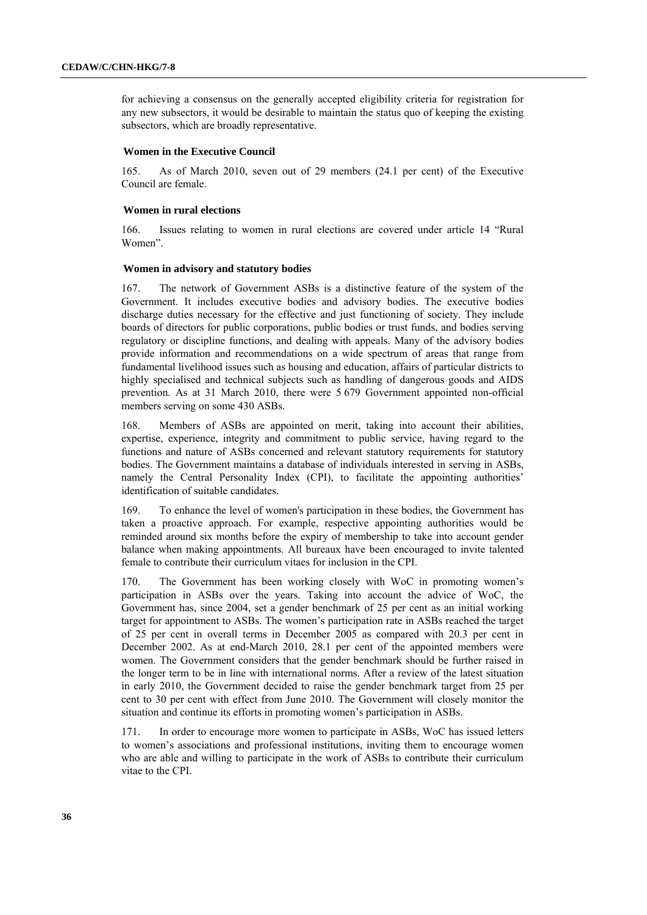for achieving a consensus on the generally accepted eligibility criteria for registration for any new subsectors, it would be desirable to maintain the status quo of keeping the existing subsectors, which are broadly representative.

#### **Women in the Executive Council**

165. As of March 2010, seven out of 29 members (24.1 per cent) of the Executive Council are female.

#### **Women in rural elections**

166. Issues relating to women in rural elections are covered under article 14 "Rural Women".

### **Women in advisory and statutory bodies**

167. The network of Government ASBs is a distinctive feature of the system of the Government. It includes executive bodies and advisory bodies. The executive bodies discharge duties necessary for the effective and just functioning of society. They include boards of directors for public corporations, public bodies or trust funds, and bodies serving regulatory or discipline functions, and dealing with appeals. Many of the advisory bodies provide information and recommendations on a wide spectrum of areas that range from fundamental livelihood issues such as housing and education, affairs of particular districts to highly specialised and technical subjects such as handling of dangerous goods and AIDS prevention. As at 31 March 2010, there were 5 679 Government appointed non-official members serving on some 430 ASBs.

168. Members of ASBs are appointed on merit, taking into account their abilities, expertise, experience, integrity and commitment to public service, having regard to the functions and nature of ASBs concerned and relevant statutory requirements for statutory bodies. The Government maintains a database of individuals interested in serving in ASBs, namely the Central Personality Index (CPI), to facilitate the appointing authorities' identification of suitable candidates.

169. To enhance the level of women's participation in these bodies, the Government has taken a proactive approach. For example, respective appointing authorities would be reminded around six months before the expiry of membership to take into account gender balance when making appointments. All bureaux have been encouraged to invite talented female to contribute their curriculum vitaes for inclusion in the CPI.

170. The Government has been working closely with WoC in promoting women's participation in ASBs over the years. Taking into account the advice of WoC, the Government has, since 2004, set a gender benchmark of 25 per cent as an initial working target for appointment to ASBs. The women's participation rate in ASBs reached the target of 25 per cent in overall terms in December 2005 as compared with 20.3 per cent in December 2002. As at end-March 2010, 28.1 per cent of the appointed members were women. The Government considers that the gender benchmark should be further raised in the longer term to be in line with international norms. After a review of the latest situation in early 2010, the Government decided to raise the gender benchmark target from 25 per cent to 30 per cent with effect from June 2010. The Government will closely monitor the situation and continue its efforts in promoting women's participation in ASBs.

171. In order to encourage more women to participate in ASBs, WoC has issued letters to women's associations and professional institutions, inviting them to encourage women who are able and willing to participate in the work of ASBs to contribute their curriculum vitae to the CPI.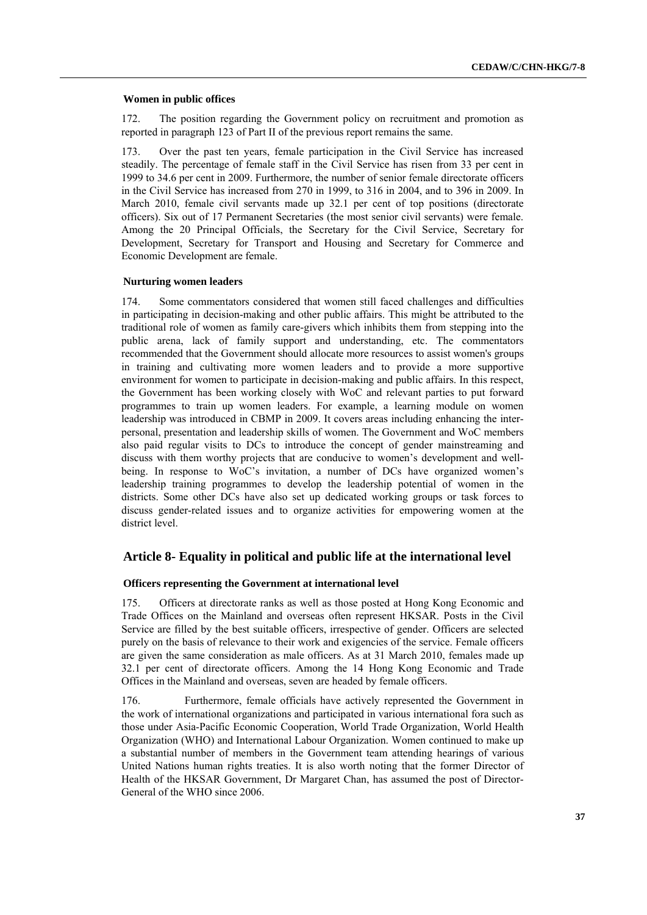#### **Women in public offices**

172. The position regarding the Government policy on recruitment and promotion as reported in paragraph 123 of Part II of the previous report remains the same.

173. Over the past ten years, female participation in the Civil Service has increased steadily. The percentage of female staff in the Civil Service has risen from 33 per cent in 1999 to 34.6 per cent in 2009. Furthermore, the number of senior female directorate officers in the Civil Service has increased from 270 in 1999, to 316 in 2004, and to 396 in 2009. In March 2010, female civil servants made up 32.1 per cent of top positions (directorate officers). Six out of 17 Permanent Secretaries (the most senior civil servants) were female. Among the 20 Principal Officials, the Secretary for the Civil Service, Secretary for Development, Secretary for Transport and Housing and Secretary for Commerce and Economic Development are female.

### **Nurturing women leaders**

174. Some commentators considered that women still faced challenges and difficulties in participating in decision-making and other public affairs. This might be attributed to the traditional role of women as family care-givers which inhibits them from stepping into the public arena, lack of family support and understanding, etc. The commentators recommended that the Government should allocate more resources to assist women's groups in training and cultivating more women leaders and to provide a more supportive environment for women to participate in decision-making and public affairs. In this respect, the Government has been working closely with WoC and relevant parties to put forward programmes to train up women leaders. For example, a learning module on women leadership was introduced in CBMP in 2009. It covers areas including enhancing the interpersonal, presentation and leadership skills of women. The Government and WoC members also paid regular visits to DCs to introduce the concept of gender mainstreaming and discuss with them worthy projects that are conducive to women's development and wellbeing. In response to WoC's invitation, a number of DCs have organized women's leadership training programmes to develop the leadership potential of women in the districts. Some other DCs have also set up dedicated working groups or task forces to discuss gender-related issues and to organize activities for empowering women at the district level.

## **Article 8- Equality in political and public life at the international level**

### **Officers representing the Government at international level**

175. Officers at directorate ranks as well as those posted at Hong Kong Economic and Trade Offices on the Mainland and overseas often represent HKSAR. Posts in the Civil Service are filled by the best suitable officers, irrespective of gender. Officers are selected purely on the basis of relevance to their work and exigencies of the service. Female officers are given the same consideration as male officers. As at 31 March 2010, females made up 32.1 per cent of directorate officers. Among the 14 Hong Kong Economic and Trade Offices in the Mainland and overseas, seven are headed by female officers.

176. Furthermore, female officials have actively represented the Government in the work of international organizations and participated in various international fora such as those under Asia-Pacific Economic Cooperation, World Trade Organization, World Health Organization (WHO) and International Labour Organization. Women continued to make up a substantial number of members in the Government team attending hearings of various United Nations human rights treaties. It is also worth noting that the former Director of Health of the HKSAR Government, Dr Margaret Chan, has assumed the post of Director-General of the WHO since 2006.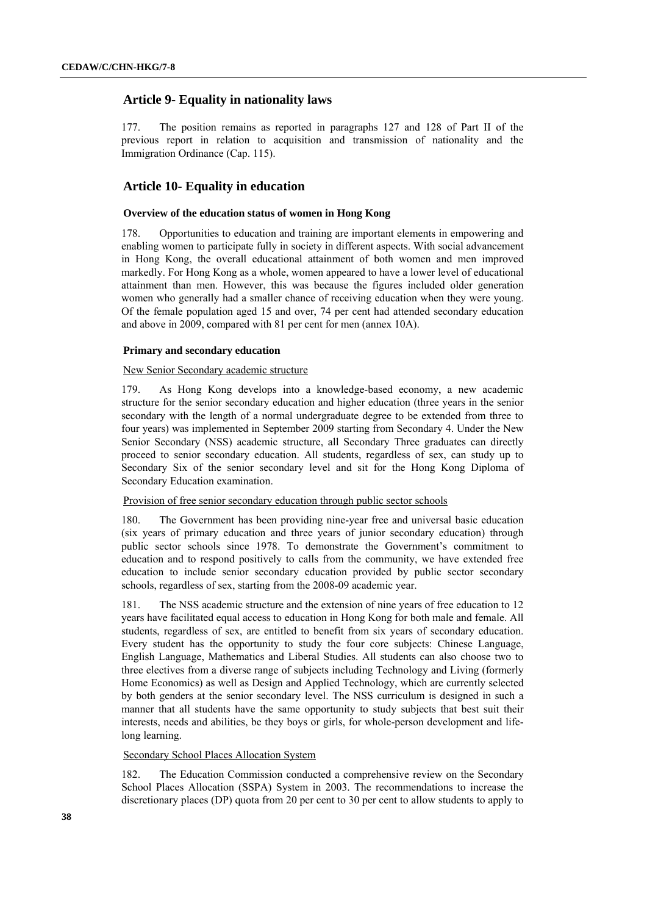# **Article 9- Equality in nationality laws**

177. The position remains as reported in paragraphs 127 and 128 of Part II of the previous report in relation to acquisition and transmission of nationality and the Immigration Ordinance (Cap. 115).

# **Article 10- Equality in education**

## **Overview of the education status of women in Hong Kong**

178. Opportunities to education and training are important elements in empowering and enabling women to participate fully in society in different aspects. With social advancement in Hong Kong, the overall educational attainment of both women and men improved markedly. For Hong Kong as a whole, women appeared to have a lower level of educational attainment than men. However, this was because the figures included older generation women who generally had a smaller chance of receiving education when they were young. Of the female population aged 15 and over, 74 per cent had attended secondary education and above in 2009, compared with 81 per cent for men (annex 10A).

## **Primary and secondary education**

## New Senior Secondary academic structure

179. As Hong Kong develops into a knowledge-based economy, a new academic structure for the senior secondary education and higher education (three years in the senior secondary with the length of a normal undergraduate degree to be extended from three to four years) was implemented in September 2009 starting from Secondary 4. Under the New Senior Secondary (NSS) academic structure, all Secondary Three graduates can directly proceed to senior secondary education. All students, regardless of sex, can study up to Secondary Six of the senior secondary level and sit for the Hong Kong Diploma of Secondary Education examination.

## Provision of free senior secondary education through public sector schools

180. The Government has been providing nine-year free and universal basic education (six years of primary education and three years of junior secondary education) through public sector schools since 1978. To demonstrate the Government's commitment to education and to respond positively to calls from the community, we have extended free education to include senior secondary education provided by public sector secondary schools, regardless of sex, starting from the 2008-09 academic year.

181. The NSS academic structure and the extension of nine years of free education to 12 years have facilitated equal access to education in Hong Kong for both male and female. All students, regardless of sex, are entitled to benefit from six years of secondary education. Every student has the opportunity to study the four core subjects: Chinese Language, English Language, Mathematics and Liberal Studies. All students can also choose two to three electives from a diverse range of subjects including Technology and Living (formerly Home Economics) as well as Design and Applied Technology, which are currently selected by both genders at the senior secondary level. The NSS curriculum is designed in such a manner that all students have the same opportunity to study subjects that best suit their interests, needs and abilities, be they boys or girls, for whole-person development and lifelong learning.

## Secondary School Places Allocation System

182. The Education Commission conducted a comprehensive review on the Secondary School Places Allocation (SSPA) System in 2003. The recommendations to increase the discretionary places (DP) quota from 20 per cent to 30 per cent to allow students to apply to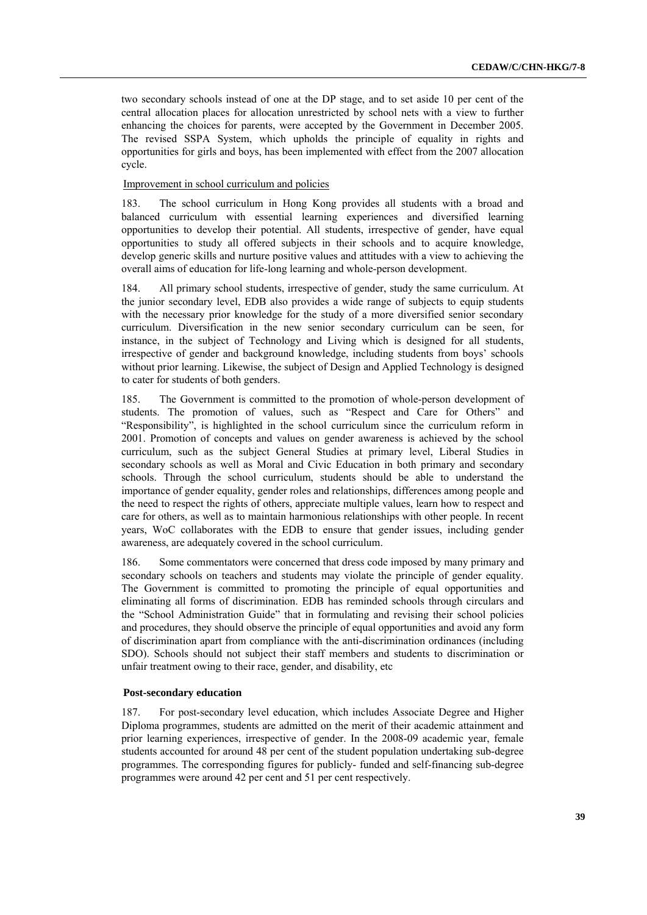two secondary schools instead of one at the DP stage, and to set aside 10 per cent of the central allocation places for allocation unrestricted by school nets with a view to further enhancing the choices for parents, were accepted by the Government in December 2005. The revised SSPA System, which upholds the principle of equality in rights and opportunities for girls and boys, has been implemented with effect from the 2007 allocation cycle.

## Improvement in school curriculum and policies

183. The school curriculum in Hong Kong provides all students with a broad and balanced curriculum with essential learning experiences and diversified learning opportunities to develop their potential. All students, irrespective of gender, have equal opportunities to study all offered subjects in their schools and to acquire knowledge, develop generic skills and nurture positive values and attitudes with a view to achieving the overall aims of education for life-long learning and whole-person development.

184. All primary school students, irrespective of gender, study the same curriculum. At the junior secondary level, EDB also provides a wide range of subjects to equip students with the necessary prior knowledge for the study of a more diversified senior secondary curriculum. Diversification in the new senior secondary curriculum can be seen, for instance, in the subject of Technology and Living which is designed for all students, irrespective of gender and background knowledge, including students from boys' schools without prior learning. Likewise, the subject of Design and Applied Technology is designed to cater for students of both genders.

185. The Government is committed to the promotion of whole-person development of students. The promotion of values, such as "Respect and Care for Others" and "Responsibility", is highlighted in the school curriculum since the curriculum reform in 2001. Promotion of concepts and values on gender awareness is achieved by the school curriculum, such as the subject General Studies at primary level, Liberal Studies in secondary schools as well as Moral and Civic Education in both primary and secondary schools. Through the school curriculum, students should be able to understand the importance of gender equality, gender roles and relationships, differences among people and the need to respect the rights of others, appreciate multiple values, learn how to respect and care for others, as well as to maintain harmonious relationships with other people. In recent years, WoC collaborates with the EDB to ensure that gender issues, including gender awareness, are adequately covered in the school curriculum.

186. Some commentators were concerned that dress code imposed by many primary and secondary schools on teachers and students may violate the principle of gender equality. The Government is committed to promoting the principle of equal opportunities and eliminating all forms of discrimination. EDB has reminded schools through circulars and the "School Administration Guide" that in formulating and revising their school policies and procedures, they should observe the principle of equal opportunities and avoid any form of discrimination apart from compliance with the anti-discrimination ordinances (including SDO). Schools should not subject their staff members and students to discrimination or unfair treatment owing to their race, gender, and disability, etc

#### **Post-secondary education**

187. For post-secondary level education, which includes Associate Degree and Higher Diploma programmes, students are admitted on the merit of their academic attainment and prior learning experiences, irrespective of gender. In the 2008-09 academic year, female students accounted for around 48 per cent of the student population undertaking sub-degree programmes. The corresponding figures for publicly- funded and self-financing sub-degree programmes were around 42 per cent and 51 per cent respectively.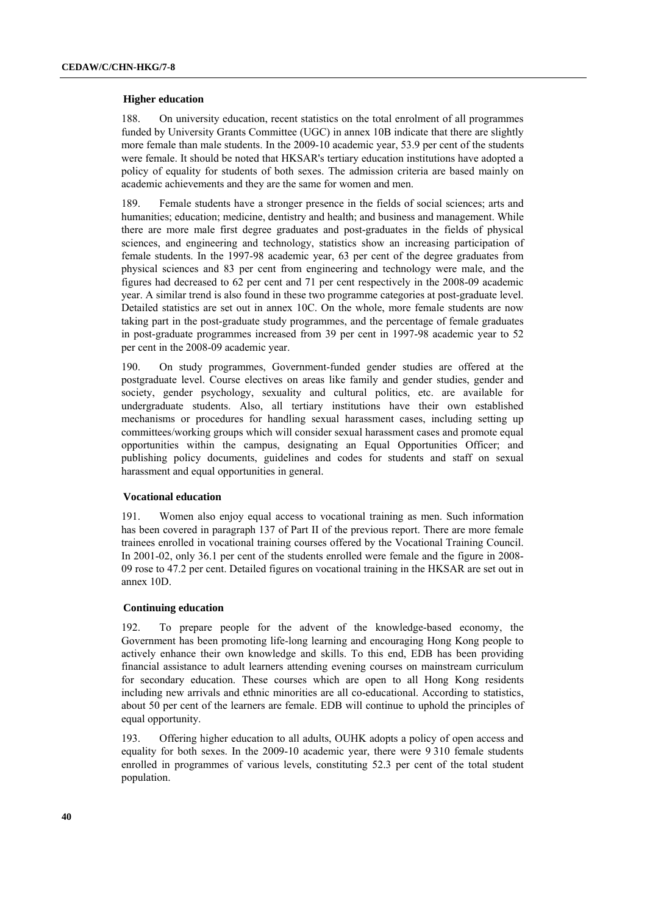#### **Higher education**

188. On university education, recent statistics on the total enrolment of all programmes funded by University Grants Committee (UGC) in annex 10B indicate that there are slightly more female than male students. In the 2009-10 academic year, 53.9 per cent of the students were female. It should be noted that HKSAR's tertiary education institutions have adopted a policy of equality for students of both sexes. The admission criteria are based mainly on academic achievements and they are the same for women and men.

189. Female students have a stronger presence in the fields of social sciences; arts and humanities; education; medicine, dentistry and health; and business and management. While there are more male first degree graduates and post-graduates in the fields of physical sciences, and engineering and technology, statistics show an increasing participation of female students. In the 1997-98 academic year, 63 per cent of the degree graduates from physical sciences and 83 per cent from engineering and technology were male, and the figures had decreased to 62 per cent and 71 per cent respectively in the 2008-09 academic year. A similar trend is also found in these two programme categories at post-graduate level. Detailed statistics are set out in annex 10C. On the whole, more female students are now taking part in the post-graduate study programmes, and the percentage of female graduates in post-graduate programmes increased from 39 per cent in 1997-98 academic year to 52 per cent in the 2008-09 academic year.

190. On study programmes, Government-funded gender studies are offered at the postgraduate level. Course electives on areas like family and gender studies, gender and society, gender psychology, sexuality and cultural politics, etc. are available for undergraduate students. Also, all tertiary institutions have their own established mechanisms or procedures for handling sexual harassment cases, including setting up committees/working groups which will consider sexual harassment cases and promote equal opportunities within the campus, designating an Equal Opportunities Officer; and publishing policy documents, guidelines and codes for students and staff on sexual harassment and equal opportunities in general.

### **Vocational education**

191. Women also enjoy equal access to vocational training as men. Such information has been covered in paragraph 137 of Part II of the previous report. There are more female trainees enrolled in vocational training courses offered by the Vocational Training Council. In 2001-02, only 36.1 per cent of the students enrolled were female and the figure in 2008- 09 rose to 47.2 per cent. Detailed figures on vocational training in the HKSAR are set out in annex 10D.

## **Continuing education**

192. To prepare people for the advent of the knowledge-based economy, the Government has been promoting life-long learning and encouraging Hong Kong people to actively enhance their own knowledge and skills. To this end, EDB has been providing financial assistance to adult learners attending evening courses on mainstream curriculum for secondary education. These courses which are open to all Hong Kong residents including new arrivals and ethnic minorities are all co-educational. According to statistics, about 50 per cent of the learners are female. EDB will continue to uphold the principles of equal opportunity.

193. Offering higher education to all adults, OUHK adopts a policy of open access and equality for both sexes. In the 2009-10 academic year, there were 9 310 female students enrolled in programmes of various levels, constituting 52.3 per cent of the total student population.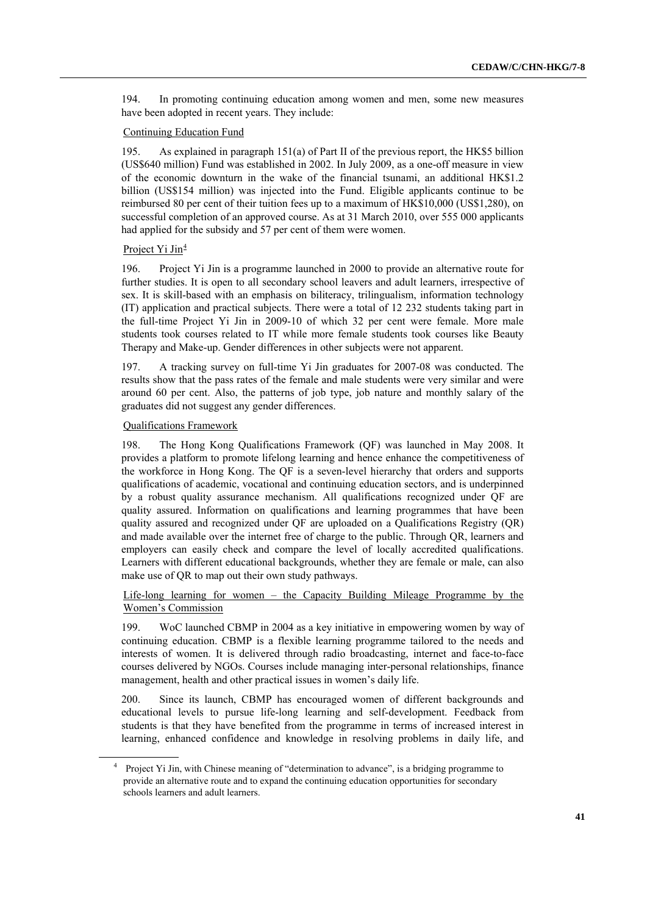194. In promoting continuing education among women and men, some new measures have been adopted in recent years. They include:

### Continuing Education Fund

195. As explained in paragraph 151(a) of Part II of the previous report, the HK\$5 billion (US\$640 million) Fund was established in 2002. In July 2009, as a one-off measure in view of the economic downturn in the wake of the financial tsunami, an additional HK\$1.2 billion (US\$154 million) was injected into the Fund. Eligible applicants continue to be reimbursed 80 per cent of their tuition fees up to a maximum of HK\$10,000 (US\$1,280), on successful completion of an approved course. As at 31 March 2010, over 555 000 applicants had applied for the subsidy and 57 per cent of them were women.

### Project Yi Jin<sup>4</sup>

196. Project Yi Jin is a programme launched in 2000 to provide an alternative route for further studies. It is open to all secondary school leavers and adult learners, irrespective of sex. It is skill-based with an emphasis on biliteracy, trilingualism, information technology (IT) application and practical subjects. There were a total of 12 232 students taking part in the full-time Project Yi Jin in 2009-10 of which 32 per cent were female. More male students took courses related to IT while more female students took courses like Beauty Therapy and Make-up. Gender differences in other subjects were not apparent.

197. A tracking survey on full-time Yi Jin graduates for 2007-08 was conducted. The results show that the pass rates of the female and male students were very similar and were around 60 per cent. Also, the patterns of job type, job nature and monthly salary of the graduates did not suggest any gender differences.

## Qualifications Framework

198. The Hong Kong Qualifications Framework (QF) was launched in May 2008. It provides a platform to promote lifelong learning and hence enhance the competitiveness of the workforce in Hong Kong. The QF is a seven-level hierarchy that orders and supports qualifications of academic, vocational and continuing education sectors, and is underpinned by a robust quality assurance mechanism. All qualifications recognized under QF are quality assured. Information on qualifications and learning programmes that have been quality assured and recognized under QF are uploaded on a Qualifications Registry (QR) and made available over the internet free of charge to the public. Through QR, learners and employers can easily check and compare the level of locally accredited qualifications. Learners with different educational backgrounds, whether they are female or male, can also make use of QR to map out their own study pathways.

Life-long learning for women – the Capacity Building Mileage Programme by the Women's Commission

199. WoC launched CBMP in 2004 as a key initiative in empowering women by way of continuing education. CBMP is a flexible learning programme tailored to the needs and interests of women. It is delivered through radio broadcasting, internet and face-to-face courses delivered by NGOs. Courses include managing inter-personal relationships, finance management, health and other practical issues in women's daily life.

200. Since its launch, CBMP has encouraged women of different backgrounds and educational levels to pursue life-long learning and self-development. Feedback from students is that they have benefited from the programme in terms of increased interest in learning, enhanced confidence and knowledge in resolving problems in daily life, and

<sup>&</sup>lt;sup>4</sup> Project Yi Jin, with Chinese meaning of "determination to advance", is a bridging programme to provide an alternative route and to expand the continuing education opportunities for secondary schools learners and adult learners.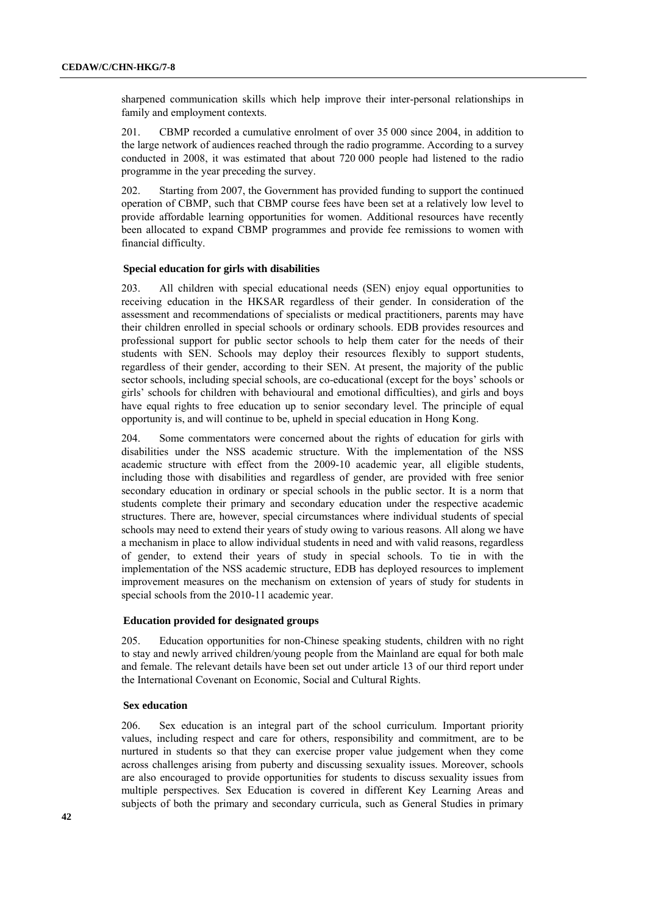sharpened communication skills which help improve their inter-personal relationships in family and employment contexts.

201. CBMP recorded a cumulative enrolment of over 35 000 since 2004, in addition to the large network of audiences reached through the radio programme. According to a survey conducted in 2008, it was estimated that about 720 000 people had listened to the radio programme in the year preceding the survey.

202. Starting from 2007, the Government has provided funding to support the continued operation of CBMP, such that CBMP course fees have been set at a relatively low level to provide affordable learning opportunities for women. Additional resources have recently been allocated to expand CBMP programmes and provide fee remissions to women with financial difficulty.

## **Special education for girls with disabilities**

203. All children with special educational needs (SEN) enjoy equal opportunities to receiving education in the HKSAR regardless of their gender. In consideration of the assessment and recommendations of specialists or medical practitioners, parents may have their children enrolled in special schools or ordinary schools. EDB provides resources and professional support for public sector schools to help them cater for the needs of their students with SEN. Schools may deploy their resources flexibly to support students, regardless of their gender, according to their SEN. At present, the majority of the public sector schools, including special schools, are co-educational (except for the boys' schools or girls' schools for children with behavioural and emotional difficulties), and girls and boys have equal rights to free education up to senior secondary level. The principle of equal opportunity is, and will continue to be, upheld in special education in Hong Kong.

204. Some commentators were concerned about the rights of education for girls with disabilities under the NSS academic structure. With the implementation of the NSS academic structure with effect from the 2009-10 academic year, all eligible students, including those with disabilities and regardless of gender, are provided with free senior secondary education in ordinary or special schools in the public sector. It is a norm that students complete their primary and secondary education under the respective academic structures. There are, however, special circumstances where individual students of special schools may need to extend their years of study owing to various reasons. All along we have a mechanism in place to allow individual students in need and with valid reasons, regardless of gender, to extend their years of study in special schools. To tie in with the implementation of the NSS academic structure, EDB has deployed resources to implement improvement measures on the mechanism on extension of years of study for students in special schools from the 2010-11 academic year.

### **Education provided for designated groups**

205. Education opportunities for non-Chinese speaking students, children with no right to stay and newly arrived children/young people from the Mainland are equal for both male and female. The relevant details have been set out under article 13 of our third report under the International Covenant on Economic, Social and Cultural Rights.

### **Sex education**

206. Sex education is an integral part of the school curriculum. Important priority values, including respect and care for others, responsibility and commitment, are to be nurtured in students so that they can exercise proper value judgement when they come across challenges arising from puberty and discussing sexuality issues. Moreover, schools are also encouraged to provide opportunities for students to discuss sexuality issues from multiple perspectives. Sex Education is covered in different Key Learning Areas and subjects of both the primary and secondary curricula, such as General Studies in primary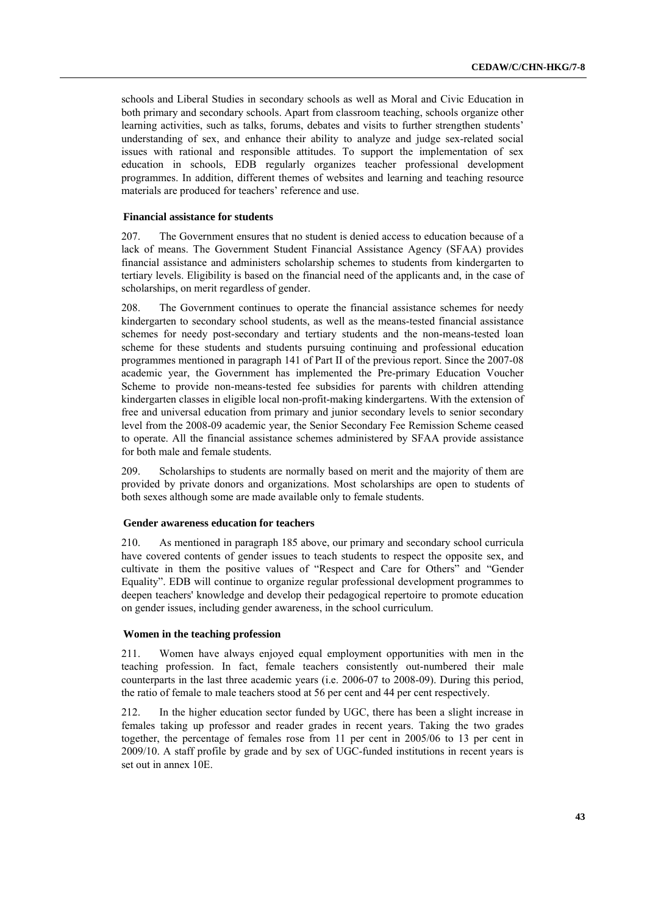schools and Liberal Studies in secondary schools as well as Moral and Civic Education in both primary and secondary schools. Apart from classroom teaching, schools organize other learning activities, such as talks, forums, debates and visits to further strengthen students' understanding of sex, and enhance their ability to analyze and judge sex-related social issues with rational and responsible attitudes. To support the implementation of sex education in schools, EDB regularly organizes teacher professional development programmes. In addition, different themes of websites and learning and teaching resource materials are produced for teachers' reference and use.

### **Financial assistance for students**

207. The Government ensures that no student is denied access to education because of a lack of means. The Government Student Financial Assistance Agency (SFAA) provides financial assistance and administers scholarship schemes to students from kindergarten to tertiary levels. Eligibility is based on the financial need of the applicants and, in the case of scholarships, on merit regardless of gender.

208. The Government continues to operate the financial assistance schemes for needy kindergarten to secondary school students, as well as the means-tested financial assistance schemes for needy post-secondary and tertiary students and the non-means-tested loan scheme for these students and students pursuing continuing and professional education programmes mentioned in paragraph 141 of Part II of the previous report. Since the 2007-08 academic year, the Government has implemented the Pre-primary Education Voucher Scheme to provide non-means-tested fee subsidies for parents with children attending kindergarten classes in eligible local non-profit-making kindergartens. With the extension of free and universal education from primary and junior secondary levels to senior secondary level from the 2008-09 academic year, the Senior Secondary Fee Remission Scheme ceased to operate. All the financial assistance schemes administered by SFAA provide assistance for both male and female students.

209. Scholarships to students are normally based on merit and the majority of them are provided by private donors and organizations. Most scholarships are open to students of both sexes although some are made available only to female students.

## **Gender awareness education for teachers**

210. As mentioned in paragraph 185 above, our primary and secondary school curricula have covered contents of gender issues to teach students to respect the opposite sex, and cultivate in them the positive values of "Respect and Care for Others" and "Gender Equality". EDB will continue to organize regular professional development programmes to deepen teachers' knowledge and develop their pedagogical repertoire to promote education on gender issues, including gender awareness, in the school curriculum.

### **Women in the teaching profession**

211. Women have always enjoyed equal employment opportunities with men in the teaching profession. In fact, female teachers consistently out-numbered their male counterparts in the last three academic years (i.e. 2006-07 to 2008-09). During this period, the ratio of female to male teachers stood at 56 per cent and 44 per cent respectively.

212. In the higher education sector funded by UGC, there has been a slight increase in females taking up professor and reader grades in recent years. Taking the two grades together, the percentage of females rose from 11 per cent in 2005/06 to 13 per cent in 2009/10. A staff profile by grade and by sex of UGC-funded institutions in recent years is set out in annex 10E.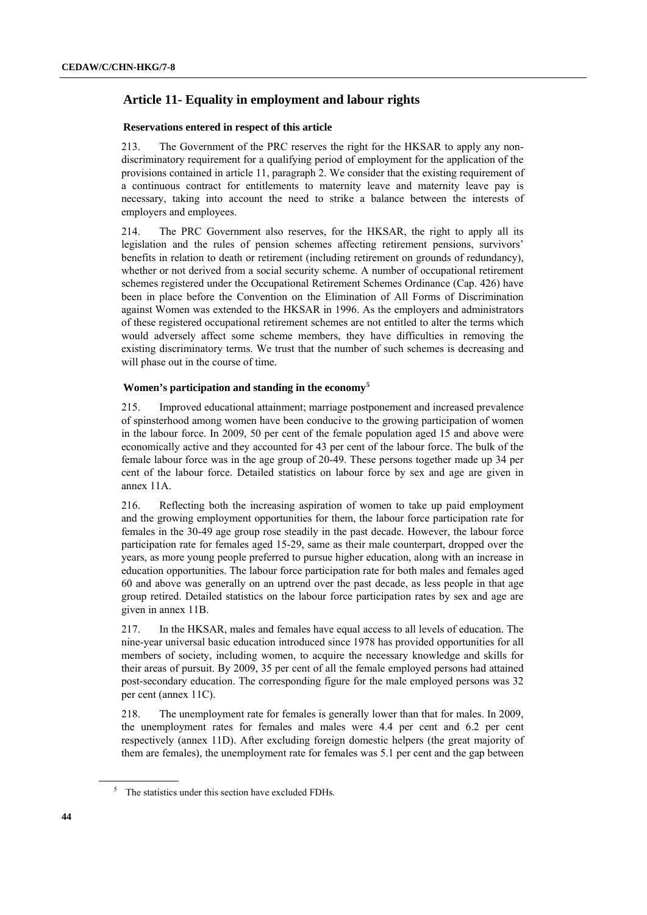# **Article 11- Equality in employment and labour rights**

## **Reservations entered in respect of this article**

213. The Government of the PRC reserves the right for the HKSAR to apply any nondiscriminatory requirement for a qualifying period of employment for the application of the provisions contained in article 11, paragraph 2. We consider that the existing requirement of a continuous contract for entitlements to maternity leave and maternity leave pay is necessary, taking into account the need to strike a balance between the interests of employers and employees.

214. The PRC Government also reserves, for the HKSAR, the right to apply all its legislation and the rules of pension schemes affecting retirement pensions, survivors' benefits in relation to death or retirement (including retirement on grounds of redundancy), whether or not derived from a social security scheme. A number of occupational retirement schemes registered under the Occupational Retirement Schemes Ordinance (Cap. 426) have been in place before the Convention on the Elimination of All Forms of Discrimination against Women was extended to the HKSAR in 1996. As the employers and administrators of these registered occupational retirement schemes are not entitled to alter the terms which would adversely affect some scheme members, they have difficulties in removing the existing discriminatory terms. We trust that the number of such schemes is decreasing and will phase out in the course of time.

## **Women's participation and standing in the economy<sup>5</sup>**

215. Improved educational attainment; marriage postponement and increased prevalence of spinsterhood among women have been conducive to the growing participation of women in the labour force. In 2009, 50 per cent of the female population aged 15 and above were economically active and they accounted for 43 per cent of the labour force. The bulk of the female labour force was in the age group of 20-49. These persons together made up 34 per cent of the labour force. Detailed statistics on labour force by sex and age are given in annex 11A.

216. Reflecting both the increasing aspiration of women to take up paid employment and the growing employment opportunities for them, the labour force participation rate for females in the 30-49 age group rose steadily in the past decade. However, the labour force participation rate for females aged 15-29, same as their male counterpart, dropped over the years, as more young people preferred to pursue higher education, along with an increase in education opportunities. The labour force participation rate for both males and females aged 60 and above was generally on an uptrend over the past decade, as less people in that age group retired. Detailed statistics on the labour force participation rates by sex and age are given in annex 11B.

217. In the HKSAR, males and females have equal access to all levels of education. The nine-year universal basic education introduced since 1978 has provided opportunities for all members of society, including women, to acquire the necessary knowledge and skills for their areas of pursuit. By 2009, 35 per cent of all the female employed persons had attained post-secondary education. The corresponding figure for the male employed persons was 32 per cent (annex 11C).

218. The unemployment rate for females is generally lower than that for males. In 2009, the unemployment rates for females and males were 4.4 per cent and 6.2 per cent respectively (annex 11D). After excluding foreign domestic helpers (the great majority of them are females), the unemployment rate for females was 5.1 per cent and the gap between

 $5$  The statistics under this section have excluded FDHs.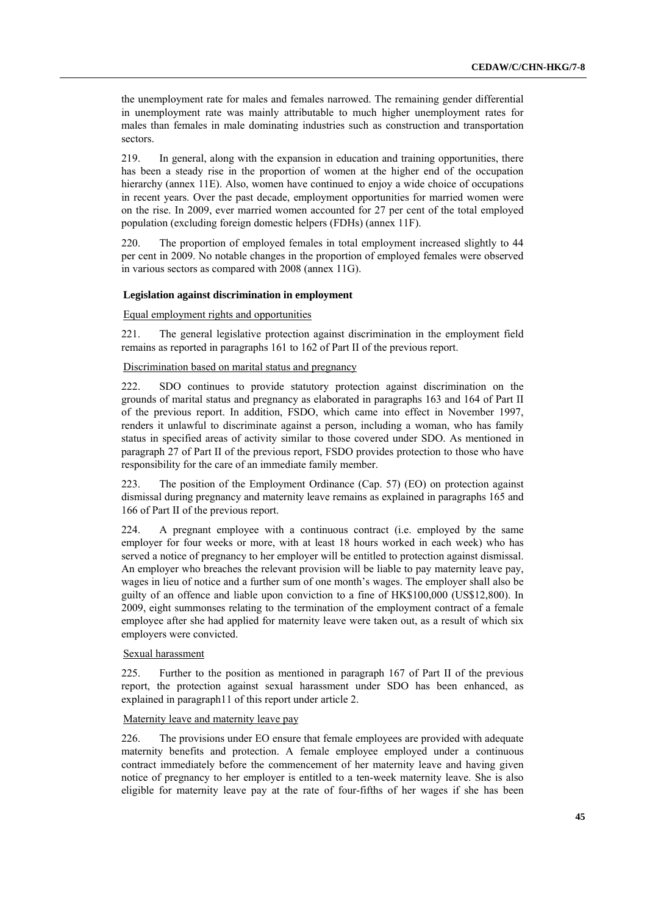the unemployment rate for males and females narrowed. The remaining gender differential in unemployment rate was mainly attributable to much higher unemployment rates for males than females in male dominating industries such as construction and transportation sectors.

219. In general, along with the expansion in education and training opportunities, there has been a steady rise in the proportion of women at the higher end of the occupation hierarchy (annex 11E). Also, women have continued to enjoy a wide choice of occupations in recent years. Over the past decade, employment opportunities for married women were on the rise. In 2009, ever married women accounted for 27 per cent of the total employed population (excluding foreign domestic helpers (FDHs) (annex 11F).

220. The proportion of employed females in total employment increased slightly to 44 per cent in 2009. No notable changes in the proportion of employed females were observed in various sectors as compared with 2008 (annex 11G).

### **Legislation against discrimination in employment**

Equal employment rights and opportunities

221. The general legislative protection against discrimination in the employment field remains as reported in paragraphs 161 to 162 of Part II of the previous report.

### Discrimination based on marital status and pregnancy

222. SDO continues to provide statutory protection against discrimination on the grounds of marital status and pregnancy as elaborated in paragraphs 163 and 164 of Part II of the previous report. In addition, FSDO, which came into effect in November 1997, renders it unlawful to discriminate against a person, including a woman, who has family status in specified areas of activity similar to those covered under SDO. As mentioned in paragraph 27 of Part II of the previous report, FSDO provides protection to those who have responsibility for the care of an immediate family member.

223. The position of the Employment Ordinance (Cap. 57) (EO) on protection against dismissal during pregnancy and maternity leave remains as explained in paragraphs 165 and 166 of Part II of the previous report.

224. A pregnant employee with a continuous contract (i.e. employed by the same employer for four weeks or more, with at least 18 hours worked in each week) who has served a notice of pregnancy to her employer will be entitled to protection against dismissal. An employer who breaches the relevant provision will be liable to pay maternity leave pay, wages in lieu of notice and a further sum of one month's wages. The employer shall also be guilty of an offence and liable upon conviction to a fine of HK\$100,000 (US\$12,800). In 2009, eight summonses relating to the termination of the employment contract of a female employee after she had applied for maternity leave were taken out, as a result of which six employers were convicted.

### Sexual harassment

225. Further to the position as mentioned in paragraph 167 of Part II of the previous report, the protection against sexual harassment under SDO has been enhanced, as explained in paragraph11 of this report under article 2.

### Maternity leave and maternity leave pay

226. The provisions under EO ensure that female employees are provided with adequate maternity benefits and protection. A female employee employed under a continuous contract immediately before the commencement of her maternity leave and having given notice of pregnancy to her employer is entitled to a ten-week maternity leave. She is also eligible for maternity leave pay at the rate of four-fifths of her wages if she has been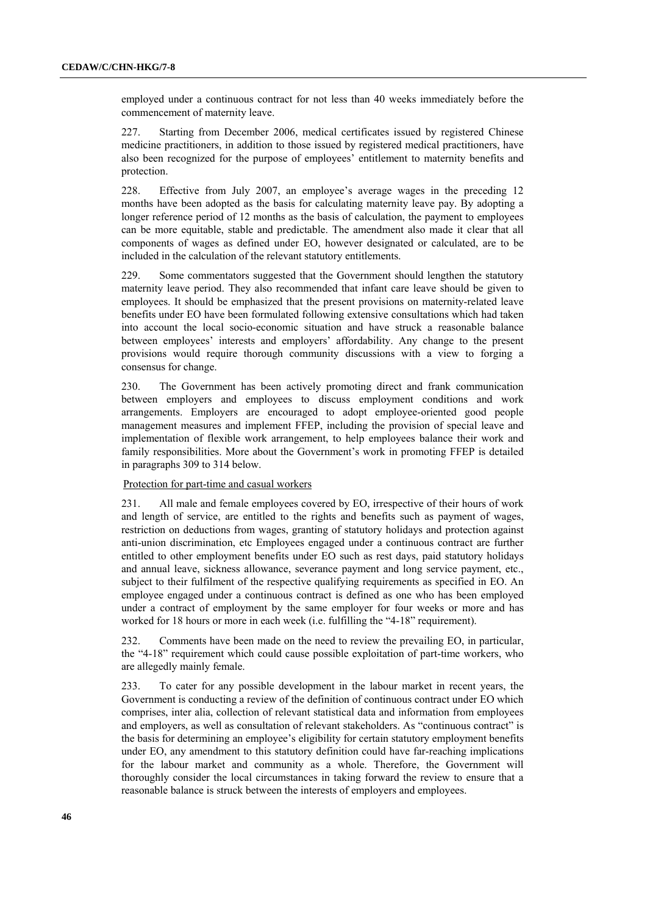employed under a continuous contract for not less than 40 weeks immediately before the commencement of maternity leave.

227. Starting from December 2006, medical certificates issued by registered Chinese medicine practitioners, in addition to those issued by registered medical practitioners, have also been recognized for the purpose of employees' entitlement to maternity benefits and protection.

228. Effective from July 2007, an employee's average wages in the preceding 12 months have been adopted as the basis for calculating maternity leave pay. By adopting a longer reference period of 12 months as the basis of calculation, the payment to employees can be more equitable, stable and predictable. The amendment also made it clear that all components of wages as defined under EO, however designated or calculated, are to be included in the calculation of the relevant statutory entitlements.

229. Some commentators suggested that the Government should lengthen the statutory maternity leave period. They also recommended that infant care leave should be given to employees. It should be emphasized that the present provisions on maternity-related leave benefits under EO have been formulated following extensive consultations which had taken into account the local socio-economic situation and have struck a reasonable balance between employees' interests and employers' affordability. Any change to the present provisions would require thorough community discussions with a view to forging a consensus for change.

230. The Government has been actively promoting direct and frank communication between employers and employees to discuss employment conditions and work arrangements. Employers are encouraged to adopt employee-oriented good people management measures and implement FFEP, including the provision of special leave and implementation of flexible work arrangement, to help employees balance their work and family responsibilities. More about the Government's work in promoting FFEP is detailed in paragraphs 309 to 314 below.

## Protection for part-time and casual workers

231. All male and female employees covered by EO, irrespective of their hours of work and length of service, are entitled to the rights and benefits such as payment of wages, restriction on deductions from wages, granting of statutory holidays and protection against anti-union discrimination, etc Employees engaged under a continuous contract are further entitled to other employment benefits under EO such as rest days, paid statutory holidays and annual leave, sickness allowance, severance payment and long service payment, etc., subject to their fulfilment of the respective qualifying requirements as specified in EO. An employee engaged under a continuous contract is defined as one who has been employed under a contract of employment by the same employer for four weeks or more and has worked for 18 hours or more in each week (i.e. fulfilling the "4-18" requirement).

232. Comments have been made on the need to review the prevailing EO, in particular, the "4-18" requirement which could cause possible exploitation of part-time workers, who are allegedly mainly female.

233. To cater for any possible development in the labour market in recent years, the Government is conducting a review of the definition of continuous contract under EO which comprises, inter alia, collection of relevant statistical data and information from employees and employers, as well as consultation of relevant stakeholders. As "continuous contract" is the basis for determining an employee's eligibility for certain statutory employment benefits under EO, any amendment to this statutory definition could have far-reaching implications for the labour market and community as a whole. Therefore, the Government will thoroughly consider the local circumstances in taking forward the review to ensure that a reasonable balance is struck between the interests of employers and employees.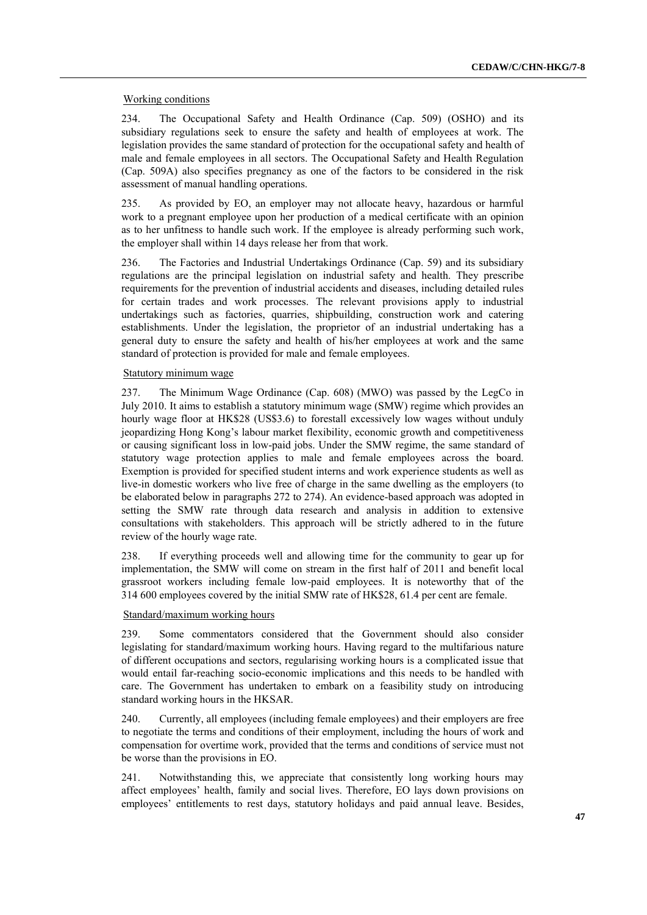## Working conditions

234. The Occupational Safety and Health Ordinance (Cap. 509) (OSHO) and its subsidiary regulations seek to ensure the safety and health of employees at work. The legislation provides the same standard of protection for the occupational safety and health of male and female employees in all sectors. The Occupational Safety and Health Regulation (Cap. 509A) also specifies pregnancy as one of the factors to be considered in the risk assessment of manual handling operations.

235. As provided by EO, an employer may not allocate heavy, hazardous or harmful work to a pregnant employee upon her production of a medical certificate with an opinion as to her unfitness to handle such work. If the employee is already performing such work, the employer shall within 14 days release her from that work.

236. The Factories and Industrial Undertakings Ordinance (Cap. 59) and its subsidiary regulations are the principal legislation on industrial safety and health. They prescribe requirements for the prevention of industrial accidents and diseases, including detailed rules for certain trades and work processes. The relevant provisions apply to industrial undertakings such as factories, quarries, shipbuilding, construction work and catering establishments. Under the legislation, the proprietor of an industrial undertaking has a general duty to ensure the safety and health of his/her employees at work and the same standard of protection is provided for male and female employees.

### Statutory minimum wage

237. The Minimum Wage Ordinance (Cap. 608) (MWO) was passed by the LegCo in July 2010. It aims to establish a statutory minimum wage (SMW) regime which provides an hourly wage floor at HK\$28 (US\$3.6) to forestall excessively low wages without unduly jeopardizing Hong Kong's labour market flexibility, economic growth and competitiveness or causing significant loss in low-paid jobs. Under the SMW regime, the same standard of statutory wage protection applies to male and female employees across the board. Exemption is provided for specified student interns and work experience students as well as live-in domestic workers who live free of charge in the same dwelling as the employers (to be elaborated below in paragraphs 272 to 274). An evidence-based approach was adopted in setting the SMW rate through data research and analysis in addition to extensive consultations with stakeholders. This approach will be strictly adhered to in the future review of the hourly wage rate.

238. If everything proceeds well and allowing time for the community to gear up for implementation, the SMW will come on stream in the first half of 2011 and benefit local grassroot workers including female low-paid employees. It is noteworthy that of the 314 600 employees covered by the initial SMW rate of HK\$28, 61.4 per cent are female.

### Standard/maximum working hours

239. Some commentators considered that the Government should also consider legislating for standard/maximum working hours. Having regard to the multifarious nature of different occupations and sectors, regularising working hours is a complicated issue that would entail far-reaching socio-economic implications and this needs to be handled with care. The Government has undertaken to embark on a feasibility study on introducing standard working hours in the HKSAR.

240. Currently, all employees (including female employees) and their employers are free to negotiate the terms and conditions of their employment, including the hours of work and compensation for overtime work, provided that the terms and conditions of service must not be worse than the provisions in EO.

241. Notwithstanding this, we appreciate that consistently long working hours may affect employees' health, family and social lives. Therefore, EO lays down provisions on employees' entitlements to rest days, statutory holidays and paid annual leave. Besides,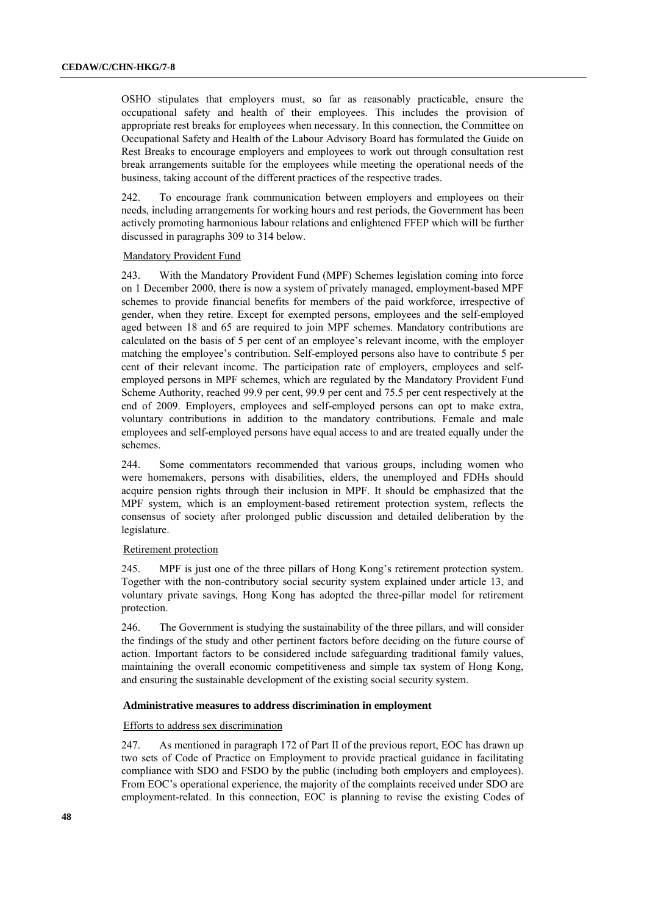OSHO stipulates that employers must, so far as reasonably practicable, ensure the occupational safety and health of their employees. This includes the provision of appropriate rest breaks for employees when necessary. In this connection, the Committee on Occupational Safety and Health of the Labour Advisory Board has formulated the Guide on Rest Breaks to encourage employers and employees to work out through consultation rest break arrangements suitable for the employees while meeting the operational needs of the business, taking account of the different practices of the respective trades.

242. To encourage frank communication between employers and employees on their needs, including arrangements for working hours and rest periods, the Government has been actively promoting harmonious labour relations and enlightened FFEP which will be further discussed in paragraphs 309 to 314 below.

### Mandatory Provident Fund

243. With the Mandatory Provident Fund (MPF) Schemes legislation coming into force on 1 December 2000, there is now a system of privately managed, employment-based MPF schemes to provide financial benefits for members of the paid workforce, irrespective of gender, when they retire. Except for exempted persons, employees and the self-employed aged between 18 and 65 are required to join MPF schemes. Mandatory contributions are calculated on the basis of 5 per cent of an employee's relevant income, with the employer matching the employee's contribution. Self-employed persons also have to contribute 5 per cent of their relevant income. The participation rate of employers, employees and selfemployed persons in MPF schemes, which are regulated by the Mandatory Provident Fund Scheme Authority, reached 99.9 per cent, 99.9 per cent and 75.5 per cent respectively at the end of 2009. Employers, employees and self-employed persons can opt to make extra, voluntary contributions in addition to the mandatory contributions. Female and male employees and self-employed persons have equal access to and are treated equally under the schemes.

244. Some commentators recommended that various groups, including women who were homemakers, persons with disabilities, elders, the unemployed and FDHs should acquire pension rights through their inclusion in MPF. It should be emphasized that the MPF system, which is an employment-based retirement protection system, reflects the consensus of society after prolonged public discussion and detailed deliberation by the legislature.

#### Retirement protection

245. MPF is just one of the three pillars of Hong Kong's retirement protection system. Together with the non-contributory social security system explained under article 13, and voluntary private savings, Hong Kong has adopted the three-pillar model for retirement protection.

246. The Government is studying the sustainability of the three pillars, and will consider the findings of the study and other pertinent factors before deciding on the future course of action. Important factors to be considered include safeguarding traditional family values, maintaining the overall economic competitiveness and simple tax system of Hong Kong, and ensuring the sustainable development of the existing social security system.

### **Administrative measures to address discrimination in employment**

### Efforts to address sex discrimination

247. As mentioned in paragraph 172 of Part II of the previous report, EOC has drawn up two sets of Code of Practice on Employment to provide practical guidance in facilitating compliance with SDO and FSDO by the public (including both employers and employees). From EOC's operational experience, the majority of the complaints received under SDO are employment-related. In this connection, EOC is planning to revise the existing Codes of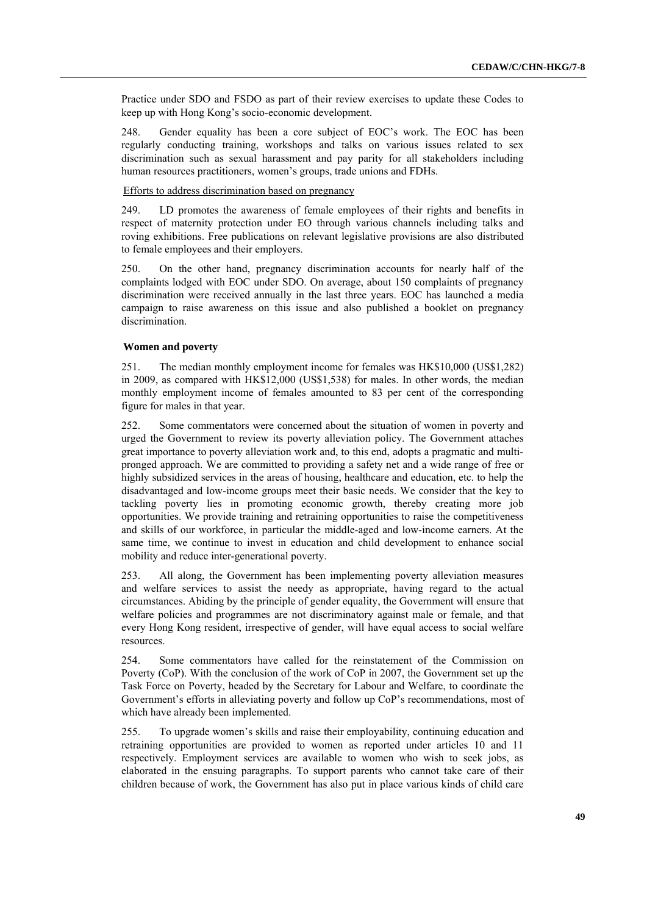Practice under SDO and FSDO as part of their review exercises to update these Codes to keep up with Hong Kong's socio-economic development.

248. Gender equality has been a core subject of EOC's work. The EOC has been regularly conducting training, workshops and talks on various issues related to sex discrimination such as sexual harassment and pay parity for all stakeholders including human resources practitioners, women's groups, trade unions and FDHs.

### Efforts to address discrimination based on pregnancy

249. LD promotes the awareness of female employees of their rights and benefits in respect of maternity protection under EO through various channels including talks and roving exhibitions. Free publications on relevant legislative provisions are also distributed to female employees and their employers.

250. On the other hand, pregnancy discrimination accounts for nearly half of the complaints lodged with EOC under SDO. On average, about 150 complaints of pregnancy discrimination were received annually in the last three years. EOC has launched a media campaign to raise awareness on this issue and also published a booklet on pregnancy discrimination.

### **Women and poverty**

251. The median monthly employment income for females was HK\$10,000 (US\$1,282) in 2009, as compared with HK\$12,000 (US\$1,538) for males. In other words, the median monthly employment income of females amounted to 83 per cent of the corresponding figure for males in that year.

252. Some commentators were concerned about the situation of women in poverty and urged the Government to review its poverty alleviation policy. The Government attaches great importance to poverty alleviation work and, to this end, adopts a pragmatic and multipronged approach. We are committed to providing a safety net and a wide range of free or highly subsidized services in the areas of housing, healthcare and education, etc. to help the disadvantaged and low-income groups meet their basic needs. We consider that the key to tackling poverty lies in promoting economic growth, thereby creating more job opportunities. We provide training and retraining opportunities to raise the competitiveness and skills of our workforce, in particular the middle-aged and low-income earners. At the same time, we continue to invest in education and child development to enhance social mobility and reduce inter-generational poverty.

253. All along, the Government has been implementing poverty alleviation measures and welfare services to assist the needy as appropriate, having regard to the actual circumstances. Abiding by the principle of gender equality, the Government will ensure that welfare policies and programmes are not discriminatory against male or female, and that every Hong Kong resident, irrespective of gender, will have equal access to social welfare resources.

254. Some commentators have called for the reinstatement of the Commission on Poverty (CoP). With the conclusion of the work of CoP in 2007, the Government set up the Task Force on Poverty, headed by the Secretary for Labour and Welfare, to coordinate the Government's efforts in alleviating poverty and follow up CoP's recommendations, most of which have already been implemented.

255. To upgrade women's skills and raise their employability, continuing education and retraining opportunities are provided to women as reported under articles 10 and 11 respectively. Employment services are available to women who wish to seek jobs, as elaborated in the ensuing paragraphs. To support parents who cannot take care of their children because of work, the Government has also put in place various kinds of child care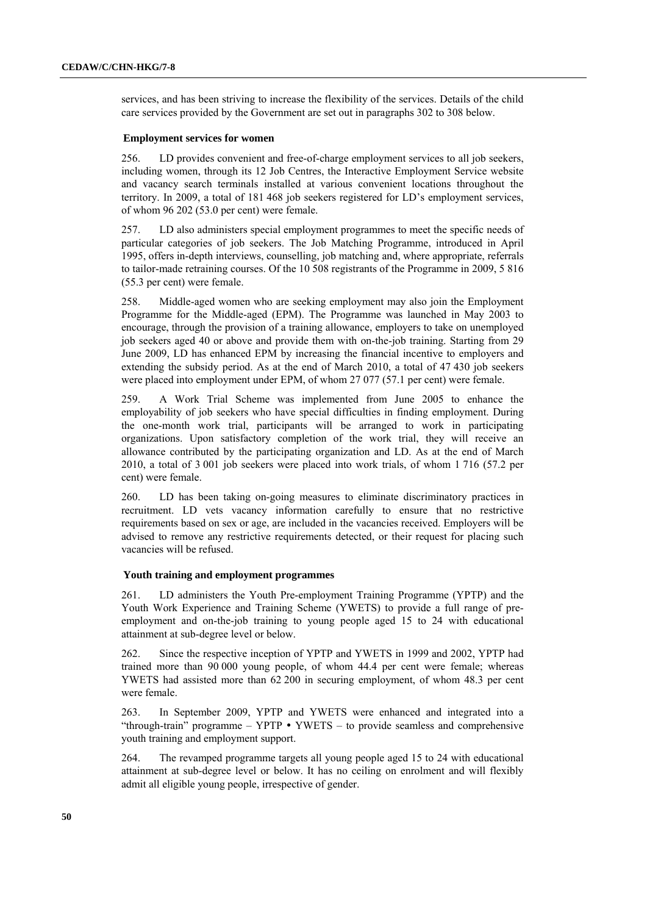services, and has been striving to increase the flexibility of the services. Details of the child care services provided by the Government are set out in paragraphs 302 to 308 below.

#### **Employment services for women**

256. LD provides convenient and free-of-charge employment services to all job seekers, including women, through its 12 Job Centres, the Interactive Employment Service website and vacancy search terminals installed at various convenient locations throughout the territory. In 2009, a total of 181 468 job seekers registered for LD's employment services, of whom 96 202 (53.0 per cent) were female.

257. LD also administers special employment programmes to meet the specific needs of particular categories of job seekers. The Job Matching Programme, introduced in April 1995, offers in-depth interviews, counselling, job matching and, where appropriate, referrals to tailor-made retraining courses. Of the 10 508 registrants of the Programme in 2009, 5 816 (55.3 per cent) were female.

258. Middle-aged women who are seeking employment may also join the Employment Programme for the Middle-aged (EPM). The Programme was launched in May 2003 to encourage, through the provision of a training allowance, employers to take on unemployed job seekers aged 40 or above and provide them with on-the-job training. Starting from 29 June 2009, LD has enhanced EPM by increasing the financial incentive to employers and extending the subsidy period. As at the end of March 2010, a total of 47 430 job seekers were placed into employment under EPM, of whom 27 077 (57.1 per cent) were female.

259. A Work Trial Scheme was implemented from June 2005 to enhance the employability of job seekers who have special difficulties in finding employment. During the one-month work trial, participants will be arranged to work in participating organizations. Upon satisfactory completion of the work trial, they will receive an allowance contributed by the participating organization and LD. As at the end of March 2010, a total of 3 001 job seekers were placed into work trials, of whom 1 716 (57.2 per cent) were female.

260. LD has been taking on-going measures to eliminate discriminatory practices in recruitment. LD vets vacancy information carefully to ensure that no restrictive requirements based on sex or age, are included in the vacancies received. Employers will be advised to remove any restrictive requirements detected, or their request for placing such vacancies will be refused.

#### **Youth training and employment programmes**

261. LD administers the Youth Pre-employment Training Programme (YPTP) and the Youth Work Experience and Training Scheme (YWETS) to provide a full range of preemployment and on-the-job training to young people aged 15 to 24 with educational attainment at sub-degree level or below.

262. Since the respective inception of YPTP and YWETS in 1999 and 2002, YPTP had trained more than 90 000 young people, of whom 44.4 per cent were female; whereas YWETS had assisted more than 62 200 in securing employment, of whom 48.3 per cent were female.

263. In September 2009, YPTP and YWETS were enhanced and integrated into a "through-train" programme  $-$  YPTP  $\bullet$  YWETS  $-$  to provide seamless and comprehensive youth training and employment support.

264. The revamped programme targets all young people aged 15 to 24 with educational attainment at sub-degree level or below. It has no ceiling on enrolment and will flexibly admit all eligible young people, irrespective of gender.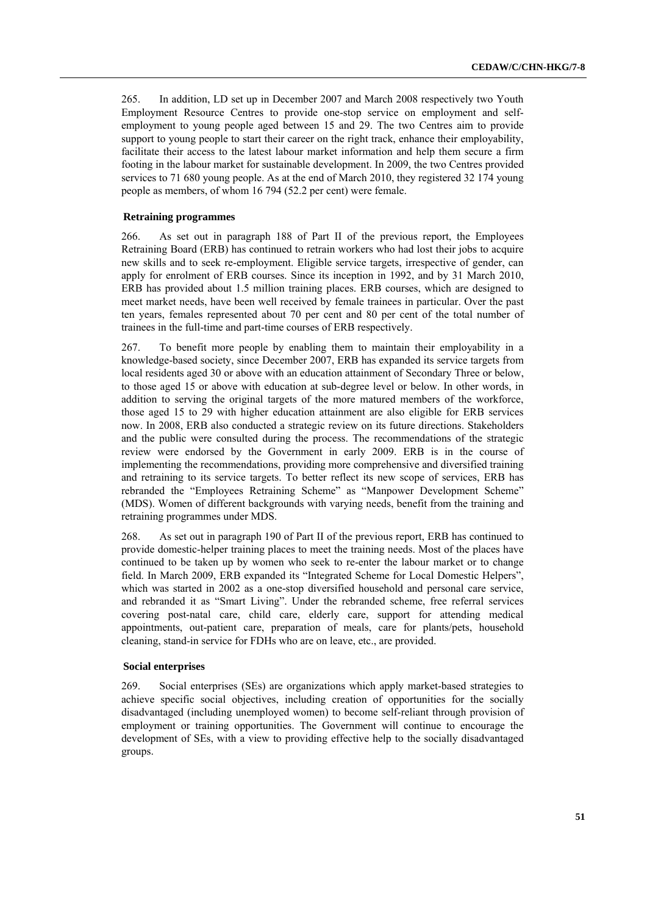265. In addition, LD set up in December 2007 and March 2008 respectively two Youth Employment Resource Centres to provide one-stop service on employment and selfemployment to young people aged between 15 and 29. The two Centres aim to provide support to young people to start their career on the right track, enhance their employability, facilitate their access to the latest labour market information and help them secure a firm footing in the labour market for sustainable development. In 2009, the two Centres provided services to 71 680 young people. As at the end of March 2010, they registered 32 174 young people as members, of whom 16 794 (52.2 per cent) were female.

## **Retraining programmes**

266. As set out in paragraph 188 of Part II of the previous report, the Employees Retraining Board (ERB) has continued to retrain workers who had lost their jobs to acquire new skills and to seek re-employment. Eligible service targets, irrespective of gender, can apply for enrolment of ERB courses. Since its inception in 1992, and by 31 March 2010, ERB has provided about 1.5 million training places. ERB courses, which are designed to meet market needs, have been well received by female trainees in particular. Over the past ten years, females represented about 70 per cent and 80 per cent of the total number of trainees in the full-time and part-time courses of ERB respectively.

267. To benefit more people by enabling them to maintain their employability in a knowledge-based society, since December 2007, ERB has expanded its service targets from local residents aged 30 or above with an education attainment of Secondary Three or below, to those aged 15 or above with education at sub-degree level or below. In other words, in addition to serving the original targets of the more matured members of the workforce, those aged 15 to 29 with higher education attainment are also eligible for ERB services now. In 2008, ERB also conducted a strategic review on its future directions. Stakeholders and the public were consulted during the process. The recommendations of the strategic review were endorsed by the Government in early 2009. ERB is in the course of implementing the recommendations, providing more comprehensive and diversified training and retraining to its service targets. To better reflect its new scope of services, ERB has rebranded the "Employees Retraining Scheme" as "Manpower Development Scheme" (MDS). Women of different backgrounds with varying needs, benefit from the training and retraining programmes under MDS.

268. As set out in paragraph 190 of Part II of the previous report, ERB has continued to provide domestic-helper training places to meet the training needs. Most of the places have continued to be taken up by women who seek to re-enter the labour market or to change field. In March 2009, ERB expanded its "Integrated Scheme for Local Domestic Helpers", which was started in 2002 as a one-stop diversified household and personal care service, and rebranded it as "Smart Living". Under the rebranded scheme, free referral services covering post-natal care, child care, elderly care, support for attending medical appointments, out-patient care, preparation of meals, care for plants/pets, household cleaning, stand-in service for FDHs who are on leave, etc., are provided.

### **Social enterprises**

269. Social enterprises (SEs) are organizations which apply market-based strategies to achieve specific social objectives, including creation of opportunities for the socially disadvantaged (including unemployed women) to become self-reliant through provision of employment or training opportunities. The Government will continue to encourage the development of SEs, with a view to providing effective help to the socially disadvantaged groups.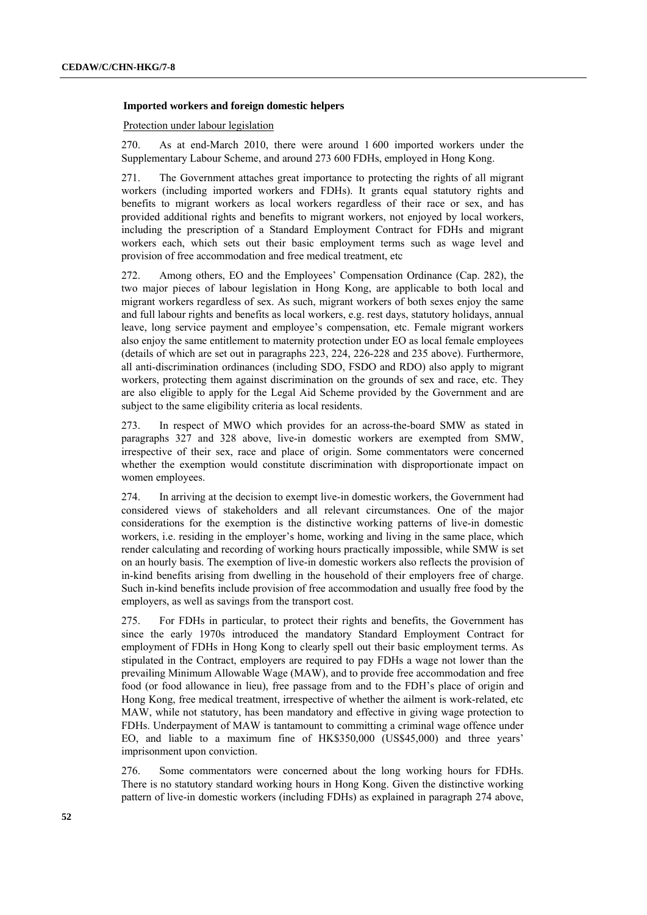### **Imported workers and foreign domestic helpers**

Protection under labour legislation

270. As at end-March 2010, there were around 1 600 imported workers under the Supplementary Labour Scheme, and around 273 600 FDHs, employed in Hong Kong.

271. The Government attaches great importance to protecting the rights of all migrant workers (including imported workers and FDHs). It grants equal statutory rights and benefits to migrant workers as local workers regardless of their race or sex, and has provided additional rights and benefits to migrant workers, not enjoyed by local workers, including the prescription of a Standard Employment Contract for FDHs and migrant workers each, which sets out their basic employment terms such as wage level and provision of free accommodation and free medical treatment, etc

272. Among others, EO and the Employees' Compensation Ordinance (Cap. 282), the two major pieces of labour legislation in Hong Kong, are applicable to both local and migrant workers regardless of sex. As such, migrant workers of both sexes enjoy the same and full labour rights and benefits as local workers, e.g. rest days, statutory holidays, annual leave, long service payment and employee's compensation, etc. Female migrant workers also enjoy the same entitlement to maternity protection under EO as local female employees (details of which are set out in paragraphs 223, 224, 226-228 and 235 above). Furthermore, all anti-discrimination ordinances (including SDO, FSDO and RDO) also apply to migrant workers, protecting them against discrimination on the grounds of sex and race, etc. They are also eligible to apply for the Legal Aid Scheme provided by the Government and are subject to the same eligibility criteria as local residents.

273. In respect of MWO which provides for an across-the-board SMW as stated in paragraphs 327 and 328 above, live-in domestic workers are exempted from SMW, irrespective of their sex, race and place of origin. Some commentators were concerned whether the exemption would constitute discrimination with disproportionate impact on women employees.

274. In arriving at the decision to exempt live-in domestic workers, the Government had considered views of stakeholders and all relevant circumstances. One of the major considerations for the exemption is the distinctive working patterns of live-in domestic workers, i.e. residing in the employer's home, working and living in the same place, which render calculating and recording of working hours practically impossible, while SMW is set on an hourly basis. The exemption of live-in domestic workers also reflects the provision of in-kind benefits arising from dwelling in the household of their employers free of charge. Such in-kind benefits include provision of free accommodation and usually free food by the employers, as well as savings from the transport cost.

275. For FDHs in particular, to protect their rights and benefits, the Government has since the early 1970s introduced the mandatory Standard Employment Contract for employment of FDHs in Hong Kong to clearly spell out their basic employment terms. As stipulated in the Contract, employers are required to pay FDHs a wage not lower than the prevailing Minimum Allowable Wage (MAW), and to provide free accommodation and free food (or food allowance in lieu), free passage from and to the FDH's place of origin and Hong Kong, free medical treatment, irrespective of whether the ailment is work-related, etc MAW, while not statutory, has been mandatory and effective in giving wage protection to FDHs. Underpayment of MAW is tantamount to committing a criminal wage offence under EO, and liable to a maximum fine of HK\$350,000 (US\$45,000) and three years' imprisonment upon conviction.

276. Some commentators were concerned about the long working hours for FDHs. There is no statutory standard working hours in Hong Kong. Given the distinctive working pattern of live-in domestic workers (including FDHs) as explained in paragraph 274 above,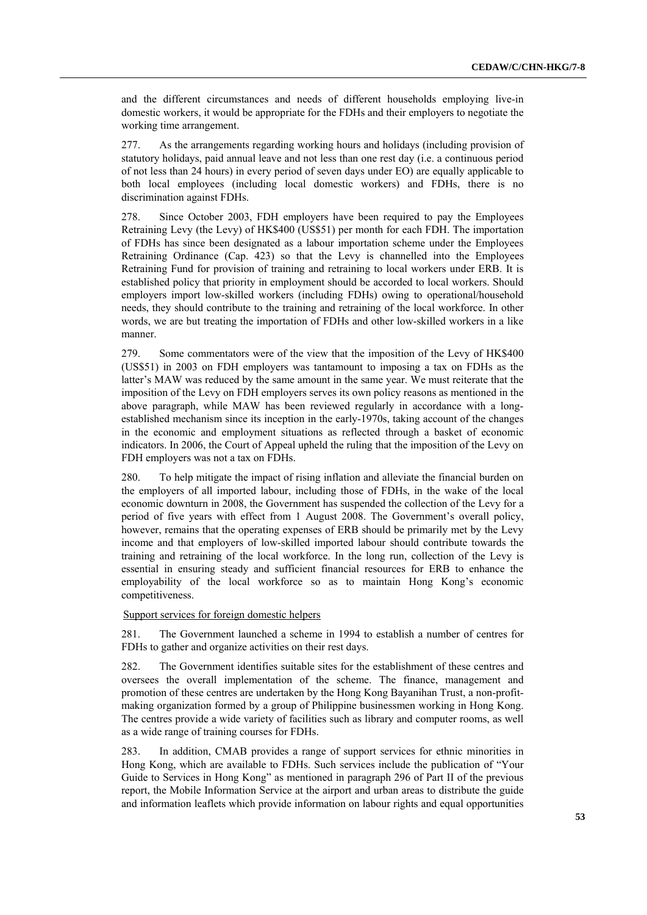and the different circumstances and needs of different households employing live-in domestic workers, it would be appropriate for the FDHs and their employers to negotiate the working time arrangement.

277. As the arrangements regarding working hours and holidays (including provision of statutory holidays, paid annual leave and not less than one rest day (i.e. a continuous period of not less than 24 hours) in every period of seven days under EO) are equally applicable to both local employees (including local domestic workers) and FDHs, there is no discrimination against FDHs.

278. Since October 2003, FDH employers have been required to pay the Employees Retraining Levy (the Levy) of HK\$400 (US\$51) per month for each FDH. The importation of FDHs has since been designated as a labour importation scheme under the Employees Retraining Ordinance (Cap. 423) so that the Levy is channelled into the Employees Retraining Fund for provision of training and retraining to local workers under ERB. It is established policy that priority in employment should be accorded to local workers. Should employers import low-skilled workers (including FDHs) owing to operational/household needs, they should contribute to the training and retraining of the local workforce. In other words, we are but treating the importation of FDHs and other low-skilled workers in a like manner.

279. Some commentators were of the view that the imposition of the Levy of HK\$400 (US\$51) in 2003 on FDH employers was tantamount to imposing a tax on FDHs as the latter's MAW was reduced by the same amount in the same year. We must reiterate that the imposition of the Levy on FDH employers serves its own policy reasons as mentioned in the above paragraph, while MAW has been reviewed regularly in accordance with a longestablished mechanism since its inception in the early-1970s, taking account of the changes in the economic and employment situations as reflected through a basket of economic indicators. In 2006, the Court of Appeal upheld the ruling that the imposition of the Levy on FDH employers was not a tax on FDHs.

280. To help mitigate the impact of rising inflation and alleviate the financial burden on the employers of all imported labour, including those of FDHs, in the wake of the local economic downturn in 2008, the Government has suspended the collection of the Levy for a period of five years with effect from 1 August 2008. The Government's overall policy, however, remains that the operating expenses of ERB should be primarily met by the Levy income and that employers of low-skilled imported labour should contribute towards the training and retraining of the local workforce. In the long run, collection of the Levy is essential in ensuring steady and sufficient financial resources for ERB to enhance the employability of the local workforce so as to maintain Hong Kong's economic competitiveness.

## Support services for foreign domestic helpers

281. The Government launched a scheme in 1994 to establish a number of centres for FDHs to gather and organize activities on their rest days.

282. The Government identifies suitable sites for the establishment of these centres and oversees the overall implementation of the scheme. The finance, management and promotion of these centres are undertaken by the Hong Kong Bayanihan Trust, a non-profitmaking organization formed by a group of Philippine businessmen working in Hong Kong. The centres provide a wide variety of facilities such as library and computer rooms, as well as a wide range of training courses for FDHs.

283. In addition, CMAB provides a range of support services for ethnic minorities in Hong Kong, which are available to FDHs. Such services include the publication of "Your Guide to Services in Hong Kong" as mentioned in paragraph 296 of Part II of the previous report, the Mobile Information Service at the airport and urban areas to distribute the guide and information leaflets which provide information on labour rights and equal opportunities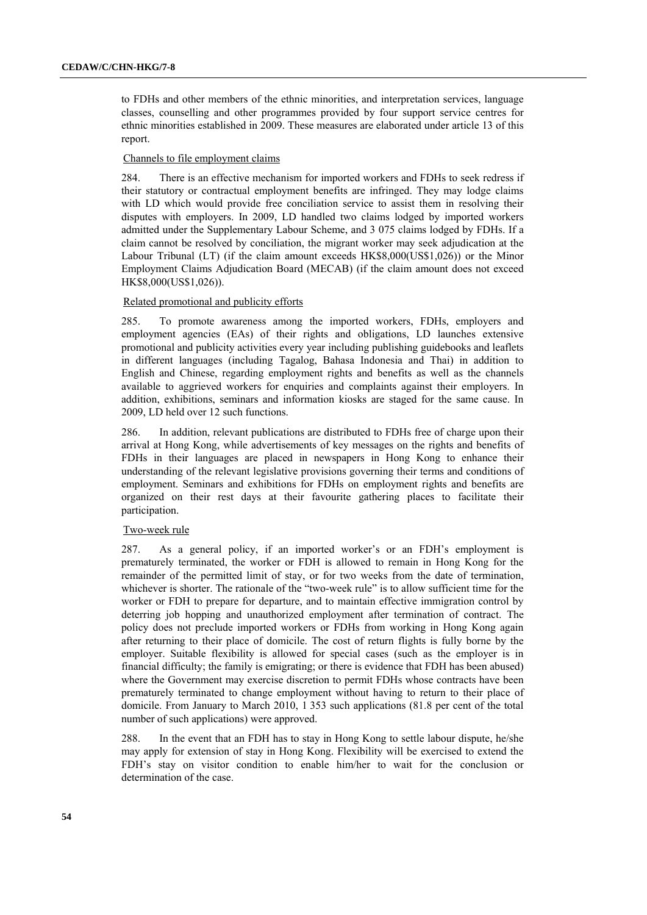to FDHs and other members of the ethnic minorities, and interpretation services, language classes, counselling and other programmes provided by four support service centres for ethnic minorities established in 2009. These measures are elaborated under article 13 of this report.

## Channels to file employment claims

284. There is an effective mechanism for imported workers and FDHs to seek redress if their statutory or contractual employment benefits are infringed. They may lodge claims with LD which would provide free conciliation service to assist them in resolving their disputes with employers. In 2009, LD handled two claims lodged by imported workers admitted under the Supplementary Labour Scheme, and 3 075 claims lodged by FDHs. If a claim cannot be resolved by conciliation, the migrant worker may seek adjudication at the Labour Tribunal (LT) (if the claim amount exceeds HK\$8,000(US\$1,026)) or the Minor Employment Claims Adjudication Board (MECAB) (if the claim amount does not exceed HK\$8,000(US\$1,026)).

## Related promotional and publicity efforts

285. To promote awareness among the imported workers, FDHs, employers and employment agencies (EAs) of their rights and obligations, LD launches extensive promotional and publicity activities every year including publishing guidebooks and leaflets in different languages (including Tagalog, Bahasa Indonesia and Thai) in addition to English and Chinese, regarding employment rights and benefits as well as the channels available to aggrieved workers for enquiries and complaints against their employers. In addition, exhibitions, seminars and information kiosks are staged for the same cause. In 2009, LD held over 12 such functions.

286. In addition, relevant publications are distributed to FDHs free of charge upon their arrival at Hong Kong, while advertisements of key messages on the rights and benefits of FDHs in their languages are placed in newspapers in Hong Kong to enhance their understanding of the relevant legislative provisions governing their terms and conditions of employment. Seminars and exhibitions for FDHs on employment rights and benefits are organized on their rest days at their favourite gathering places to facilitate their participation.

## Two-week rule

287. As a general policy, if an imported worker's or an FDH's employment is prematurely terminated, the worker or FDH is allowed to remain in Hong Kong for the remainder of the permitted limit of stay, or for two weeks from the date of termination, whichever is shorter. The rationale of the "two-week rule" is to allow sufficient time for the worker or FDH to prepare for departure, and to maintain effective immigration control by deterring job hopping and unauthorized employment after termination of contract. The policy does not preclude imported workers or FDHs from working in Hong Kong again after returning to their place of domicile. The cost of return flights is fully borne by the employer. Suitable flexibility is allowed for special cases (such as the employer is in financial difficulty; the family is emigrating; or there is evidence that FDH has been abused) where the Government may exercise discretion to permit FDHs whose contracts have been prematurely terminated to change employment without having to return to their place of domicile. From January to March 2010, 1 353 such applications (81.8 per cent of the total number of such applications) were approved.

288. In the event that an FDH has to stay in Hong Kong to settle labour dispute, he/she may apply for extension of stay in Hong Kong. Flexibility will be exercised to extend the FDH's stay on visitor condition to enable him/her to wait for the conclusion or determination of the case.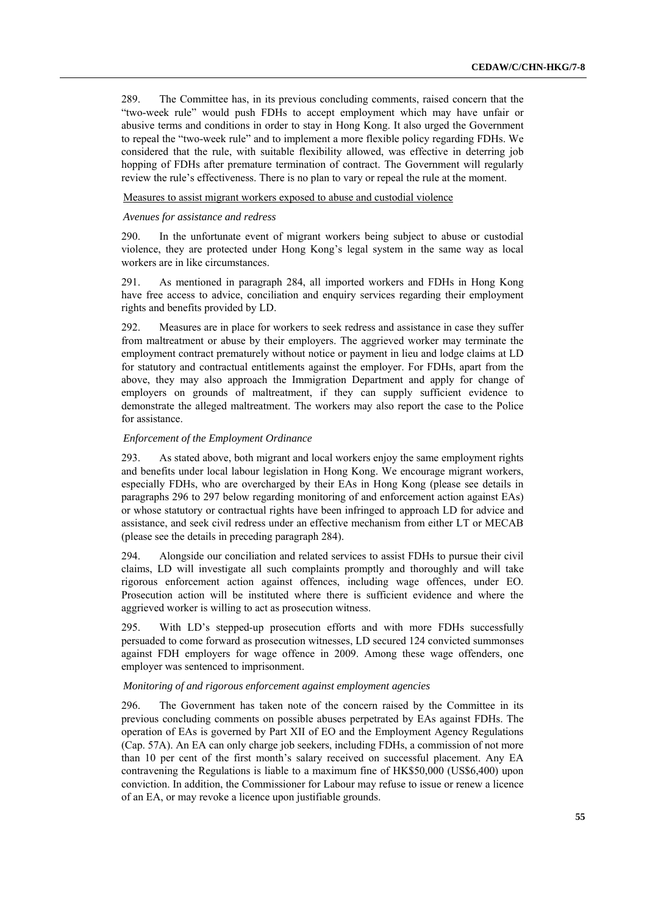289. The Committee has, in its previous concluding comments, raised concern that the "two-week rule" would push FDHs to accept employment which may have unfair or abusive terms and conditions in order to stay in Hong Kong. It also urged the Government to repeal the "two-week rule" and to implement a more flexible policy regarding FDHs. We considered that the rule, with suitable flexibility allowed, was effective in deterring job hopping of FDHs after premature termination of contract. The Government will regularly review the rule's effectiveness. There is no plan to vary or repeal the rule at the moment.

Measures to assist migrant workers exposed to abuse and custodial violence

### *Avenues for assistance and redress*

290. In the unfortunate event of migrant workers being subject to abuse or custodial violence, they are protected under Hong Kong's legal system in the same way as local workers are in like circumstances.

291. As mentioned in paragraph 284, all imported workers and FDHs in Hong Kong have free access to advice, conciliation and enquiry services regarding their employment rights and benefits provided by LD.

292. Measures are in place for workers to seek redress and assistance in case they suffer from maltreatment or abuse by their employers. The aggrieved worker may terminate the employment contract prematurely without notice or payment in lieu and lodge claims at LD for statutory and contractual entitlements against the employer. For FDHs, apart from the above, they may also approach the Immigration Department and apply for change of employers on grounds of maltreatment, if they can supply sufficient evidence to demonstrate the alleged maltreatment. The workers may also report the case to the Police for assistance.

### *Enforcement of the Employment Ordinance*

293. As stated above, both migrant and local workers enjoy the same employment rights and benefits under local labour legislation in Hong Kong. We encourage migrant workers, especially FDHs, who are overcharged by their EAs in Hong Kong (please see details in paragraphs 296 to 297 below regarding monitoring of and enforcement action against EAs) or whose statutory or contractual rights have been infringed to approach LD for advice and assistance, and seek civil redress under an effective mechanism from either LT or MECAB (please see the details in preceding paragraph 284).

294. Alongside our conciliation and related services to assist FDHs to pursue their civil claims, LD will investigate all such complaints promptly and thoroughly and will take rigorous enforcement action against offences, including wage offences, under EO. Prosecution action will be instituted where there is sufficient evidence and where the aggrieved worker is willing to act as prosecution witness.

295. With LD's stepped-up prosecution efforts and with more FDHs successfully persuaded to come forward as prosecution witnesses, LD secured 124 convicted summonses against FDH employers for wage offence in 2009. Among these wage offenders, one employer was sentenced to imprisonment.

#### *Monitoring of and rigorous enforcement against employment agencies*

296. The Government has taken note of the concern raised by the Committee in its previous concluding comments on possible abuses perpetrated by EAs against FDHs. The operation of EAs is governed by Part XII of EO and the Employment Agency Regulations (Cap. 57A). An EA can only charge job seekers, including FDHs, a commission of not more than 10 per cent of the first month's salary received on successful placement. Any EA contravening the Regulations is liable to a maximum fine of HK\$50,000 (US\$6,400) upon conviction. In addition, the Commissioner for Labour may refuse to issue or renew a licence of an EA, or may revoke a licence upon justifiable grounds.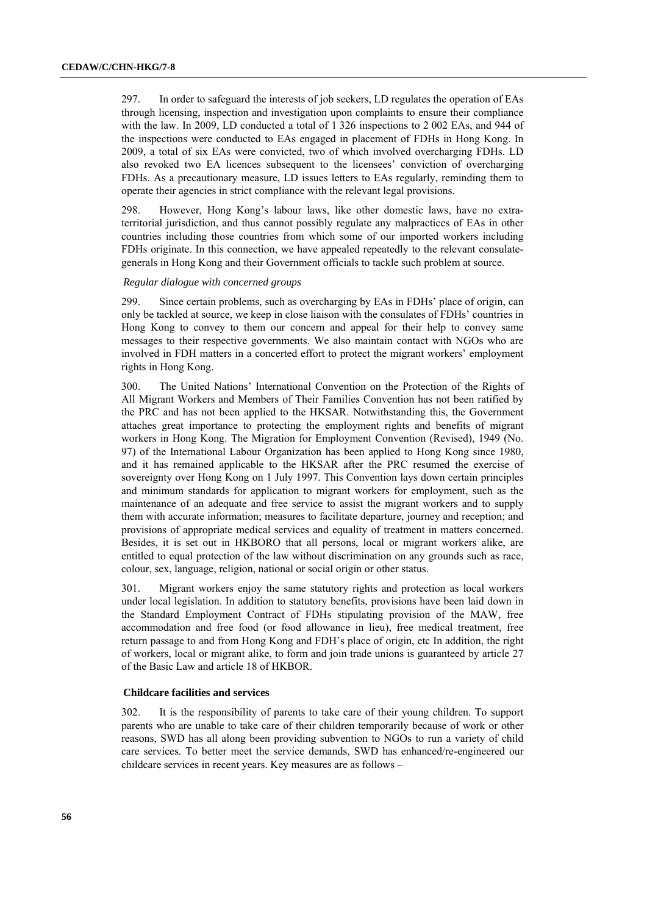297. In order to safeguard the interests of job seekers, LD regulates the operation of EAs through licensing, inspection and investigation upon complaints to ensure their compliance with the law. In 2009, LD conducted a total of 1 326 inspections to 2 002 EAs, and 944 of the inspections were conducted to EAs engaged in placement of FDHs in Hong Kong. In 2009, a total of six EAs were convicted, two of which involved overcharging FDHs. LD also revoked two EA licences subsequent to the licensees' conviction of overcharging FDHs. As a precautionary measure, LD issues letters to EAs regularly, reminding them to operate their agencies in strict compliance with the relevant legal provisions.

298. However, Hong Kong's labour laws, like other domestic laws, have no extraterritorial jurisdiction, and thus cannot possibly regulate any malpractices of EAs in other countries including those countries from which some of our imported workers including FDHs originate. In this connection, we have appealed repeatedly to the relevant consulategenerals in Hong Kong and their Government officials to tackle such problem at source.

### *Regular dialogue with concerned groups*

299. Since certain problems, such as overcharging by EAs in FDHs' place of origin, can only be tackled at source, we keep in close liaison with the consulates of FDHs' countries in Hong Kong to convey to them our concern and appeal for their help to convey same messages to their respective governments. We also maintain contact with NGOs who are involved in FDH matters in a concerted effort to protect the migrant workers' employment rights in Hong Kong.

300. The United Nations' International Convention on the Protection of the Rights of All Migrant Workers and Members of Their Families Convention has not been ratified by the PRC and has not been applied to the HKSAR. Notwithstanding this, the Government attaches great importance to protecting the employment rights and benefits of migrant workers in Hong Kong. The Migration for Employment Convention (Revised), 1949 (No. 97) of the International Labour Organization has been applied to Hong Kong since 1980, and it has remained applicable to the HKSAR after the PRC resumed the exercise of sovereignty over Hong Kong on 1 July 1997. This Convention lays down certain principles and minimum standards for application to migrant workers for employment, such as the maintenance of an adequate and free service to assist the migrant workers and to supply them with accurate information; measures to facilitate departure, journey and reception; and provisions of appropriate medical services and equality of treatment in matters concerned. Besides, it is set out in HKBORO that all persons, local or migrant workers alike, are entitled to equal protection of the law without discrimination on any grounds such as race, colour, sex, language, religion, national or social origin or other status.

301. Migrant workers enjoy the same statutory rights and protection as local workers under local legislation. In addition to statutory benefits, provisions have been laid down in the Standard Employment Contract of FDHs stipulating provision of the MAW, free accommodation and free food (or food allowance in lieu), free medical treatment, free return passage to and from Hong Kong and FDH's place of origin, etc In addition, the right of workers, local or migrant alike, to form and join trade unions is guaranteed by article 27 of the Basic Law and article 18 of HKBOR.

### **Childcare facilities and services**

302. It is the responsibility of parents to take care of their young children. To support parents who are unable to take care of their children temporarily because of work or other reasons, SWD has all along been providing subvention to NGOs to run a variety of child care services. To better meet the service demands, SWD has enhanced/re-engineered our childcare services in recent years. Key measures are as follows –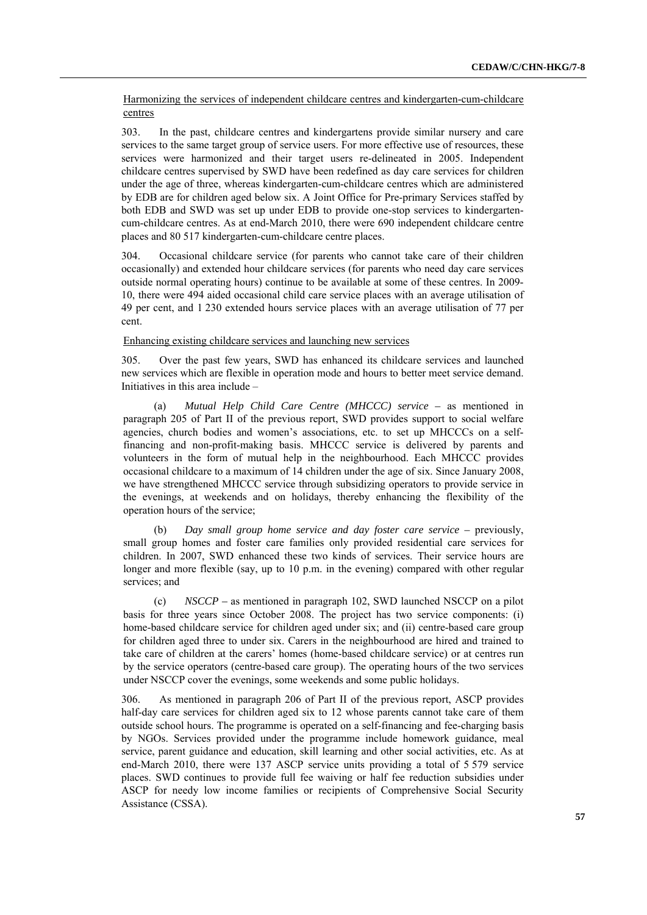## Harmonizing the services of independent childcare centres and kindergarten-cum-childcare centres

303. In the past, childcare centres and kindergartens provide similar nursery and care services to the same target group of service users. For more effective use of resources, these services were harmonized and their target users re-delineated in 2005. Independent childcare centres supervised by SWD have been redefined as day care services for children under the age of three, whereas kindergarten-cum-childcare centres which are administered by EDB are for children aged below six. A Joint Office for Pre-primary Services staffed by both EDB and SWD was set up under EDB to provide one-stop services to kindergartencum-childcare centres. As at end-March 2010, there were 690 independent childcare centre places and 80 517 kindergarten-cum-childcare centre places.

304. Occasional childcare service (for parents who cannot take care of their children occasionally) and extended hour childcare services (for parents who need day care services outside normal operating hours) continue to be available at some of these centres. In 2009- 10, there were 494 aided occasional child care service places with an average utilisation of 49 per cent, and 1 230 extended hours service places with an average utilisation of 77 per cent.

### Enhancing existing childcare services and launching new services

305. Over the past few years, SWD has enhanced its childcare services and launched new services which are flexible in operation mode and hours to better meet service demand. Initiatives in this area include –

(a) *Mutual Help Child Care Centre (MHCCC) service –* as mentioned in paragraph 205 of Part II of the previous report, SWD provides support to social welfare agencies, church bodies and women's associations, etc. to set up MHCCCs on a selffinancing and non-profit-making basis. MHCCC service is delivered by parents and volunteers in the form of mutual help in the neighbourhood. Each MHCCC provides occasional childcare to a maximum of 14 children under the age of six. Since January 2008, we have strengthened MHCCC service through subsidizing operators to provide service in the evenings, at weekends and on holidays, thereby enhancing the flexibility of the operation hours of the service;

Day small group home service and day foster care service – previously, small group homes and foster care families only provided residential care services for children. In 2007, SWD enhanced these two kinds of services. Their service hours are longer and more flexible (say, up to 10 p.m. in the evening) compared with other regular services; and

(c) *NSCCP –* as mentioned in paragraph 102, SWD launched NSCCP on a pilot basis for three years since October 2008. The project has two service components: (i) home-based childcare service for children aged under six; and (ii) centre-based care group for children aged three to under six. Carers in the neighbourhood are hired and trained to take care of children at the carers' homes (home-based childcare service) or at centres run by the service operators (centre-based care group). The operating hours of the two services under NSCCP cover the evenings, some weekends and some public holidays.

306. As mentioned in paragraph 206 of Part II of the previous report, ASCP provides half-day care services for children aged six to 12 whose parents cannot take care of them outside school hours. The programme is operated on a self-financing and fee-charging basis by NGOs. Services provided under the programme include homework guidance, meal service, parent guidance and education, skill learning and other social activities, etc. As at end-March 2010, there were 137 ASCP service units providing a total of 5 579 service places. SWD continues to provide full fee waiving or half fee reduction subsidies under ASCP for needy low income families or recipients of Comprehensive Social Security Assistance (CSSA).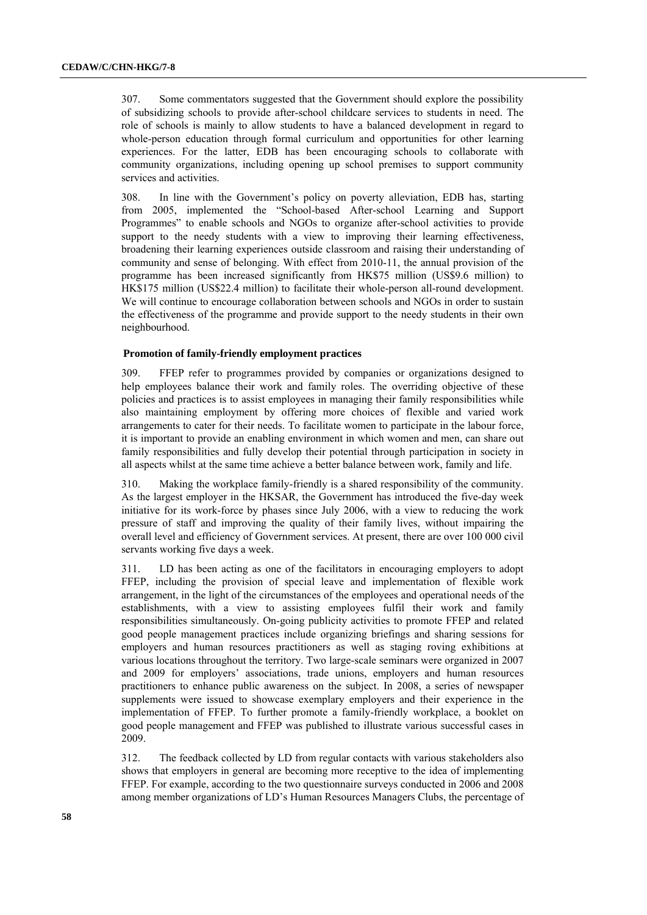307. Some commentators suggested that the Government should explore the possibility of subsidizing schools to provide after-school childcare services to students in need. The role of schools is mainly to allow students to have a balanced development in regard to whole-person education through formal curriculum and opportunities for other learning experiences. For the latter, EDB has been encouraging schools to collaborate with community organizations, including opening up school premises to support community services and activities.

308. In line with the Government's policy on poverty alleviation, EDB has, starting from 2005, implemented the "School-based After-school Learning and Support Programmes" to enable schools and NGOs to organize after-school activities to provide support to the needy students with a view to improving their learning effectiveness, broadening their learning experiences outside classroom and raising their understanding of community and sense of belonging. With effect from 2010-11, the annual provision of the programme has been increased significantly from HK\$75 million (US\$9.6 million) to HK\$175 million (US\$22.4 million) to facilitate their whole-person all-round development. We will continue to encourage collaboration between schools and NGOs in order to sustain the effectiveness of the programme and provide support to the needy students in their own neighbourhood.

### **Promotion of family-friendly employment practices**

309. FFEP refer to programmes provided by companies or organizations designed to help employees balance their work and family roles. The overriding objective of these policies and practices is to assist employees in managing their family responsibilities while also maintaining employment by offering more choices of flexible and varied work arrangements to cater for their needs. To facilitate women to participate in the labour force, it is important to provide an enabling environment in which women and men, can share out family responsibilities and fully develop their potential through participation in society in all aspects whilst at the same time achieve a better balance between work, family and life.

310. Making the workplace family-friendly is a shared responsibility of the community. As the largest employer in the HKSAR, the Government has introduced the five-day week initiative for its work-force by phases since July 2006, with a view to reducing the work pressure of staff and improving the quality of their family lives, without impairing the overall level and efficiency of Government services. At present, there are over 100 000 civil servants working five days a week.

311. LD has been acting as one of the facilitators in encouraging employers to adopt FFEP, including the provision of special leave and implementation of flexible work arrangement, in the light of the circumstances of the employees and operational needs of the establishments, with a view to assisting employees fulfil their work and family responsibilities simultaneously. On-going publicity activities to promote FFEP and related good people management practices include organizing briefings and sharing sessions for employers and human resources practitioners as well as staging roving exhibitions at various locations throughout the territory. Two large-scale seminars were organized in 2007 and 2009 for employers' associations, trade unions, employers and human resources practitioners to enhance public awareness on the subject. In 2008, a series of newspaper supplements were issued to showcase exemplary employers and their experience in the implementation of FFEP. To further promote a family-friendly workplace, a booklet on good people management and FFEP was published to illustrate various successful cases in 2009.

312. The feedback collected by LD from regular contacts with various stakeholders also shows that employers in general are becoming more receptive to the idea of implementing FFEP. For example, according to the two questionnaire surveys conducted in 2006 and 2008 among member organizations of LD's Human Resources Managers Clubs, the percentage of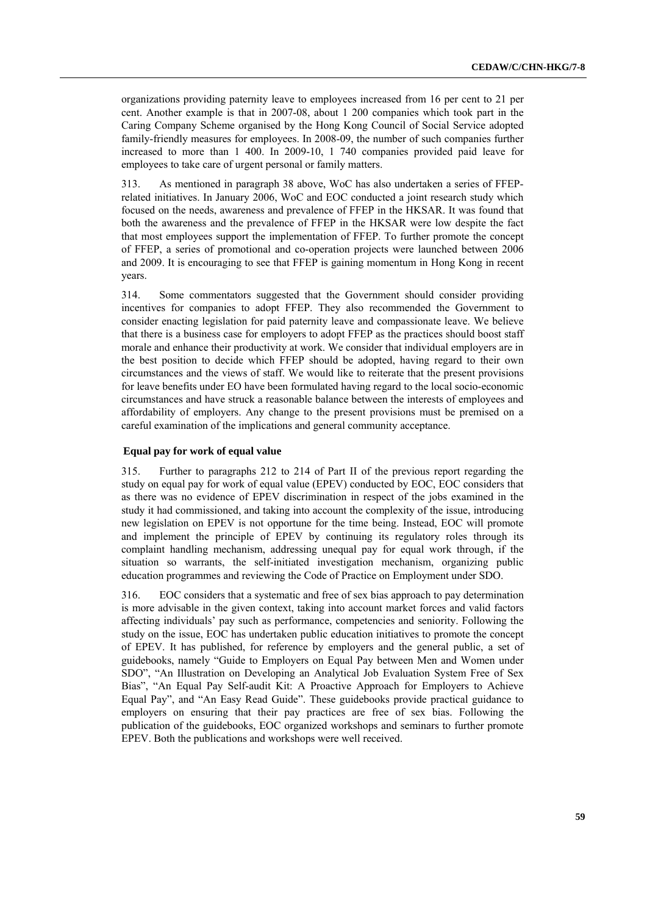organizations providing paternity leave to employees increased from 16 per cent to 21 per cent. Another example is that in 2007-08, about 1 200 companies which took part in the Caring Company Scheme organised by the Hong Kong Council of Social Service adopted family-friendly measures for employees. In 2008-09, the number of such companies further increased to more than 1 400. In 2009-10, 1 740 companies provided paid leave for employees to take care of urgent personal or family matters.

313. As mentioned in paragraph 38 above, WoC has also undertaken a series of FFEPrelated initiatives. In January 2006, WoC and EOC conducted a joint research study which focused on the needs, awareness and prevalence of FFEP in the HKSAR. It was found that both the awareness and the prevalence of FFEP in the HKSAR were low despite the fact that most employees support the implementation of FFEP. To further promote the concept of FFEP, a series of promotional and co-operation projects were launched between 2006 and 2009. It is encouraging to see that FFEP is gaining momentum in Hong Kong in recent years.

314. Some commentators suggested that the Government should consider providing incentives for companies to adopt FFEP. They also recommended the Government to consider enacting legislation for paid paternity leave and compassionate leave. We believe that there is a business case for employers to adopt FFEP as the practices should boost staff morale and enhance their productivity at work. We consider that individual employers are in the best position to decide which FFEP should be adopted, having regard to their own circumstances and the views of staff. We would like to reiterate that the present provisions for leave benefits under EO have been formulated having regard to the local socio-economic circumstances and have struck a reasonable balance between the interests of employees and affordability of employers. Any change to the present provisions must be premised on a careful examination of the implications and general community acceptance.

### **Equal pay for work of equal value**

315. Further to paragraphs 212 to 214 of Part II of the previous report regarding the study on equal pay for work of equal value (EPEV) conducted by EOC, EOC considers that as there was no evidence of EPEV discrimination in respect of the jobs examined in the study it had commissioned, and taking into account the complexity of the issue, introducing new legislation on EPEV is not opportune for the time being. Instead, EOC will promote and implement the principle of EPEV by continuing its regulatory roles through its complaint handling mechanism, addressing unequal pay for equal work through, if the situation so warrants, the self-initiated investigation mechanism, organizing public education programmes and reviewing the Code of Practice on Employment under SDO.

316. EOC considers that a systematic and free of sex bias approach to pay determination is more advisable in the given context, taking into account market forces and valid factors affecting individuals' pay such as performance, competencies and seniority. Following the study on the issue, EOC has undertaken public education initiatives to promote the concept of EPEV. It has published, for reference by employers and the general public, a set of guidebooks, namely "Guide to Employers on Equal Pay between Men and Women under SDO", "An Illustration on Developing an Analytical Job Evaluation System Free of Sex Bias", "An Equal Pay Self-audit Kit: A Proactive Approach for Employers to Achieve Equal Pay", and "An Easy Read Guide". These guidebooks provide practical guidance to employers on ensuring that their pay practices are free of sex bias. Following the publication of the guidebooks, EOC organized workshops and seminars to further promote EPEV. Both the publications and workshops were well received.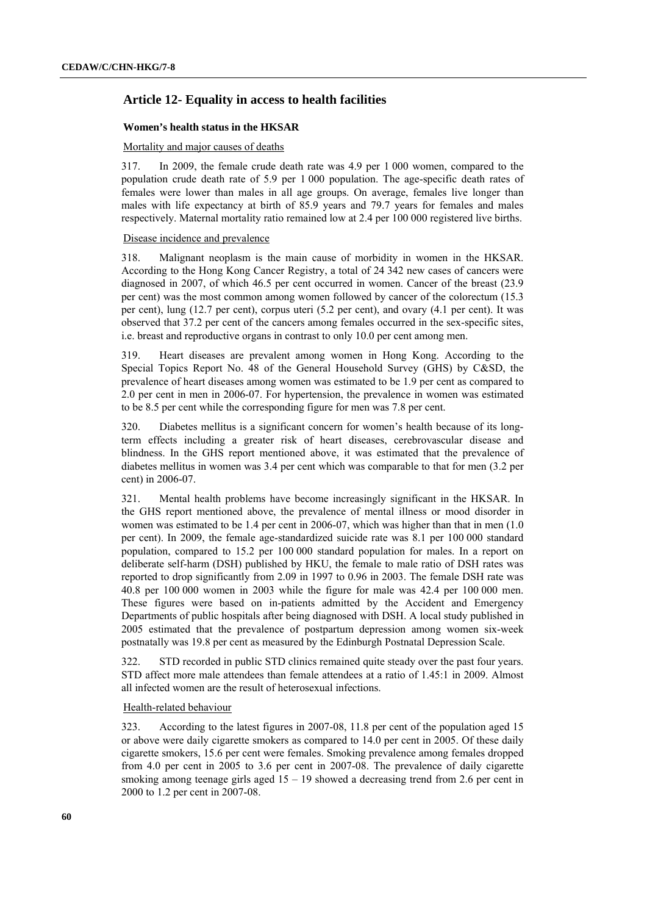# **Article 12- Equality in access to health facilities**

## **Women's health status in the HKSAR**

## Mortality and major causes of deaths

317. In 2009, the female crude death rate was 4.9 per 1 000 women, compared to the population crude death rate of 5.9 per 1 000 population. The age-specific death rates of females were lower than males in all age groups. On average, females live longer than males with life expectancy at birth of 85.9 years and 79.7 years for females and males respectively. Maternal mortality ratio remained low at 2.4 per 100 000 registered live births.

### Disease incidence and prevalence

318. Malignant neoplasm is the main cause of morbidity in women in the HKSAR. According to the Hong Kong Cancer Registry, a total of 24 342 new cases of cancers were diagnosed in 2007, of which 46.5 per cent occurred in women. Cancer of the breast (23.9 per cent) was the most common among women followed by cancer of the colorectum (15.3 per cent), lung (12.7 per cent), corpus uteri (5.2 per cent), and ovary (4.1 per cent). It was observed that 37.2 per cent of the cancers among females occurred in the sex-specific sites, i.e. breast and reproductive organs in contrast to only 10.0 per cent among men.

319. Heart diseases are prevalent among women in Hong Kong. According to the Special Topics Report No. 48 of the General Household Survey (GHS) by C&SD, the prevalence of heart diseases among women was estimated to be 1.9 per cent as compared to 2.0 per cent in men in 2006-07. For hypertension, the prevalence in women was estimated to be 8.5 per cent while the corresponding figure for men was 7.8 per cent.

320. Diabetes mellitus is a significant concern for women's health because of its longterm effects including a greater risk of heart diseases, cerebrovascular disease and blindness. In the GHS report mentioned above, it was estimated that the prevalence of diabetes mellitus in women was 3.4 per cent which was comparable to that for men (3.2 per cent) in 2006-07.

321. Mental health problems have become increasingly significant in the HKSAR. In the GHS report mentioned above, the prevalence of mental illness or mood disorder in women was estimated to be 1.4 per cent in 2006-07, which was higher than that in men (1.0 per cent). In 2009, the female age-standardized suicide rate was 8.1 per 100 000 standard population, compared to 15.2 per 100 000 standard population for males. In a report on deliberate self-harm (DSH) published by HKU, the female to male ratio of DSH rates was reported to drop significantly from 2.09 in 1997 to 0.96 in 2003. The female DSH rate was 40.8 per 100 000 women in 2003 while the figure for male was 42.4 per 100 000 men. These figures were based on in-patients admitted by the Accident and Emergency Departments of public hospitals after being diagnosed with DSH. A local study published in 2005 estimated that the prevalence of postpartum depression among women six-week postnatally was 19.8 per cent as measured by the Edinburgh Postnatal Depression Scale.

322. STD recorded in public STD clinics remained quite steady over the past four years. STD affect more male attendees than female attendees at a ratio of 1.45:1 in 2009. Almost all infected women are the result of heterosexual infections.

## Health-related behaviour

323. According to the latest figures in 2007-08, 11.8 per cent of the population aged 15 or above were daily cigarette smokers as compared to 14.0 per cent in 2005. Of these daily cigarette smokers, 15.6 per cent were females. Smoking prevalence among females dropped from 4.0 per cent in 2005 to 3.6 per cent in 2007-08. The prevalence of daily cigarette smoking among teenage girls aged  $15 - 19$  showed a decreasing trend from 2.6 per cent in 2000 to 1.2 per cent in 2007-08.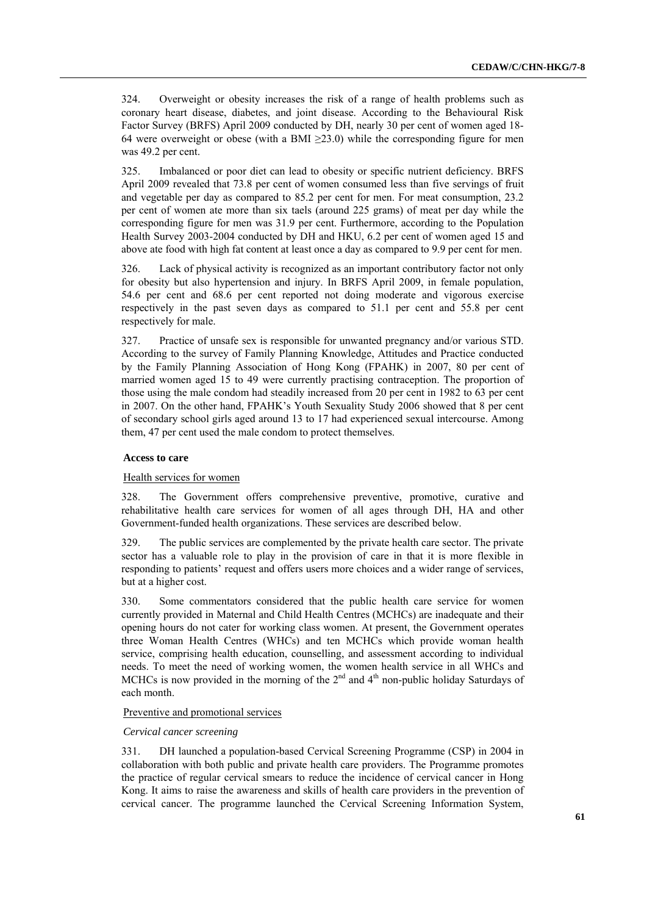324. Overweight or obesity increases the risk of a range of health problems such as coronary heart disease, diabetes, and joint disease. According to the Behavioural Risk Factor Survey (BRFS) April 2009 conducted by DH, nearly 30 per cent of women aged 18- 64 were overweight or obese (with a BMI  $\geq$ 23.0) while the corresponding figure for men was 49.2 per cent.

325. Imbalanced or poor diet can lead to obesity or specific nutrient deficiency. BRFS April 2009 revealed that 73.8 per cent of women consumed less than five servings of fruit and vegetable per day as compared to 85.2 per cent for men. For meat consumption, 23.2 per cent of women ate more than six taels (around 225 grams) of meat per day while the corresponding figure for men was 31.9 per cent. Furthermore, according to the Population Health Survey 2003-2004 conducted by DH and HKU, 6.2 per cent of women aged 15 and above ate food with high fat content at least once a day as compared to 9.9 per cent for men.

326. Lack of physical activity is recognized as an important contributory factor not only for obesity but also hypertension and injury. In BRFS April 2009, in female population, 54.6 per cent and 68.6 per cent reported not doing moderate and vigorous exercise respectively in the past seven days as compared to 51.1 per cent and 55.8 per cent respectively for male.

327. Practice of unsafe sex is responsible for unwanted pregnancy and/or various STD. According to the survey of Family Planning Knowledge, Attitudes and Practice conducted by the Family Planning Association of Hong Kong (FPAHK) in 2007, 80 per cent of married women aged 15 to 49 were currently practising contraception. The proportion of those using the male condom had steadily increased from 20 per cent in 1982 to 63 per cent in 2007. On the other hand, FPAHK's Youth Sexuality Study 2006 showed that 8 per cent of secondary school girls aged around 13 to 17 had experienced sexual intercourse. Among them, 47 per cent used the male condom to protect themselves.

### **Access to care**

#### Health services for women

328. The Government offers comprehensive preventive, promotive, curative and rehabilitative health care services for women of all ages through DH, HA and other Government-funded health organizations. These services are described below.

329. The public services are complemented by the private health care sector. The private sector has a valuable role to play in the provision of care in that it is more flexible in responding to patients' request and offers users more choices and a wider range of services, but at a higher cost.

330. Some commentators considered that the public health care service for women currently provided in Maternal and Child Health Centres (MCHCs) are inadequate and their opening hours do not cater for working class women. At present, the Government operates three Woman Health Centres (WHCs) and ten MCHCs which provide woman health service, comprising health education, counselling, and assessment according to individual needs. To meet the need of working women, the women health service in all WHCs and MCHCs is now provided in the morning of the  $2<sup>nd</sup>$  and  $4<sup>th</sup>$  non-public holiday Saturdays of each month.

### Preventive and promotional services

### *Cervical cancer screening*

331. DH launched a population-based Cervical Screening Programme (CSP) in 2004 in collaboration with both public and private health care providers. The Programme promotes the practice of regular cervical smears to reduce the incidence of cervical cancer in Hong Kong. It aims to raise the awareness and skills of health care providers in the prevention of cervical cancer. The programme launched the Cervical Screening Information System,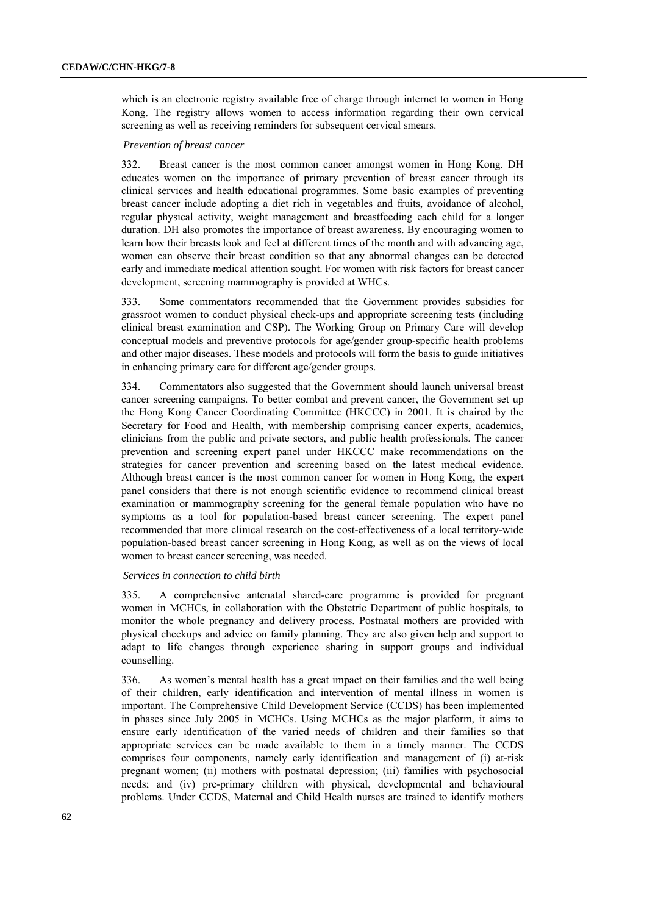which is an electronic registry available free of charge through internet to women in Hong Kong. The registry allows women to access information regarding their own cervical screening as well as receiving reminders for subsequent cervical smears.

#### *Prevention of breast cancer*

332. Breast cancer is the most common cancer amongst women in Hong Kong. DH educates women on the importance of primary prevention of breast cancer through its clinical services and health educational programmes. Some basic examples of preventing breast cancer include adopting a diet rich in vegetables and fruits, avoidance of alcohol, regular physical activity, weight management and breastfeeding each child for a longer duration. DH also promotes the importance of breast awareness. By encouraging women to learn how their breasts look and feel at different times of the month and with advancing age, women can observe their breast condition so that any abnormal changes can be detected early and immediate medical attention sought. For women with risk factors for breast cancer development, screening mammography is provided at WHCs.

333. Some commentators recommended that the Government provides subsidies for grassroot women to conduct physical check-ups and appropriate screening tests (including clinical breast examination and CSP). The Working Group on Primary Care will develop conceptual models and preventive protocols for age/gender group-specific health problems and other major diseases. These models and protocols will form the basis to guide initiatives in enhancing primary care for different age/gender groups.

334. Commentators also suggested that the Government should launch universal breast cancer screening campaigns. To better combat and prevent cancer, the Government set up the Hong Kong Cancer Coordinating Committee (HKCCC) in 2001. It is chaired by the Secretary for Food and Health, with membership comprising cancer experts, academics, clinicians from the public and private sectors, and public health professionals. The cancer prevention and screening expert panel under HKCCC make recommendations on the strategies for cancer prevention and screening based on the latest medical evidence. Although breast cancer is the most common cancer for women in Hong Kong, the expert panel considers that there is not enough scientific evidence to recommend clinical breast examination or mammography screening for the general female population who have no symptoms as a tool for population-based breast cancer screening. The expert panel recommended that more clinical research on the cost-effectiveness of a local territory-wide population-based breast cancer screening in Hong Kong, as well as on the views of local women to breast cancer screening, was needed.

### *Services in connection to child birth*

335. A comprehensive antenatal shared-care programme is provided for pregnant women in MCHCs, in collaboration with the Obstetric Department of public hospitals, to monitor the whole pregnancy and delivery process. Postnatal mothers are provided with physical checkups and advice on family planning. They are also given help and support to adapt to life changes through experience sharing in support groups and individual counselling.

336. As women's mental health has a great impact on their families and the well being of their children, early identification and intervention of mental illness in women is important. The Comprehensive Child Development Service (CCDS) has been implemented in phases since July 2005 in MCHCs. Using MCHCs as the major platform, it aims to ensure early identification of the varied needs of children and their families so that appropriate services can be made available to them in a timely manner. The CCDS comprises four components, namely early identification and management of (i) at-risk pregnant women; (ii) mothers with postnatal depression; (iii) families with psychosocial needs; and (iv) pre-primary children with physical, developmental and behavioural problems. Under CCDS, Maternal and Child Health nurses are trained to identify mothers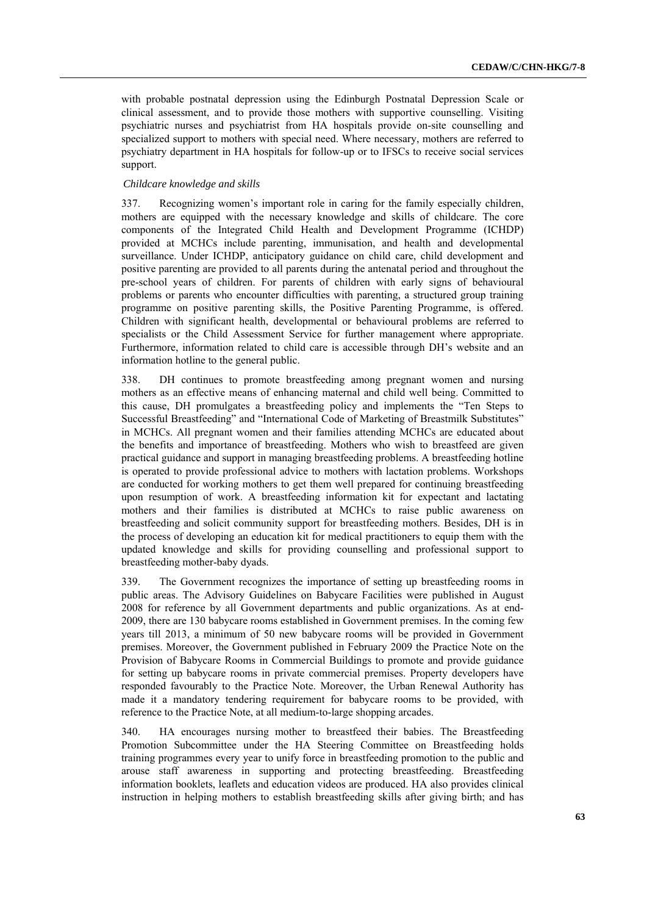with probable postnatal depression using the Edinburgh Postnatal Depression Scale or clinical assessment, and to provide those mothers with supportive counselling. Visiting psychiatric nurses and psychiatrist from HA hospitals provide on-site counselling and specialized support to mothers with special need. Where necessary, mothers are referred to psychiatry department in HA hospitals for follow-up or to IFSCs to receive social services support.

## *Childcare knowledge and skills*

337. Recognizing women's important role in caring for the family especially children, mothers are equipped with the necessary knowledge and skills of childcare. The core components of the Integrated Child Health and Development Programme (ICHDP) provided at MCHCs include parenting, immunisation, and health and developmental surveillance. Under ICHDP, anticipatory guidance on child care, child development and positive parenting are provided to all parents during the antenatal period and throughout the pre-school years of children. For parents of children with early signs of behavioural problems or parents who encounter difficulties with parenting, a structured group training programme on positive parenting skills, the Positive Parenting Programme, is offered. Children with significant health, developmental or behavioural problems are referred to specialists or the Child Assessment Service for further management where appropriate. Furthermore, information related to child care is accessible through DH's website and an information hotline to the general public.

338. DH continues to promote breastfeeding among pregnant women and nursing mothers as an effective means of enhancing maternal and child well being. Committed to this cause, DH promulgates a breastfeeding policy and implements the "Ten Steps to Successful Breastfeeding" and "International Code of Marketing of Breastmilk Substitutes" in MCHCs. All pregnant women and their families attending MCHCs are educated about the benefits and importance of breastfeeding. Mothers who wish to breastfeed are given practical guidance and support in managing breastfeeding problems. A breastfeeding hotline is operated to provide professional advice to mothers with lactation problems. Workshops are conducted for working mothers to get them well prepared for continuing breastfeeding upon resumption of work. A breastfeeding information kit for expectant and lactating mothers and their families is distributed at MCHCs to raise public awareness on breastfeeding and solicit community support for breastfeeding mothers. Besides, DH is in the process of developing an education kit for medical practitioners to equip them with the updated knowledge and skills for providing counselling and professional support to breastfeeding mother-baby dyads.

339. The Government recognizes the importance of setting up breastfeeding rooms in public areas. The Advisory Guidelines on Babycare Facilities were published in August 2008 for reference by all Government departments and public organizations. As at end-2009, there are 130 babycare rooms established in Government premises. In the coming few years till 2013, a minimum of 50 new babycare rooms will be provided in Government premises. Moreover, the Government published in February 2009 the Practice Note on the Provision of Babycare Rooms in Commercial Buildings to promote and provide guidance for setting up babycare rooms in private commercial premises. Property developers have responded favourably to the Practice Note. Moreover, the Urban Renewal Authority has made it a mandatory tendering requirement for babycare rooms to be provided, with reference to the Practice Note, at all medium-to-large shopping arcades.

340. HA encourages nursing mother to breastfeed their babies. The Breastfeeding Promotion Subcommittee under the HA Steering Committee on Breastfeeding holds training programmes every year to unify force in breastfeeding promotion to the public and arouse staff awareness in supporting and protecting breastfeeding. Breastfeeding information booklets, leaflets and education videos are produced. HA also provides clinical instruction in helping mothers to establish breastfeeding skills after giving birth; and has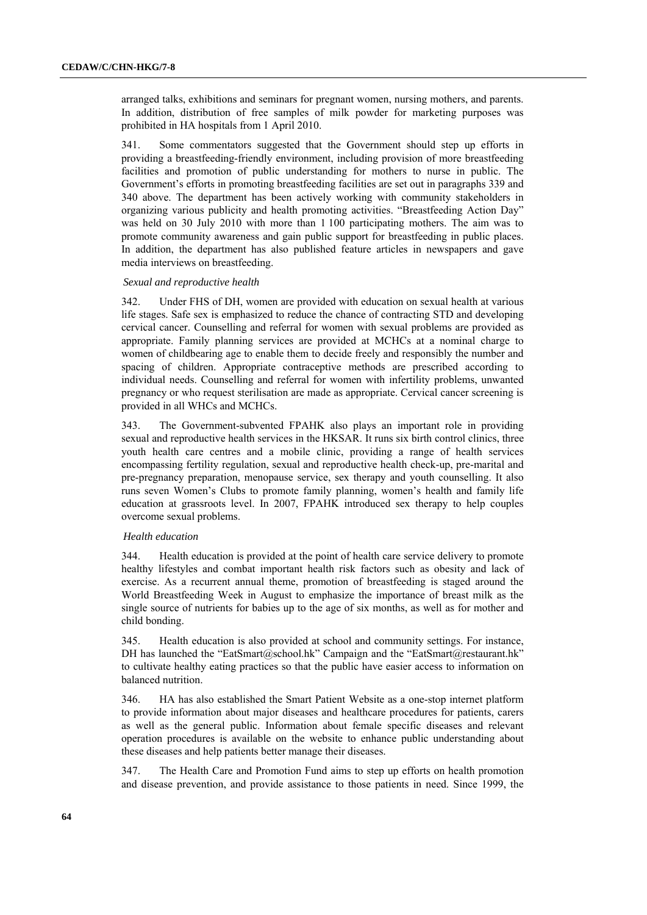arranged talks, exhibitions and seminars for pregnant women, nursing mothers, and parents. In addition, distribution of free samples of milk powder for marketing purposes was prohibited in HA hospitals from 1 April 2010.

341. Some commentators suggested that the Government should step up efforts in providing a breastfeeding-friendly environment, including provision of more breastfeeding facilities and promotion of public understanding for mothers to nurse in public. The Government's efforts in promoting breastfeeding facilities are set out in paragraphs 339 and 340 above. The department has been actively working with community stakeholders in organizing various publicity and health promoting activities. "Breastfeeding Action Day" was held on 30 July 2010 with more than 1 100 participating mothers. The aim was to promote community awareness and gain public support for breastfeeding in public places. In addition, the department has also published feature articles in newspapers and gave media interviews on breastfeeding.

#### *Sexual and reproductive health*

342. Under FHS of DH, women are provided with education on sexual health at various life stages. Safe sex is emphasized to reduce the chance of contracting STD and developing cervical cancer. Counselling and referral for women with sexual problems are provided as appropriate. Family planning services are provided at MCHCs at a nominal charge to women of childbearing age to enable them to decide freely and responsibly the number and spacing of children. Appropriate contraceptive methods are prescribed according to individual needs. Counselling and referral for women with infertility problems, unwanted pregnancy or who request sterilisation are made as appropriate. Cervical cancer screening is provided in all WHCs and MCHCs.

343. The Government-subvented FPAHK also plays an important role in providing sexual and reproductive health services in the HKSAR. It runs six birth control clinics, three youth health care centres and a mobile clinic, providing a range of health services encompassing fertility regulation, sexual and reproductive health check-up, pre-marital and pre-pregnancy preparation, menopause service, sex therapy and youth counselling. It also runs seven Women's Clubs to promote family planning, women's health and family life education at grassroots level. In 2007, FPAHK introduced sex therapy to help couples overcome sexual problems.

#### *Health education*

344. Health education is provided at the point of health care service delivery to promote healthy lifestyles and combat important health risk factors such as obesity and lack of exercise. As a recurrent annual theme, promotion of breastfeeding is staged around the World Breastfeeding Week in August to emphasize the importance of breast milk as the single source of nutrients for babies up to the age of six months, as well as for mother and child bonding.

345. Health education is also provided at school and community settings. For instance, DH has launched the "EatSmart@school.hk" Campaign and the "EatSmart@restaurant.hk" to cultivate healthy eating practices so that the public have easier access to information on balanced nutrition.

346. HA has also established the Smart Patient Website as a one-stop internet platform to provide information about major diseases and healthcare procedures for patients, carers as well as the general public. Information about female specific diseases and relevant operation procedures is available on the website to enhance public understanding about these diseases and help patients better manage their diseases.

347. The Health Care and Promotion Fund aims to step up efforts on health promotion and disease prevention, and provide assistance to those patients in need. Since 1999, the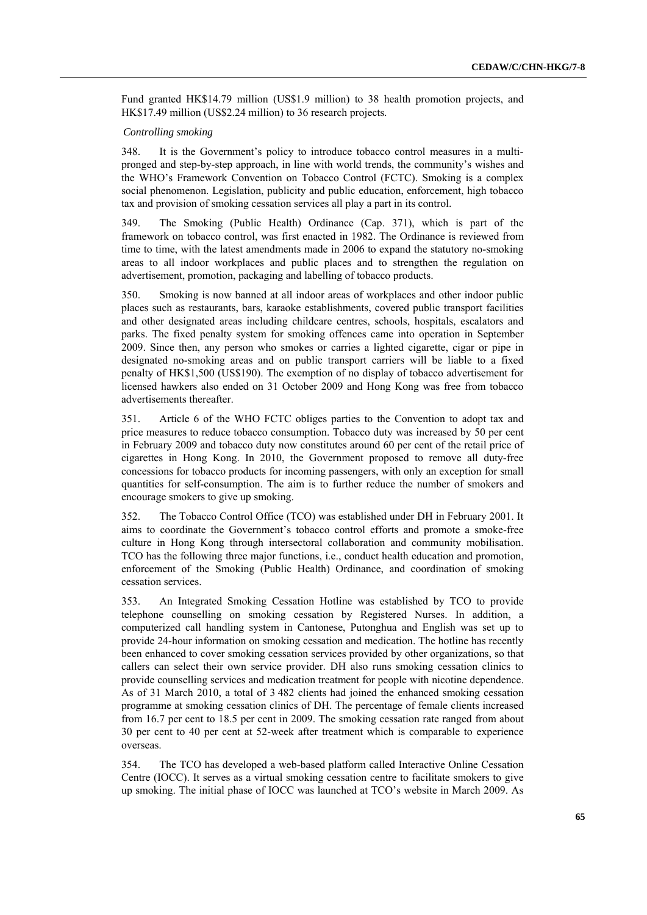Fund granted HK\$14.79 million (US\$1.9 million) to 38 health promotion projects, and HK\$17.49 million (US\$2.24 million) to 36 research projects.

### *Controlling smoking*

348. It is the Government's policy to introduce tobacco control measures in a multipronged and step-by-step approach, in line with world trends, the community's wishes and the WHO's Framework Convention on Tobacco Control (FCTC). Smoking is a complex social phenomenon. Legislation, publicity and public education, enforcement, high tobacco tax and provision of smoking cessation services all play a part in its control.

349. The Smoking (Public Health) Ordinance (Cap. 371), which is part of the framework on tobacco control, was first enacted in 1982. The Ordinance is reviewed from time to time, with the latest amendments made in 2006 to expand the statutory no-smoking areas to all indoor workplaces and public places and to strengthen the regulation on advertisement, promotion, packaging and labelling of tobacco products.

350. Smoking is now banned at all indoor areas of workplaces and other indoor public places such as restaurants, bars, karaoke establishments, covered public transport facilities and other designated areas including childcare centres, schools, hospitals, escalators and parks. The fixed penalty system for smoking offences came into operation in September 2009. Since then, any person who smokes or carries a lighted cigarette, cigar or pipe in designated no-smoking areas and on public transport carriers will be liable to a fixed penalty of HK\$1,500 (US\$190). The exemption of no display of tobacco advertisement for licensed hawkers also ended on 31 October 2009 and Hong Kong was free from tobacco advertisements thereafter.

351. Article 6 of the WHO FCTC obliges parties to the Convention to adopt tax and price measures to reduce tobacco consumption. Tobacco duty was increased by 50 per cent in February 2009 and tobacco duty now constitutes around 60 per cent of the retail price of cigarettes in Hong Kong. In 2010, the Government proposed to remove all duty-free concessions for tobacco products for incoming passengers, with only an exception for small quantities for self-consumption. The aim is to further reduce the number of smokers and encourage smokers to give up smoking.

352. The Tobacco Control Office (TCO) was established under DH in February 2001. It aims to coordinate the Government's tobacco control efforts and promote a smoke-free culture in Hong Kong through intersectoral collaboration and community mobilisation. TCO has the following three major functions, i.e., conduct health education and promotion, enforcement of the Smoking (Public Health) Ordinance, and coordination of smoking cessation services.

353. An Integrated Smoking Cessation Hotline was established by TCO to provide telephone counselling on smoking cessation by Registered Nurses. In addition, a computerized call handling system in Cantonese, Putonghua and English was set up to provide 24-hour information on smoking cessation and medication. The hotline has recently been enhanced to cover smoking cessation services provided by other organizations, so that callers can select their own service provider. DH also runs smoking cessation clinics to provide counselling services and medication treatment for people with nicotine dependence. As of 31 March 2010, a total of 3 482 clients had joined the enhanced smoking cessation programme at smoking cessation clinics of DH. The percentage of female clients increased from 16.7 per cent to 18.5 per cent in 2009. The smoking cessation rate ranged from about 30 per cent to 40 per cent at 52-week after treatment which is comparable to experience overseas.

354. The TCO has developed a web-based platform called Interactive Online Cessation Centre (IOCC). It serves as a virtual smoking cessation centre to facilitate smokers to give up smoking. The initial phase of IOCC was launched at TCO's website in March 2009. As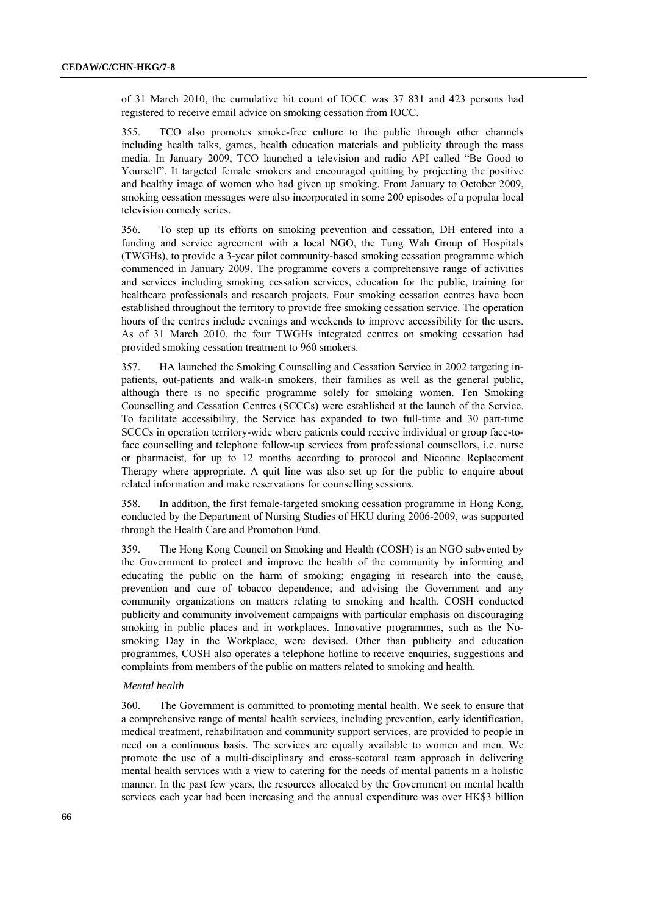of 31 March 2010, the cumulative hit count of IOCC was 37 831 and 423 persons had registered to receive email advice on smoking cessation from IOCC.

355. TCO also promotes smoke-free culture to the public through other channels including health talks, games, health education materials and publicity through the mass media. In January 2009, TCO launched a television and radio API called "Be Good to Yourself". It targeted female smokers and encouraged quitting by projecting the positive and healthy image of women who had given up smoking. From January to October 2009, smoking cessation messages were also incorporated in some 200 episodes of a popular local television comedy series.

356. To step up its efforts on smoking prevention and cessation, DH entered into a funding and service agreement with a local NGO, the Tung Wah Group of Hospitals (TWGHs), to provide a 3-year pilot community-based smoking cessation programme which commenced in January 2009. The programme covers a comprehensive range of activities and services including smoking cessation services, education for the public, training for healthcare professionals and research projects. Four smoking cessation centres have been established throughout the territory to provide free smoking cessation service. The operation hours of the centres include evenings and weekends to improve accessibility for the users. As of 31 March 2010, the four TWGHs integrated centres on smoking cessation had provided smoking cessation treatment to 960 smokers.

357. HA launched the Smoking Counselling and Cessation Service in 2002 targeting inpatients, out-patients and walk-in smokers, their families as well as the general public, although there is no specific programme solely for smoking women. Ten Smoking Counselling and Cessation Centres (SCCCs) were established at the launch of the Service. To facilitate accessibility, the Service has expanded to two full-time and 30 part-time SCCCs in operation territory-wide where patients could receive individual or group face-toface counselling and telephone follow-up services from professional counsellors, i.e. nurse or pharmacist, for up to 12 months according to protocol and Nicotine Replacement Therapy where appropriate. A quit line was also set up for the public to enquire about related information and make reservations for counselling sessions.

358. In addition, the first female-targeted smoking cessation programme in Hong Kong, conducted by the Department of Nursing Studies of HKU during 2006-2009, was supported through the Health Care and Promotion Fund.

359. The Hong Kong Council on Smoking and Health (COSH) is an NGO subvented by the Government to protect and improve the health of the community by informing and educating the public on the harm of smoking; engaging in research into the cause, prevention and cure of tobacco dependence; and advising the Government and any community organizations on matters relating to smoking and health. COSH conducted publicity and community involvement campaigns with particular emphasis on discouraging smoking in public places and in workplaces. Innovative programmes, such as the Nosmoking Day in the Workplace, were devised. Other than publicity and education programmes, COSH also operates a telephone hotline to receive enquiries, suggestions and complaints from members of the public on matters related to smoking and health.

## *Mental health*

360. The Government is committed to promoting mental health. We seek to ensure that a comprehensive range of mental health services, including prevention, early identification, medical treatment, rehabilitation and community support services, are provided to people in need on a continuous basis. The services are equally available to women and men. We promote the use of a multi-disciplinary and cross-sectoral team approach in delivering mental health services with a view to catering for the needs of mental patients in a holistic manner. In the past few years, the resources allocated by the Government on mental health services each year had been increasing and the annual expenditure was over HK\$3 billion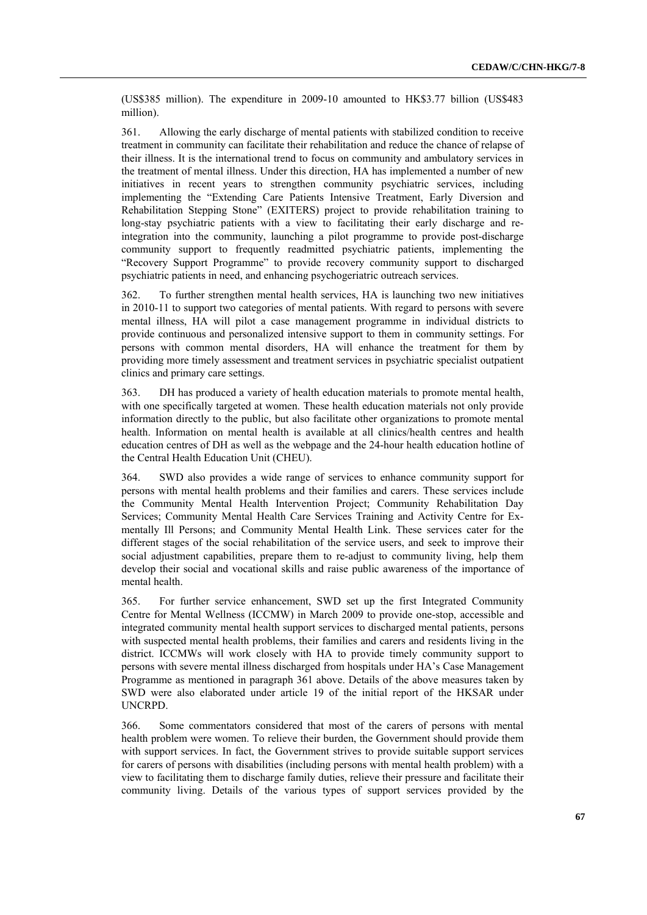(US\$385 million). The expenditure in 2009-10 amounted to HK\$3.77 billion (US\$483 million).

361. Allowing the early discharge of mental patients with stabilized condition to receive treatment in community can facilitate their rehabilitation and reduce the chance of relapse of their illness. It is the international trend to focus on community and ambulatory services in the treatment of mental illness. Under this direction, HA has implemented a number of new initiatives in recent years to strengthen community psychiatric services, including implementing the "Extending Care Patients Intensive Treatment, Early Diversion and Rehabilitation Stepping Stone" (EXITERS) project to provide rehabilitation training to long-stay psychiatric patients with a view to facilitating their early discharge and reintegration into the community, launching a pilot programme to provide post-discharge community support to frequently readmitted psychiatric patients, implementing the "Recovery Support Programme" to provide recovery community support to discharged psychiatric patients in need, and enhancing psychogeriatric outreach services.

362. To further strengthen mental health services, HA is launching two new initiatives in 2010-11 to support two categories of mental patients. With regard to persons with severe mental illness, HA will pilot a case management programme in individual districts to provide continuous and personalized intensive support to them in community settings. For persons with common mental disorders, HA will enhance the treatment for them by providing more timely assessment and treatment services in psychiatric specialist outpatient clinics and primary care settings.

363. DH has produced a variety of health education materials to promote mental health, with one specifically targeted at women. These health education materials not only provide information directly to the public, but also facilitate other organizations to promote mental health. Information on mental health is available at all clinics/health centres and health education centres of DH as well as the webpage and the 24-hour health education hotline of the Central Health Education Unit (CHEU).

364. SWD also provides a wide range of services to enhance community support for persons with mental health problems and their families and carers. These services include the Community Mental Health Intervention Project; Community Rehabilitation Day Services; Community Mental Health Care Services Training and Activity Centre for Exmentally Ill Persons; and Community Mental Health Link. These services cater for the different stages of the social rehabilitation of the service users, and seek to improve their social adjustment capabilities, prepare them to re-adjust to community living, help them develop their social and vocational skills and raise public awareness of the importance of mental health.

365. For further service enhancement, SWD set up the first Integrated Community Centre for Mental Wellness (ICCMW) in March 2009 to provide one-stop, accessible and integrated community mental health support services to discharged mental patients, persons with suspected mental health problems, their families and carers and residents living in the district. ICCMWs will work closely with HA to provide timely community support to persons with severe mental illness discharged from hospitals under HA's Case Management Programme as mentioned in paragraph 361 above. Details of the above measures taken by SWD were also elaborated under article 19 of the initial report of the HKSAR under UNCRPD.

366. Some commentators considered that most of the carers of persons with mental health problem were women. To relieve their burden, the Government should provide them with support services. In fact, the Government strives to provide suitable support services for carers of persons with disabilities (including persons with mental health problem) with a view to facilitating them to discharge family duties, relieve their pressure and facilitate their community living. Details of the various types of support services provided by the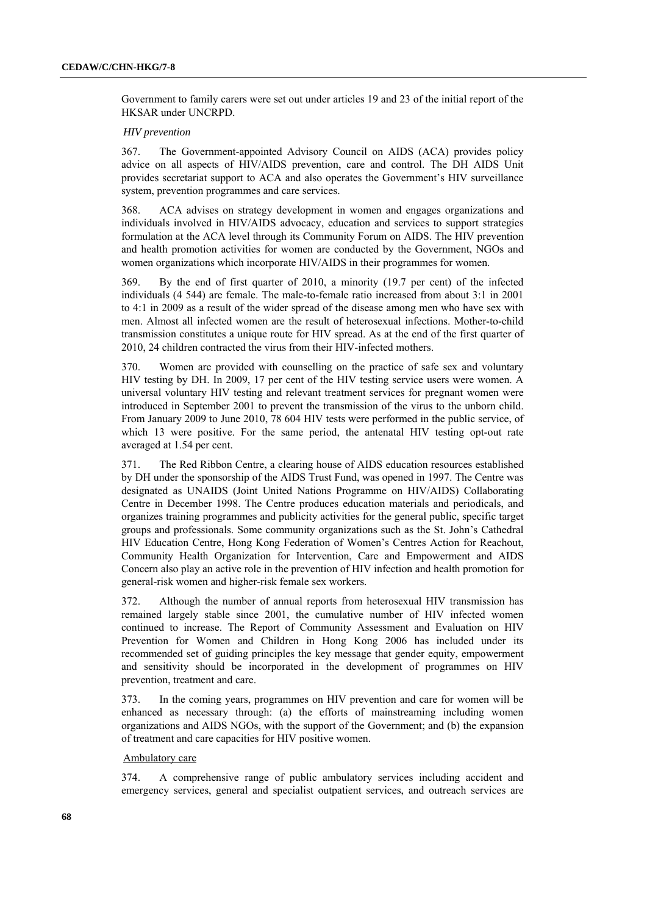Government to family carers were set out under articles 19 and 23 of the initial report of the HKSAR under UNCRPD.

### *HIV prevention*

367. The Government-appointed Advisory Council on AIDS (ACA) provides policy advice on all aspects of HIV/AIDS prevention, care and control. The DH AIDS Unit provides secretariat support to ACA and also operates the Government's HIV surveillance system, prevention programmes and care services.

368. ACA advises on strategy development in women and engages organizations and individuals involved in HIV/AIDS advocacy, education and services to support strategies formulation at the ACA level through its Community Forum on AIDS. The HIV prevention and health promotion activities for women are conducted by the Government, NGOs and women organizations which incorporate HIV/AIDS in their programmes for women.

369. By the end of first quarter of 2010, a minority (19.7 per cent) of the infected individuals (4 544) are female. The male-to-female ratio increased from about 3:1 in 2001 to 4:1 in 2009 as a result of the wider spread of the disease among men who have sex with men. Almost all infected women are the result of heterosexual infections. Mother-to-child transmission constitutes a unique route for HIV spread. As at the end of the first quarter of 2010, 24 children contracted the virus from their HIV-infected mothers.

370. Women are provided with counselling on the practice of safe sex and voluntary HIV testing by DH. In 2009, 17 per cent of the HIV testing service users were women. A universal voluntary HIV testing and relevant treatment services for pregnant women were introduced in September 2001 to prevent the transmission of the virus to the unborn child. From January 2009 to June 2010, 78 604 HIV tests were performed in the public service, of which 13 were positive. For the same period, the antenatal HIV testing opt-out rate averaged at 1.54 per cent.

371. The Red Ribbon Centre, a clearing house of AIDS education resources established by DH under the sponsorship of the AIDS Trust Fund, was opened in 1997. The Centre was designated as UNAIDS (Joint United Nations Programme on HIV/AIDS) Collaborating Centre in December 1998. The Centre produces education materials and periodicals, and organizes training programmes and publicity activities for the general public, specific target groups and professionals. Some community organizations such as the St. John's Cathedral HIV Education Centre, Hong Kong Federation of Women's Centres Action for Reachout, Community Health Organization for Intervention, Care and Empowerment and AIDS Concern also play an active role in the prevention of HIV infection and health promotion for general-risk women and higher-risk female sex workers.

372. Although the number of annual reports from heterosexual HIV transmission has remained largely stable since 2001, the cumulative number of HIV infected women continued to increase. The Report of Community Assessment and Evaluation on HIV Prevention for Women and Children in Hong Kong 2006 has included under its recommended set of guiding principles the key message that gender equity, empowerment and sensitivity should be incorporated in the development of programmes on HIV prevention, treatment and care.

373. In the coming years, programmes on HIV prevention and care for women will be enhanced as necessary through: (a) the efforts of mainstreaming including women organizations and AIDS NGOs, with the support of the Government; and (b) the expansion of treatment and care capacities for HIV positive women.

#### Ambulatory care

374. A comprehensive range of public ambulatory services including accident and emergency services, general and specialist outpatient services, and outreach services are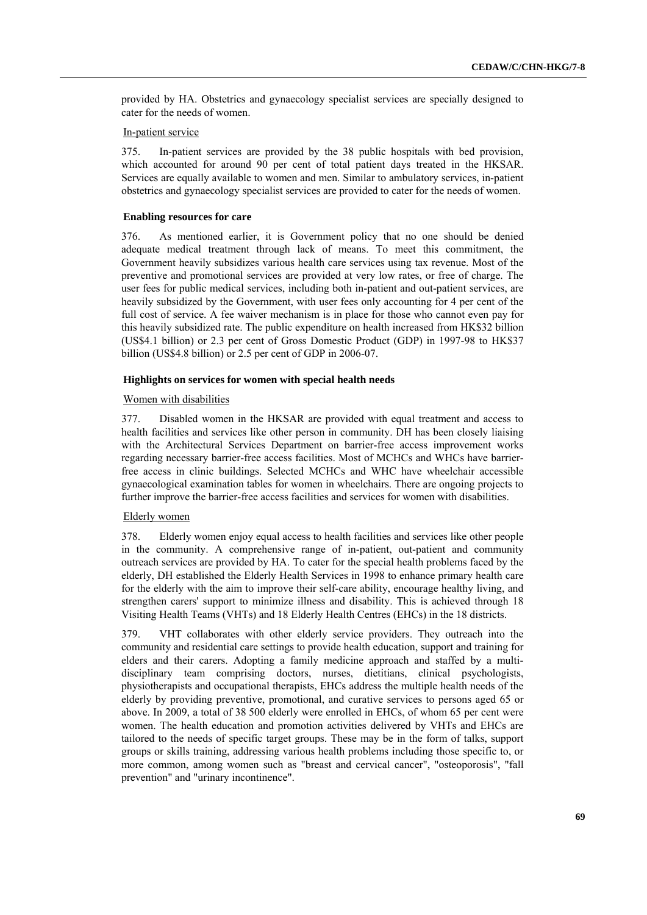provided by HA. Obstetrics and gynaecology specialist services are specially designed to cater for the needs of women.

## In-patient service

375. In-patient services are provided by the 38 public hospitals with bed provision, which accounted for around 90 per cent of total patient days treated in the HKSAR. Services are equally available to women and men. Similar to ambulatory services, in-patient obstetrics and gynaecology specialist services are provided to cater for the needs of women.

### **Enabling resources for care**

376. As mentioned earlier, it is Government policy that no one should be denied adequate medical treatment through lack of means. To meet this commitment, the Government heavily subsidizes various health care services using tax revenue. Most of the preventive and promotional services are provided at very low rates, or free of charge. The user fees for public medical services, including both in-patient and out-patient services, are heavily subsidized by the Government, with user fees only accounting for 4 per cent of the full cost of service. A fee waiver mechanism is in place for those who cannot even pay for this heavily subsidized rate. The public expenditure on health increased from HK\$32 billion (US\$4.1 billion) or 2.3 per cent of Gross Domestic Product (GDP) in 1997-98 to HK\$37 billion (US\$4.8 billion) or 2.5 per cent of GDP in 2006-07.

### **Highlights on services for women with special health needs**

## Women with disabilities

377. Disabled women in the HKSAR are provided with equal treatment and access to health facilities and services like other person in community. DH has been closely liaising with the Architectural Services Department on barrier-free access improvement works regarding necessary barrier-free access facilities. Most of MCHCs and WHCs have barrierfree access in clinic buildings. Selected MCHCs and WHC have wheelchair accessible gynaecological examination tables for women in wheelchairs. There are ongoing projects to further improve the barrier-free access facilities and services for women with disabilities.

## Elderly women

378. Elderly women enjoy equal access to health facilities and services like other people in the community. A comprehensive range of in-patient, out-patient and community outreach services are provided by HA. To cater for the special health problems faced by the elderly, DH established the Elderly Health Services in 1998 to enhance primary health care for the elderly with the aim to improve their self-care ability, encourage healthy living, and strengthen carers' support to minimize illness and disability. This is achieved through 18 Visiting Health Teams (VHTs) and 18 Elderly Health Centres (EHCs) in the 18 districts.

379. VHT collaborates with other elderly service providers. They outreach into the community and residential care settings to provide health education, support and training for elders and their carers. Adopting a family medicine approach and staffed by a multidisciplinary team comprising doctors, nurses, dietitians, clinical psychologists, physiotherapists and occupational therapists, EHCs address the multiple health needs of the elderly by providing preventive, promotional, and curative services to persons aged 65 or above. In 2009, a total of 38 500 elderly were enrolled in EHCs, of whom 65 per cent were women. The health education and promotion activities delivered by VHTs and EHCs are tailored to the needs of specific target groups. These may be in the form of talks, support groups or skills training, addressing various health problems including those specific to, or more common, among women such as "breast and cervical cancer", "osteoporosis", "fall prevention" and "urinary incontinence".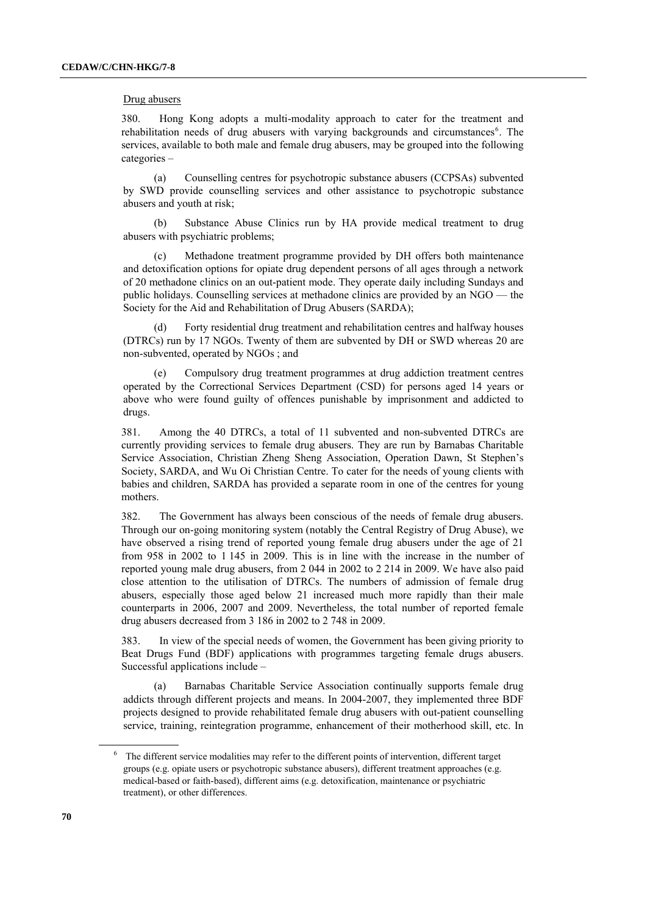### Drug abusers

380. Hong Kong adopts a multi-modality approach to cater for the treatment and rehabilitation needs of drug abusers with varying backgrounds and circumstances<sup>6</sup>. The services, available to both male and female drug abusers, may be grouped into the following categories –

(a) Counselling centres for psychotropic substance abusers (CCPSAs) subvented by SWD provide counselling services and other assistance to psychotropic substance abusers and youth at risk;

(b) Substance Abuse Clinics run by HA provide medical treatment to drug abusers with psychiatric problems;

Methadone treatment programme provided by DH offers both maintenance and detoxification options for opiate drug dependent persons of all ages through a network of 20 methadone clinics on an out-patient mode. They operate daily including Sundays and public holidays. Counselling services at methadone clinics are provided by an NGO — the Society for the Aid and Rehabilitation of Drug Abusers (SARDA);

(d) Forty residential drug treatment and rehabilitation centres and halfway houses (DTRCs) run by 17 NGOs. Twenty of them are subvented by DH or SWD whereas 20 are non-subvented, operated by NGOs ; and

(e) Compulsory drug treatment programmes at drug addiction treatment centres operated by the Correctional Services Department (CSD) for persons aged 14 years or above who were found guilty of offences punishable by imprisonment and addicted to drugs.

381. Among the 40 DTRCs, a total of 11 subvented and non-subvented DTRCs are currently providing services to female drug abusers. They are run by Barnabas Charitable Service Association, Christian Zheng Sheng Association, Operation Dawn, St Stephen's Society, SARDA, and Wu Oi Christian Centre. To cater for the needs of young clients with babies and children, SARDA has provided a separate room in one of the centres for young mothers.

382. The Government has always been conscious of the needs of female drug abusers. Through our on-going monitoring system (notably the Central Registry of Drug Abuse), we have observed a rising trend of reported young female drug abusers under the age of 21 from 958 in 2002 to 1 145 in 2009. This is in line with the increase in the number of reported young male drug abusers, from 2 044 in 2002 to 2 214 in 2009. We have also paid close attention to the utilisation of DTRCs. The numbers of admission of female drug abusers, especially those aged below 21 increased much more rapidly than their male counterparts in 2006, 2007 and 2009. Nevertheless, the total number of reported female drug abusers decreased from 3 186 in 2002 to 2 748 in 2009.

383. In view of the special needs of women, the Government has been giving priority to Beat Drugs Fund (BDF) applications with programmes targeting female drugs abusers. Successful applications include –

(a) Barnabas Charitable Service Association continually supports female drug addicts through different projects and means. In 2004-2007, they implemented three BDF projects designed to provide rehabilitated female drug abusers with out-patient counselling service, training, reintegration programme, enhancement of their motherhood skill, etc. In

 $6$  The different service modalities may refer to the different points of intervention, different target groups (e.g. opiate users or psychotropic substance abusers), different treatment approaches (e.g. medical-based or faith-based), different aims (e.g. detoxification, maintenance or psychiatric treatment), or other differences.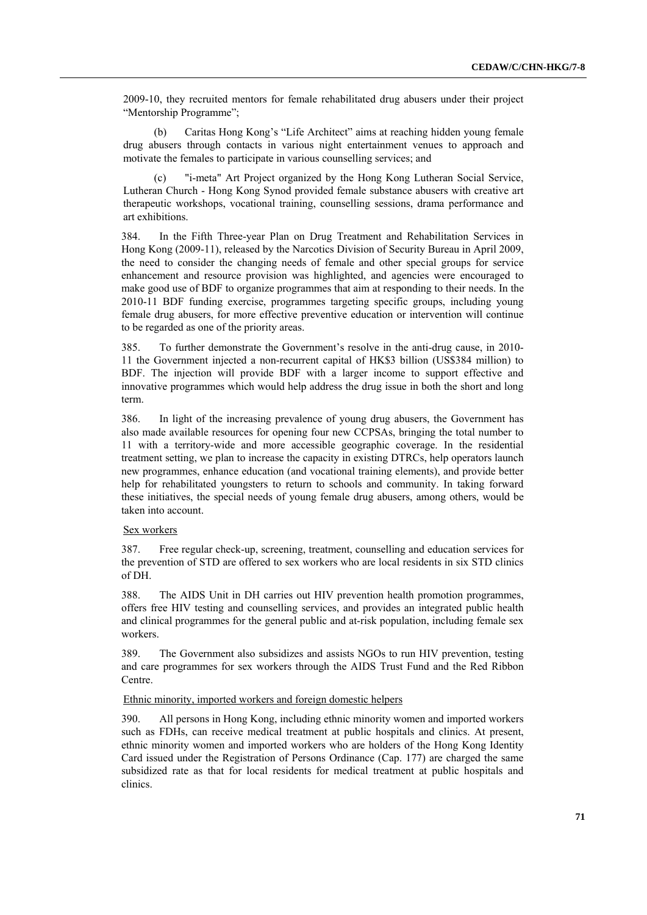2009-10, they recruited mentors for female rehabilitated drug abusers under their project "Mentorship Programme";

(b) Caritas Hong Kong's "Life Architect" aims at reaching hidden young female drug abusers through contacts in various night entertainment venues to approach and motivate the females to participate in various counselling services; and

(c) "i-meta" Art Project organized by the Hong Kong Lutheran Social Service, Lutheran Church - Hong Kong Synod provided female substance abusers with creative art therapeutic workshops, vocational training, counselling sessions, drama performance and art exhibitions.

384. In the Fifth Three-year Plan on Drug Treatment and Rehabilitation Services in Hong Kong (2009-11), released by the Narcotics Division of Security Bureau in April 2009, the need to consider the changing needs of female and other special groups for service enhancement and resource provision was highlighted, and agencies were encouraged to make good use of BDF to organize programmes that aim at responding to their needs. In the 2010-11 BDF funding exercise, programmes targeting specific groups, including young female drug abusers, for more effective preventive education or intervention will continue to be regarded as one of the priority areas.

385. To further demonstrate the Government's resolve in the anti-drug cause, in 2010- 11 the Government injected a non-recurrent capital of HK\$3 billion (US\$384 million) to BDF. The injection will provide BDF with a larger income to support effective and innovative programmes which would help address the drug issue in both the short and long term.

386. In light of the increasing prevalence of young drug abusers, the Government has also made available resources for opening four new CCPSAs, bringing the total number to 11 with a territory-wide and more accessible geographic coverage. In the residential treatment setting, we plan to increase the capacity in existing DTRCs, help operators launch new programmes, enhance education (and vocational training elements), and provide better help for rehabilitated youngsters to return to schools and community. In taking forward these initiatives, the special needs of young female drug abusers, among others, would be taken into account.

### Sex workers

387. Free regular check-up, screening, treatment, counselling and education services for the prevention of STD are offered to sex workers who are local residents in six STD clinics of DH.

388. The AIDS Unit in DH carries out HIV prevention health promotion programmes, offers free HIV testing and counselling services, and provides an integrated public health and clinical programmes for the general public and at-risk population, including female sex workers.

389. The Government also subsidizes and assists NGOs to run HIV prevention, testing and care programmes for sex workers through the AIDS Trust Fund and the Red Ribbon Centre.

## Ethnic minority, imported workers and foreign domestic helpers

390. All persons in Hong Kong, including ethnic minority women and imported workers such as FDHs, can receive medical treatment at public hospitals and clinics. At present, ethnic minority women and imported workers who are holders of the Hong Kong Identity Card issued under the Registration of Persons Ordinance (Cap. 177) are charged the same subsidized rate as that for local residents for medical treatment at public hospitals and clinics.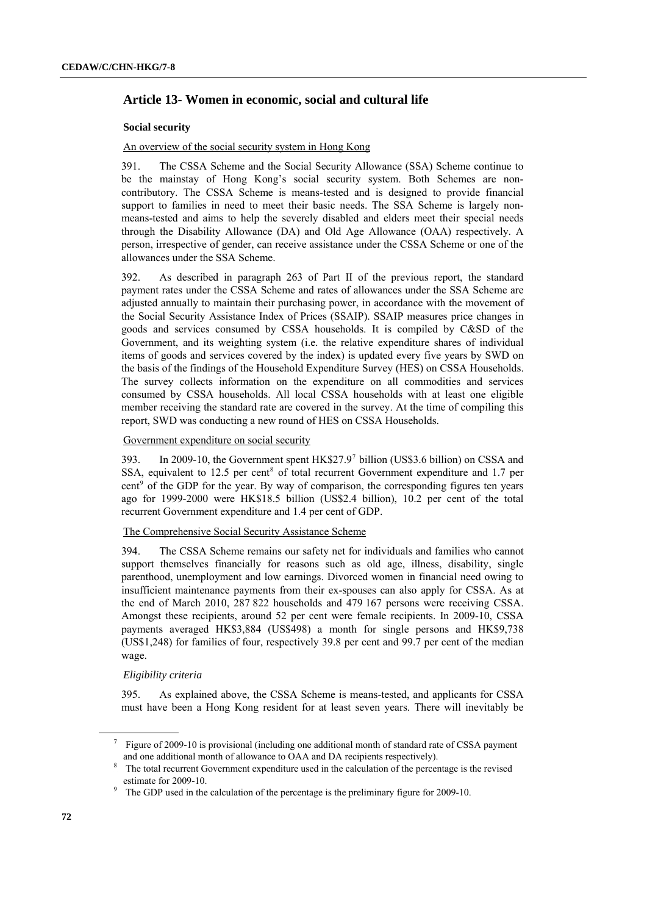# **Article 13- Women in economic, social and cultural life**

### **Social security**

## An overview of the social security system in Hong Kong

391. The CSSA Scheme and the Social Security Allowance (SSA) Scheme continue to be the mainstay of Hong Kong's social security system. Both Schemes are noncontributory. The CSSA Scheme is means-tested and is designed to provide financial support to families in need to meet their basic needs. The SSA Scheme is largely nonmeans-tested and aims to help the severely disabled and elders meet their special needs through the Disability Allowance (DA) and Old Age Allowance (OAA) respectively. A person, irrespective of gender, can receive assistance under the CSSA Scheme or one of the allowances under the SSA Scheme.

392. As described in paragraph 263 of Part II of the previous report, the standard payment rates under the CSSA Scheme and rates of allowances under the SSA Scheme are adjusted annually to maintain their purchasing power, in accordance with the movement of the Social Security Assistance Index of Prices (SSAIP). SSAIP measures price changes in goods and services consumed by CSSA households. It is compiled by C&SD of the Government, and its weighting system (i.e. the relative expenditure shares of individual items of goods and services covered by the index) is updated every five years by SWD on the basis of the findings of the Household Expenditure Survey (HES) on CSSA Households. The survey collects information on the expenditure on all commodities and services consumed by CSSA households. All local CSSA households with at least one eligible member receiving the standard rate are covered in the survey. At the time of compiling this report, SWD was conducting a new round of HES on CSSA Households.

### Government expenditure on social security

393. In 2009-10, the Government spent  $HK$27.9^7$  billion (US\$3.6 billion) on CSSA and SSA, equivalent to 12.5 per cent<sup>8</sup> of total recurrent Government expenditure and 1.7 per cent<sup>9</sup> of the GDP for the year. By way of comparison, the corresponding figures ten years ago for 1999-2000 were HK\$18.5 billion (US\$2.4 billion), 10.2 per cent of the total recurrent Government expenditure and 1.4 per cent of GDP.

## The Comprehensive Social Security Assistance Scheme

394. The CSSA Scheme remains our safety net for individuals and families who cannot support themselves financially for reasons such as old age, illness, disability, single parenthood, unemployment and low earnings. Divorced women in financial need owing to insufficient maintenance payments from their ex-spouses can also apply for CSSA. As at the end of March 2010, 287 822 households and 479 167 persons were receiving CSSA. Amongst these recipients, around 52 per cent were female recipients. In 2009-10, CSSA payments averaged HK\$3,884 (US\$498) a month for single persons and HK\$9,738 (US\$1,248) for families of four, respectively 39.8 per cent and 99.7 per cent of the median wage.

## *Eligibility criteria*

395. As explained above, the CSSA Scheme is means-tested, and applicants for CSSA must have been a Hong Kong resident for at least seven years. There will inevitably be

<sup>7</sup> Figure of 2009-10 is provisional (including one additional month of standard rate of CSSA payment and one additional month of allowance to OAA and DA recipients respectively).

<sup>8</sup> The total recurrent Government expenditure used in the calculation of the percentage is the revised estimate for 2009-10.

<sup>9</sup> The GDP used in the calculation of the percentage is the preliminary figure for 2009-10.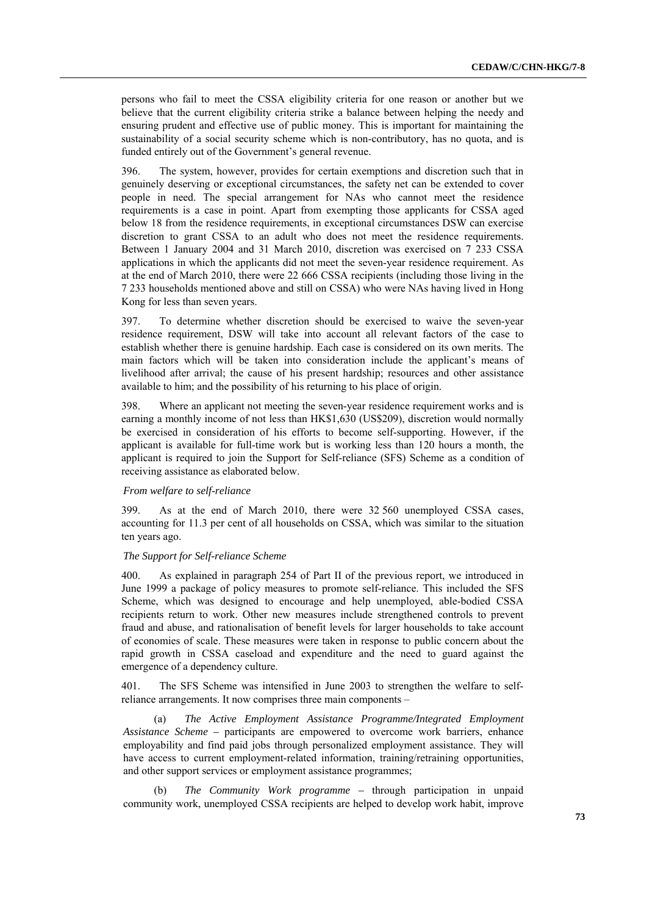persons who fail to meet the CSSA eligibility criteria for one reason or another but we believe that the current eligibility criteria strike a balance between helping the needy and ensuring prudent and effective use of public money. This is important for maintaining the sustainability of a social security scheme which is non-contributory, has no quota, and is funded entirely out of the Government's general revenue.

396. The system, however, provides for certain exemptions and discretion such that in genuinely deserving or exceptional circumstances, the safety net can be extended to cover people in need. The special arrangement for NAs who cannot meet the residence requirements is a case in point. Apart from exempting those applicants for CSSA aged below 18 from the residence requirements, in exceptional circumstances DSW can exercise discretion to grant CSSA to an adult who does not meet the residence requirements. Between 1 January 2004 and 31 March 2010, discretion was exercised on 7 233 CSSA applications in which the applicants did not meet the seven-year residence requirement. As at the end of March 2010, there were 22 666 CSSA recipients (including those living in the 7 233 households mentioned above and still on CSSA) who were NAs having lived in Hong Kong for less than seven years.

397. To determine whether discretion should be exercised to waive the seven-year residence requirement, DSW will take into account all relevant factors of the case to establish whether there is genuine hardship. Each case is considered on its own merits. The main factors which will be taken into consideration include the applicant's means of livelihood after arrival; the cause of his present hardship; resources and other assistance available to him; and the possibility of his returning to his place of origin.

398. Where an applicant not meeting the seven-year residence requirement works and is earning a monthly income of not less than HK\$1,630 (US\$209), discretion would normally be exercised in consideration of his efforts to become self-supporting. However, if the applicant is available for full-time work but is working less than 120 hours a month, the applicant is required to join the Support for Self-reliance (SFS) Scheme as a condition of receiving assistance as elaborated below.

### *From welfare to self-reliance*

399. As at the end of March 2010, there were 32 560 unemployed CSSA cases, accounting for 11.3 per cent of all households on CSSA, which was similar to the situation ten years ago.

## *The Support for Self-reliance Scheme*

400. As explained in paragraph 254 of Part II of the previous report, we introduced in June 1999 a package of policy measures to promote self-reliance. This included the SFS Scheme, which was designed to encourage and help unemployed, able-bodied CSSA recipients return to work. Other new measures include strengthened controls to prevent fraud and abuse, and rationalisation of benefit levels for larger households to take account of economies of scale. These measures were taken in response to public concern about the rapid growth in CSSA caseload and expenditure and the need to guard against the emergence of a dependency culture.

401. The SFS Scheme was intensified in June 2003 to strengthen the welfare to selfreliance arrangements. It now comprises three main components –

(a) *The Active Employment Assistance Programme/Integrated Employment Assistance Scheme –* participants are empowered to overcome work barriers, enhance employability and find paid jobs through personalized employment assistance. They will have access to current employment-related information, training/retraining opportunities, and other support services or employment assistance programmes;

(b) *The Community Work programme –* through participation in unpaid community work, unemployed CSSA recipients are helped to develop work habit, improve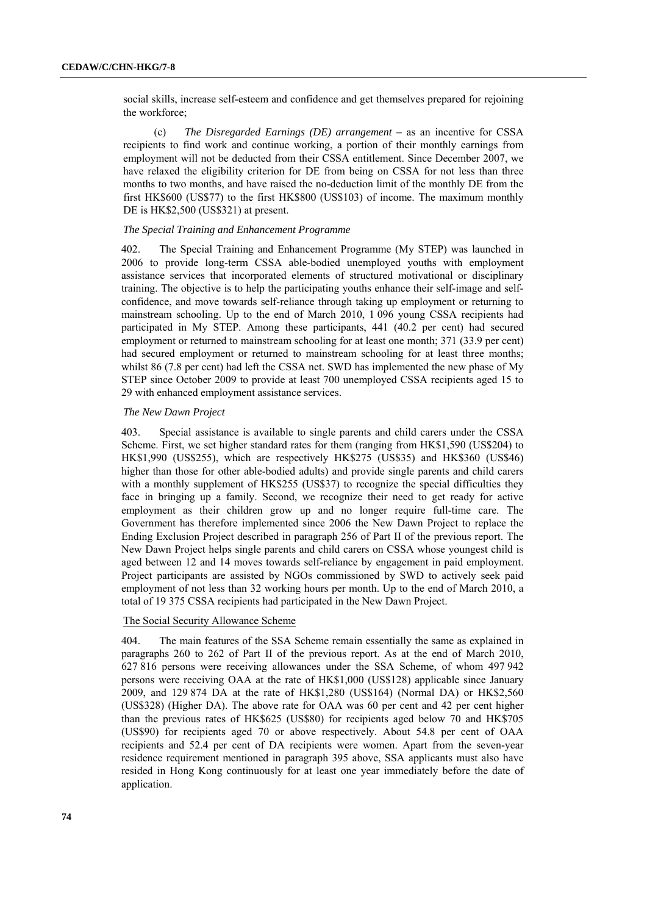social skills, increase self-esteem and confidence and get themselves prepared for rejoining the workforce;

(c) *The Disregarded Earnings (DE) arrangement –* as an incentive for CSSA recipients to find work and continue working, a portion of their monthly earnings from employment will not be deducted from their CSSA entitlement. Since December 2007, we have relaxed the eligibility criterion for DE from being on CSSA for not less than three months to two months, and have raised the no-deduction limit of the monthly DE from the first HK\$600 (US\$77) to the first HK\$800 (US\$103) of income. The maximum monthly DE is HK\$2,500 (US\$321) at present.

### *The Special Training and Enhancement Programme*

402. The Special Training and Enhancement Programme (My STEP) was launched in 2006 to provide long-term CSSA able-bodied unemployed youths with employment assistance services that incorporated elements of structured motivational or disciplinary training. The objective is to help the participating youths enhance their self-image and selfconfidence, and move towards self-reliance through taking up employment or returning to mainstream schooling. Up to the end of March 2010, 1 096 young CSSA recipients had participated in My STEP. Among these participants, 441 (40.2 per cent) had secured employment or returned to mainstream schooling for at least one month; 371 (33.9 per cent) had secured employment or returned to mainstream schooling for at least three months; whilst 86 (7.8 per cent) had left the CSSA net. SWD has implemented the new phase of My STEP since October 2009 to provide at least 700 unemployed CSSA recipients aged 15 to 29 with enhanced employment assistance services.

#### *The New Dawn Project*

403. Special assistance is available to single parents and child carers under the CSSA Scheme. First, we set higher standard rates for them (ranging from HK\$1,590 (US\$204) to HK\$1,990 (US\$255), which are respectively HK\$275 (US\$35) and HK\$360 (US\$46) higher than those for other able-bodied adults) and provide single parents and child carers with a monthly supplement of HK\$255 (US\$37) to recognize the special difficulties they face in bringing up a family. Second, we recognize their need to get ready for active employment as their children grow up and no longer require full-time care. The Government has therefore implemented since 2006 the New Dawn Project to replace the Ending Exclusion Project described in paragraph 256 of Part II of the previous report. The New Dawn Project helps single parents and child carers on CSSA whose youngest child is aged between 12 and 14 moves towards self-reliance by engagement in paid employment. Project participants are assisted by NGOs commissioned by SWD to actively seek paid employment of not less than 32 working hours per month. Up to the end of March 2010, a total of 19 375 CSSA recipients had participated in the New Dawn Project.

### The Social Security Allowance Scheme

404. The main features of the SSA Scheme remain essentially the same as explained in paragraphs 260 to 262 of Part II of the previous report. As at the end of March 2010, 627 816 persons were receiving allowances under the SSA Scheme, of whom 497 942 persons were receiving OAA at the rate of HK\$1,000 (US\$128) applicable since January 2009, and 129 874 DA at the rate of HK\$1,280 (US\$164) (Normal DA) or HK\$2,560 (US\$328) (Higher DA). The above rate for OAA was 60 per cent and 42 per cent higher than the previous rates of HK\$625 (US\$80) for recipients aged below 70 and HK\$705 (US\$90) for recipients aged 70 or above respectively. About 54.8 per cent of OAA recipients and 52.4 per cent of DA recipients were women. Apart from the seven-year residence requirement mentioned in paragraph 395 above, SSA applicants must also have resided in Hong Kong continuously for at least one year immediately before the date of application.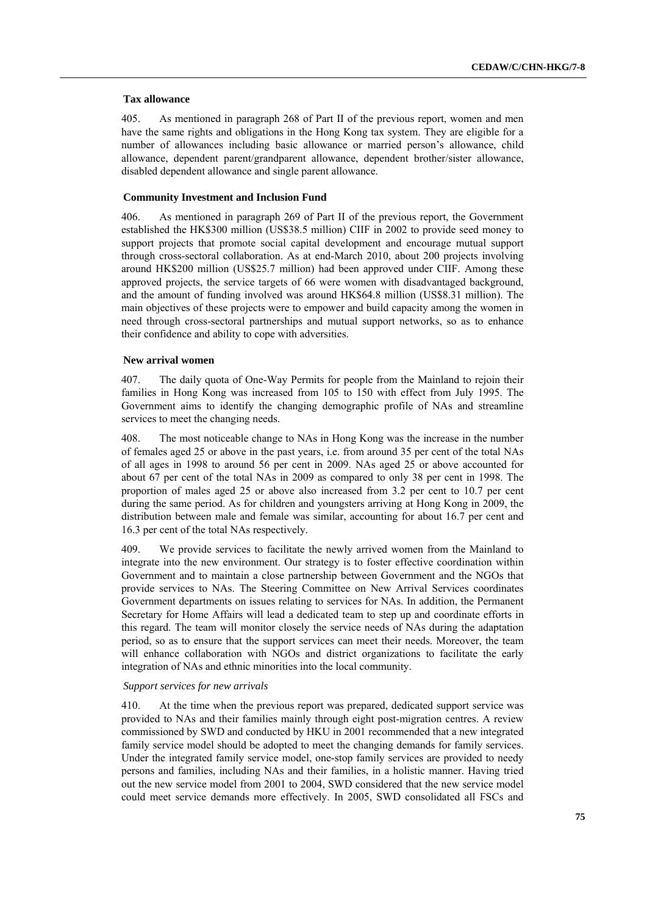### **Tax allowance**

405. As mentioned in paragraph 268 of Part II of the previous report, women and men have the same rights and obligations in the Hong Kong tax system. They are eligible for a number of allowances including basic allowance or married person's allowance, child allowance, dependent parent/grandparent allowance, dependent brother/sister allowance, disabled dependent allowance and single parent allowance.

#### **Community Investment and Inclusion Fund**

406. As mentioned in paragraph 269 of Part II of the previous report, the Government established the HK\$300 million (US\$38.5 million) CIIF in 2002 to provide seed money to support projects that promote social capital development and encourage mutual support through cross-sectoral collaboration. As at end-March 2010, about 200 projects involving around HK\$200 million (US\$25.7 million) had been approved under CIIF. Among these approved projects, the service targets of 66 were women with disadvantaged background, and the amount of funding involved was around HK\$64.8 million (US\$8.31 million). The main objectives of these projects were to empower and build capacity among the women in need through cross-sectoral partnerships and mutual support networks, so as to enhance their confidence and ability to cope with adversities.

#### **New arrival women**

407. The daily quota of One-Way Permits for people from the Mainland to rejoin their families in Hong Kong was increased from 105 to 150 with effect from July 1995. The Government aims to identify the changing demographic profile of NAs and streamline services to meet the changing needs.

408. The most noticeable change to NAs in Hong Kong was the increase in the number of females aged 25 or above in the past years, i.e. from around 35 per cent of the total NAs of all ages in 1998 to around 56 per cent in 2009. NAs aged 25 or above accounted for about 67 per cent of the total NAs in 2009 as compared to only 38 per cent in 1998. The proportion of males aged 25 or above also increased from 3.2 per cent to 10.7 per cent during the same period. As for children and youngsters arriving at Hong Kong in 2009, the distribution between male and female was similar, accounting for about 16.7 per cent and 16.3 per cent of the total NAs respectively.

409. We provide services to facilitate the newly arrived women from the Mainland to integrate into the new environment. Our strategy is to foster effective coordination within Government and to maintain a close partnership between Government and the NGOs that provide services to NAs. The Steering Committee on New Arrival Services coordinates Government departments on issues relating to services for NAs. In addition, the Permanent Secretary for Home Affairs will lead a dedicated team to step up and coordinate efforts in this regard. The team will monitor closely the service needs of NAs during the adaptation period, so as to ensure that the support services can meet their needs. Moreover, the team will enhance collaboration with NGOs and district organizations to facilitate the early integration of NAs and ethnic minorities into the local community.

#### *Support services for new arrivals*

410. At the time when the previous report was prepared, dedicated support service was provided to NAs and their families mainly through eight post-migration centres. A review commissioned by SWD and conducted by HKU in 2001 recommended that a new integrated family service model should be adopted to meet the changing demands for family services. Under the integrated family service model, one-stop family services are provided to needy persons and families, including NAs and their families, in a holistic manner. Having tried out the new service model from 2001 to 2004, SWD considered that the new service model could meet service demands more effectively. In 2005, SWD consolidated all FSCs and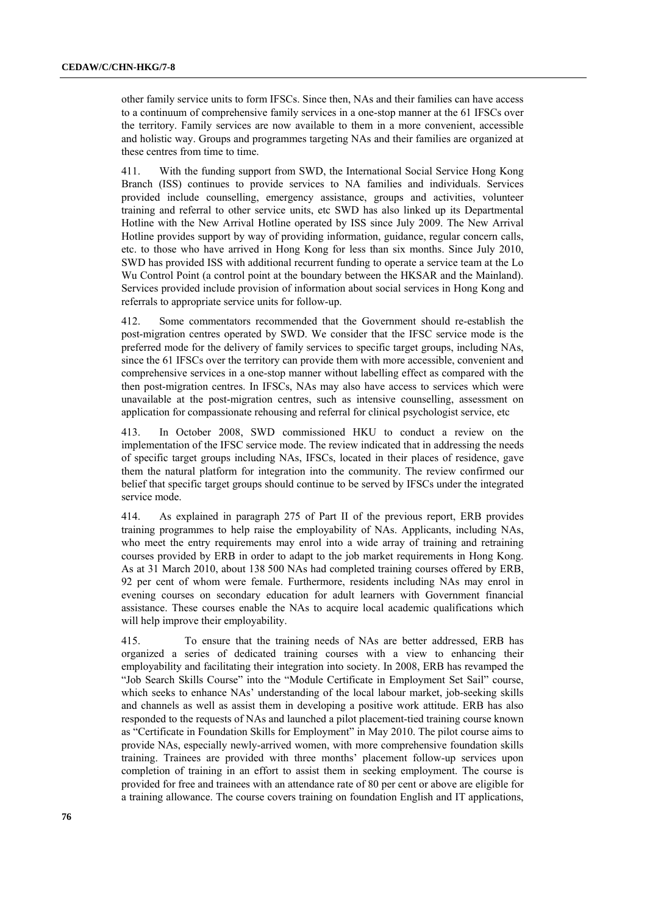other family service units to form IFSCs. Since then, NAs and their families can have access to a continuum of comprehensive family services in a one-stop manner at the 61 IFSCs over the territory. Family services are now available to them in a more convenient, accessible and holistic way. Groups and programmes targeting NAs and their families are organized at these centres from time to time.

411. With the funding support from SWD, the International Social Service Hong Kong Branch (ISS) continues to provide services to NA families and individuals. Services provided include counselling, emergency assistance, groups and activities, volunteer training and referral to other service units, etc SWD has also linked up its Departmental Hotline with the New Arrival Hotline operated by ISS since July 2009. The New Arrival Hotline provides support by way of providing information, guidance, regular concern calls, etc. to those who have arrived in Hong Kong for less than six months. Since July 2010, SWD has provided ISS with additional recurrent funding to operate a service team at the Lo Wu Control Point (a control point at the boundary between the HKSAR and the Mainland). Services provided include provision of information about social services in Hong Kong and referrals to appropriate service units for follow-up.

412. Some commentators recommended that the Government should re-establish the post-migration centres operated by SWD. We consider that the IFSC service mode is the preferred mode for the delivery of family services to specific target groups, including NAs, since the 61 IFSCs over the territory can provide them with more accessible, convenient and comprehensive services in a one-stop manner without labelling effect as compared with the then post-migration centres. In IFSCs, NAs may also have access to services which were unavailable at the post-migration centres, such as intensive counselling, assessment on application for compassionate rehousing and referral for clinical psychologist service, etc

413. In October 2008, SWD commissioned HKU to conduct a review on the implementation of the IFSC service mode. The review indicated that in addressing the needs of specific target groups including NAs, IFSCs, located in their places of residence, gave them the natural platform for integration into the community. The review confirmed our belief that specific target groups should continue to be served by IFSCs under the integrated service mode.

414. As explained in paragraph 275 of Part II of the previous report, ERB provides training programmes to help raise the employability of NAs. Applicants, including NAs, who meet the entry requirements may enrol into a wide array of training and retraining courses provided by ERB in order to adapt to the job market requirements in Hong Kong. As at 31 March 2010, about 138 500 NAs had completed training courses offered by ERB, 92 per cent of whom were female. Furthermore, residents including NAs may enrol in evening courses on secondary education for adult learners with Government financial assistance. These courses enable the NAs to acquire local academic qualifications which will help improve their employability.

415. To ensure that the training needs of NAs are better addressed, ERB has organized a series of dedicated training courses with a view to enhancing their employability and facilitating their integration into society. In 2008, ERB has revamped the "Job Search Skills Course" into the "Module Certificate in Employment Set Sail" course, which seeks to enhance NAs' understanding of the local labour market, job-seeking skills and channels as well as assist them in developing a positive work attitude. ERB has also responded to the requests of NAs and launched a pilot placement-tied training course known as "Certificate in Foundation Skills for Employment" in May 2010. The pilot course aims to provide NAs, especially newly-arrived women, with more comprehensive foundation skills training. Trainees are provided with three months' placement follow-up services upon completion of training in an effort to assist them in seeking employment. The course is provided for free and trainees with an attendance rate of 80 per cent or above are eligible for a training allowance. The course covers training on foundation English and IT applications,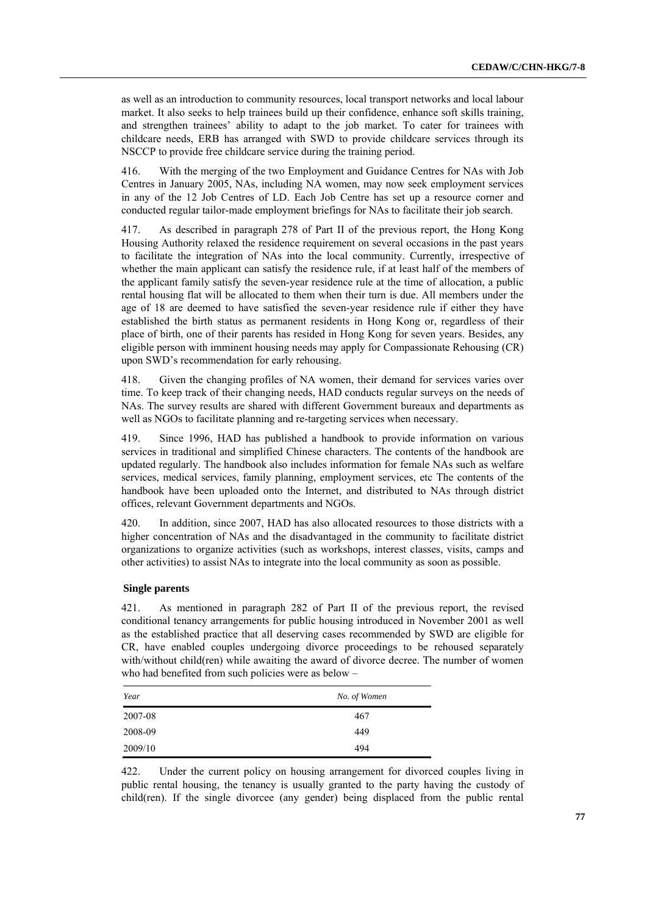as well as an introduction to community resources, local transport networks and local labour market. It also seeks to help trainees build up their confidence, enhance soft skills training, and strengthen trainees' ability to adapt to the job market. To cater for trainees with childcare needs, ERB has arranged with SWD to provide childcare services through its NSCCP to provide free childcare service during the training period.

416. With the merging of the two Employment and Guidance Centres for NAs with Job Centres in January 2005, NAs, including NA women, may now seek employment services in any of the 12 Job Centres of LD. Each Job Centre has set up a resource corner and conducted regular tailor-made employment briefings for NAs to facilitate their job search.

417. As described in paragraph 278 of Part II of the previous report, the Hong Kong Housing Authority relaxed the residence requirement on several occasions in the past years to facilitate the integration of NAs into the local community. Currently, irrespective of whether the main applicant can satisfy the residence rule, if at least half of the members of the applicant family satisfy the seven-year residence rule at the time of allocation, a public rental housing flat will be allocated to them when their turn is due. All members under the age of 18 are deemed to have satisfied the seven-year residence rule if either they have established the birth status as permanent residents in Hong Kong or, regardless of their place of birth, one of their parents has resided in Hong Kong for seven years. Besides, any eligible person with imminent housing needs may apply for Compassionate Rehousing (CR) upon SWD's recommendation for early rehousing.

418. Given the changing profiles of NA women, their demand for services varies over time. To keep track of their changing needs, HAD conducts regular surveys on the needs of NAs. The survey results are shared with different Government bureaux and departments as well as NGOs to facilitate planning and re-targeting services when necessary.

419. Since 1996, HAD has published a handbook to provide information on various services in traditional and simplified Chinese characters. The contents of the handbook are updated regularly. The handbook also includes information for female NAs such as welfare services, medical services, family planning, employment services, etc The contents of the handbook have been uploaded onto the Internet, and distributed to NAs through district offices, relevant Government departments and NGOs.

420. In addition, since 2007, HAD has also allocated resources to those districts with a higher concentration of NAs and the disadvantaged in the community to facilitate district organizations to organize activities (such as workshops, interest classes, visits, camps and other activities) to assist NAs to integrate into the local community as soon as possible.

### **Single parents**

421. As mentioned in paragraph 282 of Part II of the previous report, the revised conditional tenancy arrangements for public housing introduced in November 2001 as well as the established practice that all deserving cases recommended by SWD are eligible for CR, have enabled couples undergoing divorce proceedings to be rehoused separately with/without child(ren) while awaiting the award of divorce decree. The number of women who had benefited from such policies were as below –

| Year    | No. of Women |  |
|---------|--------------|--|
| 2007-08 | 467          |  |
| 2008-09 | 449          |  |
| 2009/10 | 494          |  |

422. Under the current policy on housing arrangement for divorced couples living in public rental housing, the tenancy is usually granted to the party having the custody of child(ren). If the single divorcee (any gender) being displaced from the public rental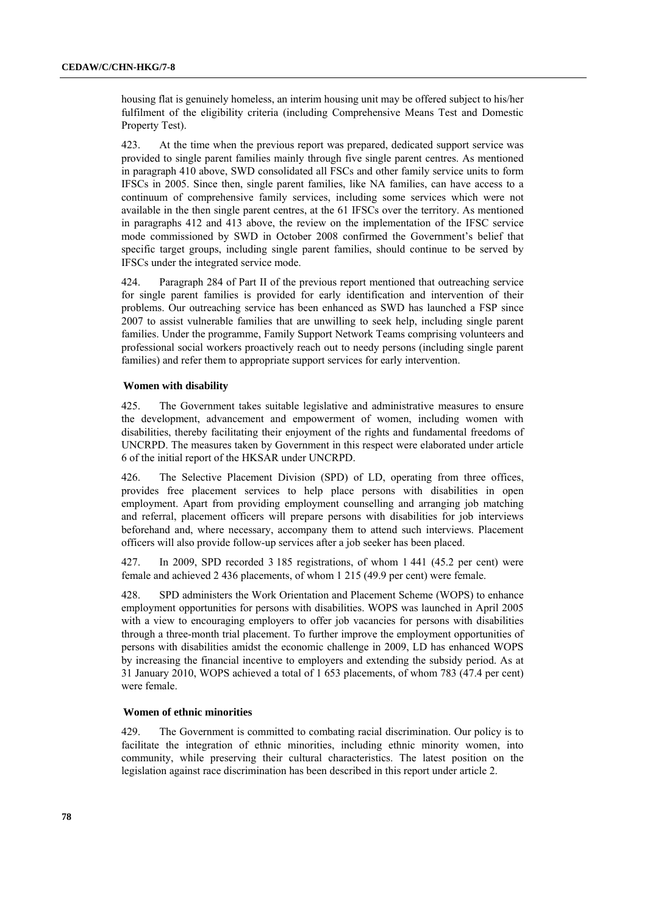housing flat is genuinely homeless, an interim housing unit may be offered subject to his/her fulfilment of the eligibility criteria (including Comprehensive Means Test and Domestic Property Test).

423. At the time when the previous report was prepared, dedicated support service was provided to single parent families mainly through five single parent centres. As mentioned in paragraph 410 above, SWD consolidated all FSCs and other family service units to form IFSCs in 2005. Since then, single parent families, like NA families, can have access to a continuum of comprehensive family services, including some services which were not available in the then single parent centres, at the 61 IFSCs over the territory. As mentioned in paragraphs 412 and 413 above, the review on the implementation of the IFSC service mode commissioned by SWD in October 2008 confirmed the Government's belief that specific target groups, including single parent families, should continue to be served by IFSCs under the integrated service mode.

424. Paragraph 284 of Part II of the previous report mentioned that outreaching service for single parent families is provided for early identification and intervention of their problems. Our outreaching service has been enhanced as SWD has launched a FSP since 2007 to assist vulnerable families that are unwilling to seek help, including single parent families. Under the programme, Family Support Network Teams comprising volunteers and professional social workers proactively reach out to needy persons (including single parent families) and refer them to appropriate support services for early intervention.

## **Women with disability**

425. The Government takes suitable legislative and administrative measures to ensure the development, advancement and empowerment of women, including women with disabilities, thereby facilitating their enjoyment of the rights and fundamental freedoms of UNCRPD. The measures taken by Government in this respect were elaborated under article 6 of the initial report of the HKSAR under UNCRPD.

426. The Selective Placement Division (SPD) of LD, operating from three offices, provides free placement services to help place persons with disabilities in open employment. Apart from providing employment counselling and arranging job matching and referral, placement officers will prepare persons with disabilities for job interviews beforehand and, where necessary, accompany them to attend such interviews. Placement officers will also provide follow-up services after a job seeker has been placed.

427. In 2009, SPD recorded 3 185 registrations, of whom 1 441 (45.2 per cent) were female and achieved 2 436 placements, of whom 1 215 (49.9 per cent) were female.

428. SPD administers the Work Orientation and Placement Scheme (WOPS) to enhance employment opportunities for persons with disabilities. WOPS was launched in April 2005 with a view to encouraging employers to offer job vacancies for persons with disabilities through a three-month trial placement. To further improve the employment opportunities of persons with disabilities amidst the economic challenge in 2009, LD has enhanced WOPS by increasing the financial incentive to employers and extending the subsidy period. As at 31 January 2010, WOPS achieved a total of 1 653 placements, of whom 783 (47.4 per cent) were female.

## **Women of ethnic minorities**

429. The Government is committed to combating racial discrimination. Our policy is to facilitate the integration of ethnic minorities, including ethnic minority women, into community, while preserving their cultural characteristics. The latest position on the legislation against race discrimination has been described in this report under article 2.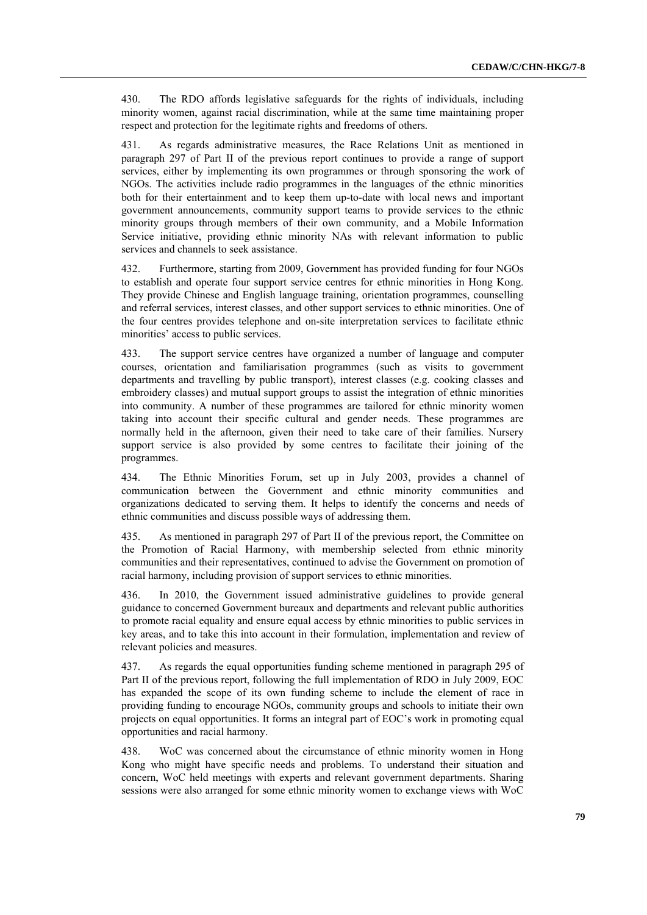430. The RDO affords legislative safeguards for the rights of individuals, including minority women, against racial discrimination, while at the same time maintaining proper respect and protection for the legitimate rights and freedoms of others.

431. As regards administrative measures, the Race Relations Unit as mentioned in paragraph 297 of Part II of the previous report continues to provide a range of support services, either by implementing its own programmes or through sponsoring the work of NGOs. The activities include radio programmes in the languages of the ethnic minorities both for their entertainment and to keep them up-to-date with local news and important government announcements, community support teams to provide services to the ethnic minority groups through members of their own community, and a Mobile Information Service initiative, providing ethnic minority NAs with relevant information to public services and channels to seek assistance.

432. Furthermore, starting from 2009, Government has provided funding for four NGOs to establish and operate four support service centres for ethnic minorities in Hong Kong. They provide Chinese and English language training, orientation programmes, counselling and referral services, interest classes, and other support services to ethnic minorities. One of the four centres provides telephone and on-site interpretation services to facilitate ethnic minorities' access to public services.

433. The support service centres have organized a number of language and computer courses, orientation and familiarisation programmes (such as visits to government departments and travelling by public transport), interest classes (e.g. cooking classes and embroidery classes) and mutual support groups to assist the integration of ethnic minorities into community. A number of these programmes are tailored for ethnic minority women taking into account their specific cultural and gender needs. These programmes are normally held in the afternoon, given their need to take care of their families. Nursery support service is also provided by some centres to facilitate their joining of the programmes.

434. The Ethnic Minorities Forum, set up in July 2003, provides a channel of communication between the Government and ethnic minority communities and organizations dedicated to serving them. It helps to identify the concerns and needs of ethnic communities and discuss possible ways of addressing them.

435. As mentioned in paragraph 297 of Part II of the previous report, the Committee on the Promotion of Racial Harmony, with membership selected from ethnic minority communities and their representatives, continued to advise the Government on promotion of racial harmony, including provision of support services to ethnic minorities.

436. In 2010, the Government issued administrative guidelines to provide general guidance to concerned Government bureaux and departments and relevant public authorities to promote racial equality and ensure equal access by ethnic minorities to public services in key areas, and to take this into account in their formulation, implementation and review of relevant policies and measures.

437. As regards the equal opportunities funding scheme mentioned in paragraph 295 of Part II of the previous report, following the full implementation of RDO in July 2009, EOC has expanded the scope of its own funding scheme to include the element of race in providing funding to encourage NGOs, community groups and schools to initiate their own projects on equal opportunities. It forms an integral part of EOC's work in promoting equal opportunities and racial harmony.

438. WoC was concerned about the circumstance of ethnic minority women in Hong Kong who might have specific needs and problems. To understand their situation and concern, WoC held meetings with experts and relevant government departments. Sharing sessions were also arranged for some ethnic minority women to exchange views with WoC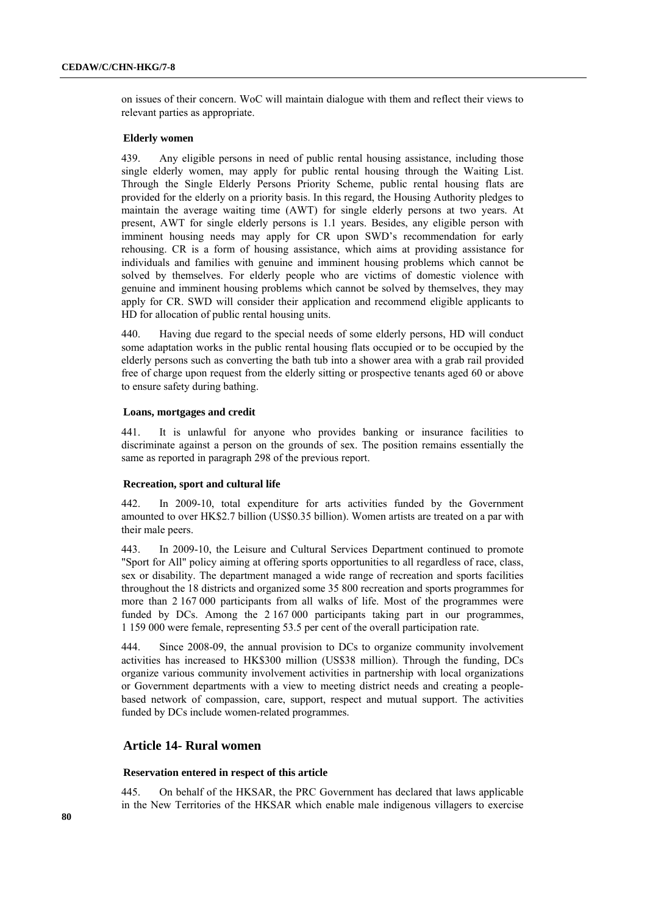on issues of their concern. WoC will maintain dialogue with them and reflect their views to relevant parties as appropriate.

## **Elderly women**

439. Any eligible persons in need of public rental housing assistance, including those single elderly women, may apply for public rental housing through the Waiting List. Through the Single Elderly Persons Priority Scheme, public rental housing flats are provided for the elderly on a priority basis. In this regard, the Housing Authority pledges to maintain the average waiting time (AWT) for single elderly persons at two years. At present, AWT for single elderly persons is 1.1 years. Besides, any eligible person with imminent housing needs may apply for CR upon SWD's recommendation for early rehousing. CR is a form of housing assistance, which aims at providing assistance for individuals and families with genuine and imminent housing problems which cannot be solved by themselves. For elderly people who are victims of domestic violence with genuine and imminent housing problems which cannot be solved by themselves, they may apply for CR. SWD will consider their application and recommend eligible applicants to HD for allocation of public rental housing units.

440. Having due regard to the special needs of some elderly persons, HD will conduct some adaptation works in the public rental housing flats occupied or to be occupied by the elderly persons such as converting the bath tub into a shower area with a grab rail provided free of charge upon request from the elderly sitting or prospective tenants aged 60 or above to ensure safety during bathing.

#### **Loans, mortgages and credit**

441. It is unlawful for anyone who provides banking or insurance facilities to discriminate against a person on the grounds of sex. The position remains essentially the same as reported in paragraph 298 of the previous report.

#### **Recreation, sport and cultural life**

442. In 2009-10, total expenditure for arts activities funded by the Government amounted to over HK\$2.7 billion (US\$0.35 billion). Women artists are treated on a par with their male peers.

443. In 2009-10, the Leisure and Cultural Services Department continued to promote "Sport for All" policy aiming at offering sports opportunities to all regardless of race, class, sex or disability. The department managed a wide range of recreation and sports facilities throughout the 18 districts and organized some 35 800 recreation and sports programmes for more than 2 167 000 participants from all walks of life. Most of the programmes were funded by DCs. Among the 2 167 000 participants taking part in our programmes, 1 159 000 were female, representing 53.5 per cent of the overall participation rate.

444. Since 2008-09, the annual provision to DCs to organize community involvement activities has increased to HK\$300 million (US\$38 million). Through the funding, DCs organize various community involvement activities in partnership with local organizations or Government departments with a view to meeting district needs and creating a peoplebased network of compassion, care, support, respect and mutual support. The activities funded by DCs include women-related programmes.

## **Article 14- Rural women**

#### **Reservation entered in respect of this article**

445. On behalf of the HKSAR, the PRC Government has declared that laws applicable in the New Territories of the HKSAR which enable male indigenous villagers to exercise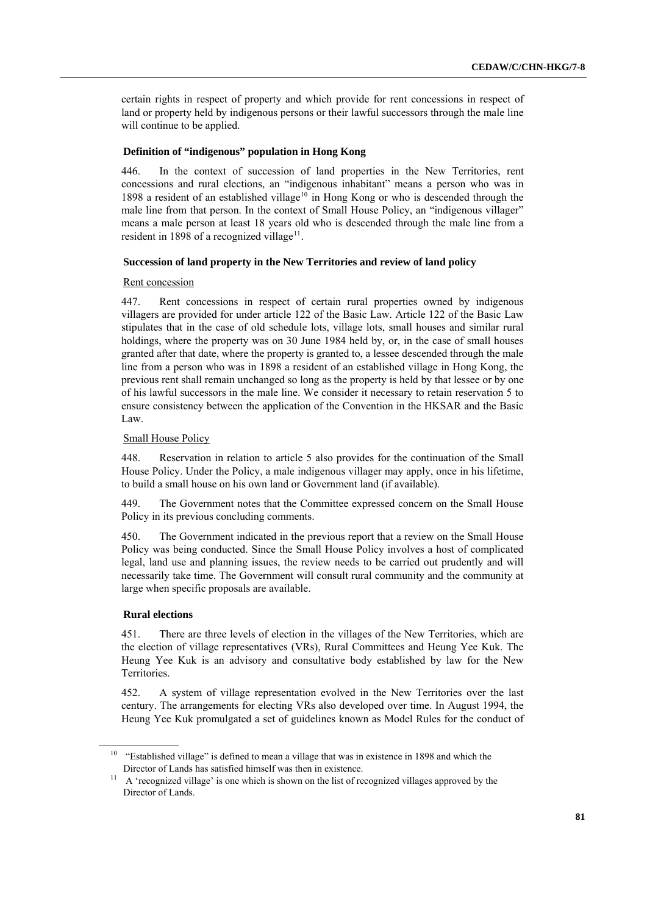certain rights in respect of property and which provide for rent concessions in respect of land or property held by indigenous persons or their lawful successors through the male line will continue to be applied.

## **Definition of "indigenous" population in Hong Kong**

446. In the context of succession of land properties in the New Territories, rent concessions and rural elections, an "indigenous inhabitant" means a person who was in 1898 a resident of an established village<sup>10</sup> in Hong Kong or who is descended through the male line from that person. In the context of Small House Policy, an "indigenous villager" means a male person at least 18 years old who is descended through the male line from a resident in 1898 of a recognized village $^{11}$ .

### **Succession of land property in the New Territories and review of land policy**

#### Rent concession

447. Rent concessions in respect of certain rural properties owned by indigenous villagers are provided for under article 122 of the Basic Law. Article 122 of the Basic Law stipulates that in the case of old schedule lots, village lots, small houses and similar rural holdings, where the property was on 30 June 1984 held by, or, in the case of small houses granted after that date, where the property is granted to, a lessee descended through the male line from a person who was in 1898 a resident of an established village in Hong Kong, the previous rent shall remain unchanged so long as the property is held by that lessee or by one of his lawful successors in the male line. We consider it necessary to retain reservation 5 to ensure consistency between the application of the Convention in the HKSAR and the Basic Law.

### Small House Policy

448. Reservation in relation to article 5 also provides for the continuation of the Small House Policy. Under the Policy, a male indigenous villager may apply, once in his lifetime, to build a small house on his own land or Government land (if available).

449. The Government notes that the Committee expressed concern on the Small House Policy in its previous concluding comments.

450. The Government indicated in the previous report that a review on the Small House Policy was being conducted. Since the Small House Policy involves a host of complicated legal, land use and planning issues, the review needs to be carried out prudently and will necessarily take time. The Government will consult rural community and the community at large when specific proposals are available.

## **Rural elections**

451. There are three levels of election in the villages of the New Territories, which are the election of village representatives (VRs), Rural Committees and Heung Yee Kuk. The Heung Yee Kuk is an advisory and consultative body established by law for the New Territories.

452. A system of village representation evolved in the New Territories over the last century. The arrangements for electing VRs also developed over time. In August 1994, the Heung Yee Kuk promulgated a set of guidelines known as Model Rules for the conduct of

 $10$  "Established village" is defined to mean a village that was in existence in 1898 and which the Director of Lands has satisfied himself was then in existence.

 $11$  A 'recognized village' is one which is shown on the list of recognized villages approved by the Director of Lands.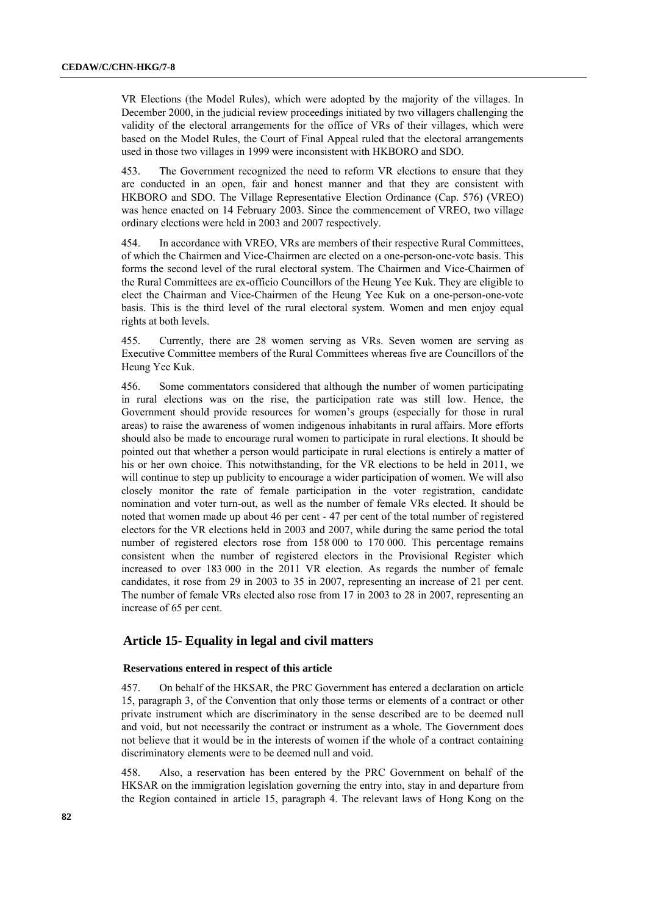VR Elections (the Model Rules), which were adopted by the majority of the villages. In December 2000, in the judicial review proceedings initiated by two villagers challenging the validity of the electoral arrangements for the office of VRs of their villages, which were based on the Model Rules, the Court of Final Appeal ruled that the electoral arrangements used in those two villages in 1999 were inconsistent with HKBORO and SDO.

453. The Government recognized the need to reform VR elections to ensure that they are conducted in an open, fair and honest manner and that they are consistent with HKBORO and SDO. The Village Representative Election Ordinance (Cap. 576) (VREO) was hence enacted on 14 February 2003. Since the commencement of VREO, two village ordinary elections were held in 2003 and 2007 respectively.

454. In accordance with VREO, VRs are members of their respective Rural Committees, of which the Chairmen and Vice-Chairmen are elected on a one-person-one-vote basis. This forms the second level of the rural electoral system. The Chairmen and Vice-Chairmen of the Rural Committees are ex-officio Councillors of the Heung Yee Kuk. They are eligible to elect the Chairman and Vice-Chairmen of the Heung Yee Kuk on a one-person-one-vote basis. This is the third level of the rural electoral system. Women and men enjoy equal rights at both levels.

455. Currently, there are 28 women serving as VRs. Seven women are serving as Executive Committee members of the Rural Committees whereas five are Councillors of the Heung Yee Kuk.

456. Some commentators considered that although the number of women participating in rural elections was on the rise, the participation rate was still low. Hence, the Government should provide resources for women's groups (especially for those in rural areas) to raise the awareness of women indigenous inhabitants in rural affairs. More efforts should also be made to encourage rural women to participate in rural elections. It should be pointed out that whether a person would participate in rural elections is entirely a matter of his or her own choice. This notwithstanding, for the VR elections to be held in 2011, we will continue to step up publicity to encourage a wider participation of women. We will also closely monitor the rate of female participation in the voter registration, candidate nomination and voter turn-out, as well as the number of female VRs elected. It should be noted that women made up about 46 per cent - 47 per cent of the total number of registered electors for the VR elections held in 2003 and 2007, while during the same period the total number of registered electors rose from 158 000 to 170 000. This percentage remains consistent when the number of registered electors in the Provisional Register which increased to over 183 000 in the 2011 VR election. As regards the number of female candidates, it rose from 29 in 2003 to 35 in 2007, representing an increase of 21 per cent. The number of female VRs elected also rose from 17 in 2003 to 28 in 2007, representing an increase of 65 per cent.

# **Article 15- Equality in legal and civil matters**

### **Reservations entered in respect of this article**

457. On behalf of the HKSAR, the PRC Government has entered a declaration on article 15, paragraph 3, of the Convention that only those terms or elements of a contract or other private instrument which are discriminatory in the sense described are to be deemed null and void, but not necessarily the contract or instrument as a whole. The Government does not believe that it would be in the interests of women if the whole of a contract containing discriminatory elements were to be deemed null and void.

458. Also, a reservation has been entered by the PRC Government on behalf of the HKSAR on the immigration legislation governing the entry into, stay in and departure from the Region contained in article 15, paragraph 4. The relevant laws of Hong Kong on the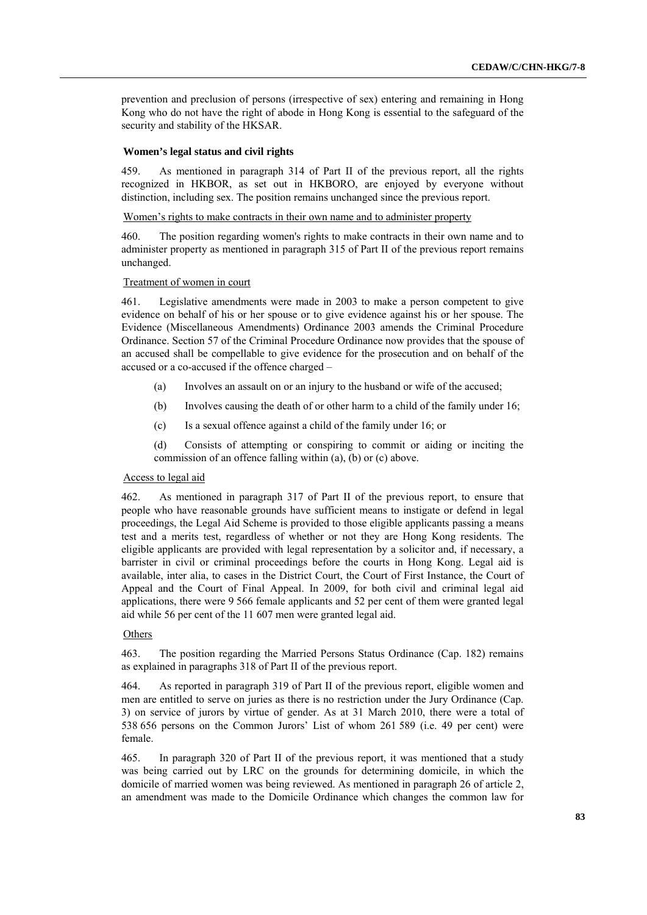prevention and preclusion of persons (irrespective of sex) entering and remaining in Hong Kong who do not have the right of abode in Hong Kong is essential to the safeguard of the security and stability of the HKSAR.

### **Women's legal status and civil rights**

459. As mentioned in paragraph 314 of Part II of the previous report, all the rights recognized in HKBOR, as set out in HKBORO, are enjoyed by everyone without distinction, including sex. The position remains unchanged since the previous report.

Women's rights to make contracts in their own name and to administer property

460. The position regarding women's rights to make contracts in their own name and to administer property as mentioned in paragraph 315 of Part II of the previous report remains unchanged.

## Treatment of women in court

461. Legislative amendments were made in 2003 to make a person competent to give evidence on behalf of his or her spouse or to give evidence against his or her spouse. The Evidence (Miscellaneous Amendments) Ordinance 2003 amends the Criminal Procedure Ordinance. Section 57 of the Criminal Procedure Ordinance now provides that the spouse of an accused shall be compellable to give evidence for the prosecution and on behalf of the accused or a co-accused if the offence charged –

- (a) Involves an assault on or an injury to the husband or wife of the accused;
- (b) Involves causing the death of or other harm to a child of the family under 16;
- (c) Is a sexual offence against a child of the family under 16; or

(d) Consists of attempting or conspiring to commit or aiding or inciting the commission of an offence falling within (a), (b) or (c) above.

## Access to legal aid

462. As mentioned in paragraph 317 of Part II of the previous report, to ensure that people who have reasonable grounds have sufficient means to instigate or defend in legal proceedings, the Legal Aid Scheme is provided to those eligible applicants passing a means test and a merits test, regardless of whether or not they are Hong Kong residents. The eligible applicants are provided with legal representation by a solicitor and, if necessary, a barrister in civil or criminal proceedings before the courts in Hong Kong. Legal aid is available, inter alia, to cases in the District Court, the Court of First Instance, the Court of Appeal and the Court of Final Appeal. In 2009, for both civil and criminal legal aid applications, there were 9 566 female applicants and 52 per cent of them were granted legal aid while 56 per cent of the 11 607 men were granted legal aid.

## **Others**

463. The position regarding the Married Persons Status Ordinance (Cap. 182) remains as explained in paragraphs 318 of Part II of the previous report.

464. As reported in paragraph 319 of Part II of the previous report, eligible women and men are entitled to serve on juries as there is no restriction under the Jury Ordinance (Cap. 3) on service of jurors by virtue of gender. As at 31 March 2010, there were a total of 538 656 persons on the Common Jurors' List of whom 261 589 (i.e. 49 per cent) were female.

465. In paragraph 320 of Part II of the previous report, it was mentioned that a study was being carried out by LRC on the grounds for determining domicile, in which the domicile of married women was being reviewed. As mentioned in paragraph 26 of article 2, an amendment was made to the Domicile Ordinance which changes the common law for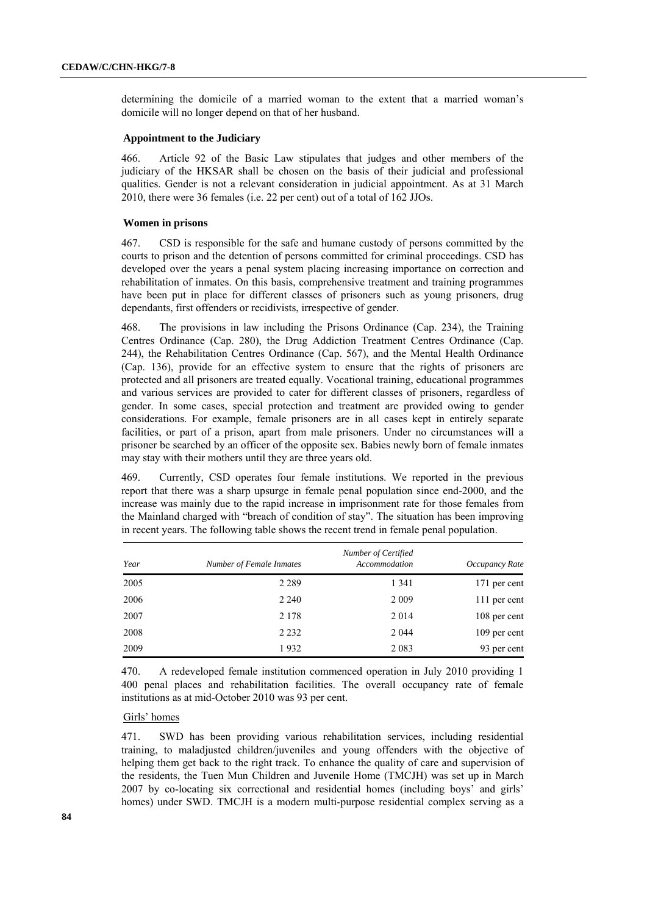determining the domicile of a married woman to the extent that a married woman's domicile will no longer depend on that of her husband.

## **Appointment to the Judiciary**

466. Article 92 of the Basic Law stipulates that judges and other members of the judiciary of the HKSAR shall be chosen on the basis of their judicial and professional qualities. Gender is not a relevant consideration in judicial appointment. As at 31 March 2010, there were 36 females (i.e. 22 per cent) out of a total of 162 JJOs.

#### **Women in prisons**

467. CSD is responsible for the safe and humane custody of persons committed by the courts to prison and the detention of persons committed for criminal proceedings. CSD has developed over the years a penal system placing increasing importance on correction and rehabilitation of inmates. On this basis, comprehensive treatment and training programmes have been put in place for different classes of prisoners such as young prisoners, drug dependants, first offenders or recidivists, irrespective of gender.

468. The provisions in law including the Prisons Ordinance (Cap. 234), the Training Centres Ordinance (Cap. 280), the Drug Addiction Treatment Centres Ordinance (Cap. 244), the Rehabilitation Centres Ordinance (Cap. 567), and the Mental Health Ordinance (Cap. 136), provide for an effective system to ensure that the rights of prisoners are protected and all prisoners are treated equally. Vocational training, educational programmes and various services are provided to cater for different classes of prisoners, regardless of gender. In some cases, special protection and treatment are provided owing to gender considerations. For example, female prisoners are in all cases kept in entirely separate facilities, or part of a prison, apart from male prisoners. Under no circumstances will a prisoner be searched by an officer of the opposite sex. Babies newly born of female inmates may stay with their mothers until they are three years old.

469. Currently, CSD operates four female institutions. We reported in the previous report that there was a sharp upsurge in female penal population since end-2000, and the increase was mainly due to the rapid increase in imprisonment rate for those females from the Mainland charged with "breach of condition of stay". The situation has been improving in recent years. The following table shows the recent trend in female penal population.

| Year | Number of Female Inmates | Number of Certified<br>Accommodation | Occupancy Rate |
|------|--------------------------|--------------------------------------|----------------|
| 2005 | 2 2 8 9                  | 1 3 4 1                              | 171 per cent   |
| 2006 | 2 2 4 0                  | 2 0 0 9                              | 111 per cent   |
| 2007 | 2 1 7 8                  | 2014                                 | 108 per cent   |
| 2008 | 2 2 3 2                  | 2 0 4 4                              | 109 per cent   |
| 2009 | 1932                     | 2 0 8 3                              | 93 per cent    |

470. A redeveloped female institution commenced operation in July 2010 providing 1 400 penal places and rehabilitation facilities. The overall occupancy rate of female institutions as at mid-October 2010 was 93 per cent.

### Girls' homes

471. SWD has been providing various rehabilitation services, including residential training, to maladjusted children/juveniles and young offenders with the objective of helping them get back to the right track. To enhance the quality of care and supervision of the residents, the Tuen Mun Children and Juvenile Home (TMCJH) was set up in March 2007 by co-locating six correctional and residential homes (including boys' and girls' homes) under SWD. TMCJH is a modern multi-purpose residential complex serving as a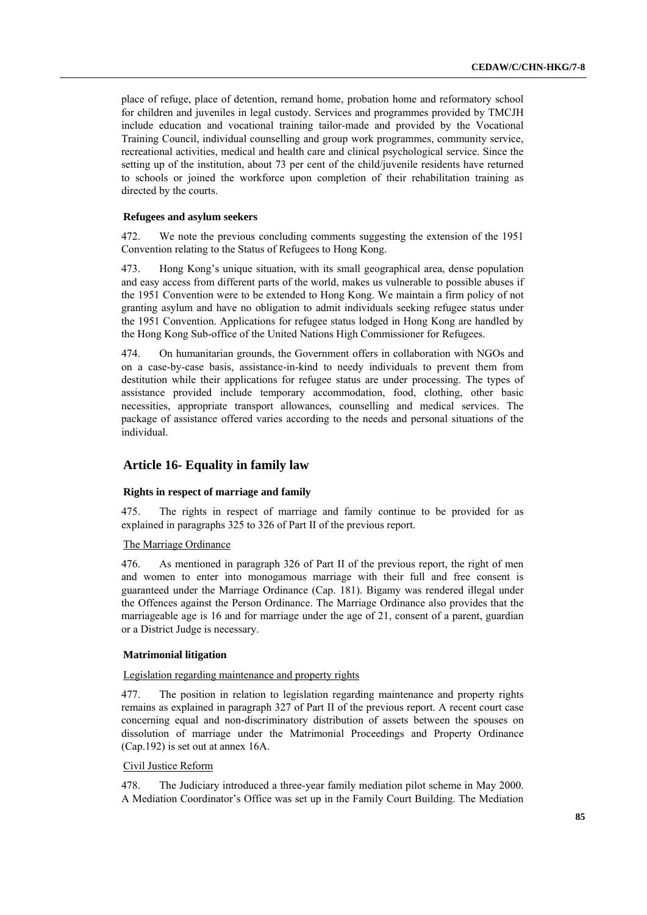place of refuge, place of detention, remand home, probation home and reformatory school for children and juveniles in legal custody. Services and programmes provided by TMCJH include education and vocational training tailor-made and provided by the Vocational Training Council, individual counselling and group work programmes, community service, recreational activities, medical and health care and clinical psychological service. Since the setting up of the institution, about 73 per cent of the child/juvenile residents have returned to schools or joined the workforce upon completion of their rehabilitation training as directed by the courts.

### **Refugees and asylum seekers**

472. We note the previous concluding comments suggesting the extension of the 1951 Convention relating to the Status of Refugees to Hong Kong.

473. Hong Kong's unique situation, with its small geographical area, dense population and easy access from different parts of the world, makes us vulnerable to possible abuses if the 1951 Convention were to be extended to Hong Kong. We maintain a firm policy of not granting asylum and have no obligation to admit individuals seeking refugee status under the 1951 Convention. Applications for refugee status lodged in Hong Kong are handled by the Hong Kong Sub-office of the United Nations High Commissioner for Refugees.

474. On humanitarian grounds, the Government offers in collaboration with NGOs and on a case-by-case basis, assistance-in-kind to needy individuals to prevent them from destitution while their applications for refugee status are under processing. The types of assistance provided include temporary accommodation, food, clothing, other basic necessities, appropriate transport allowances, counselling and medical services. The package of assistance offered varies according to the needs and personal situations of the individual.

# **Article 16- Equality in family law**

## **Rights in respect of marriage and family**

475. The rights in respect of marriage and family continue to be provided for as explained in paragraphs 325 to 326 of Part II of the previous report.

## The Marriage Ordinance

476. As mentioned in paragraph 326 of Part II of the previous report, the right of men and women to enter into monogamous marriage with their full and free consent is guaranteed under the Marriage Ordinance (Cap. 181). Bigamy was rendered illegal under the Offences against the Person Ordinance. The Marriage Ordinance also provides that the marriageable age is 16 and for marriage under the age of 21, consent of a parent, guardian or a District Judge is necessary.

## **Matrimonial litigation**

## Legislation regarding maintenance and property rights

477. The position in relation to legislation regarding maintenance and property rights remains as explained in paragraph 327 of Part II of the previous report. A recent court case concerning equal and non-discriminatory distribution of assets between the spouses on dissolution of marriage under the Matrimonial Proceedings and Property Ordinance (Cap.192) is set out at annex 16A.

## Civil Justice Reform

478. The Judiciary introduced a three-year family mediation pilot scheme in May 2000. A Mediation Coordinator's Office was set up in the Family Court Building. The Mediation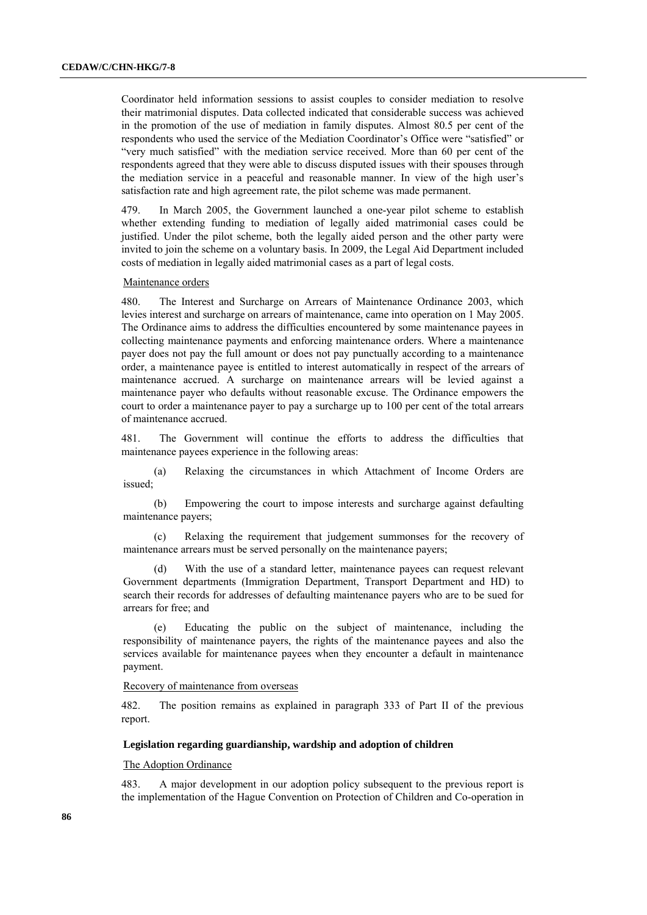Coordinator held information sessions to assist couples to consider mediation to resolve their matrimonial disputes. Data collected indicated that considerable success was achieved in the promotion of the use of mediation in family disputes. Almost 80.5 per cent of the respondents who used the service of the Mediation Coordinator's Office were "satisfied" or "very much satisfied" with the mediation service received. More than 60 per cent of the respondents agreed that they were able to discuss disputed issues with their spouses through the mediation service in a peaceful and reasonable manner. In view of the high user's satisfaction rate and high agreement rate, the pilot scheme was made permanent.

479. In March 2005, the Government launched a one-year pilot scheme to establish whether extending funding to mediation of legally aided matrimonial cases could be justified. Under the pilot scheme, both the legally aided person and the other party were invited to join the scheme on a voluntary basis. In 2009, the Legal Aid Department included costs of mediation in legally aided matrimonial cases as a part of legal costs.

#### Maintenance orders

480. The Interest and Surcharge on Arrears of Maintenance Ordinance 2003, which levies interest and surcharge on arrears of maintenance, came into operation on 1 May 2005. The Ordinance aims to address the difficulties encountered by some maintenance payees in collecting maintenance payments and enforcing maintenance orders. Where a maintenance payer does not pay the full amount or does not pay punctually according to a maintenance order, a maintenance payee is entitled to interest automatically in respect of the arrears of maintenance accrued. A surcharge on maintenance arrears will be levied against a maintenance payer who defaults without reasonable excuse. The Ordinance empowers the court to order a maintenance payer to pay a surcharge up to 100 per cent of the total arrears of maintenance accrued.

481. The Government will continue the efforts to address the difficulties that maintenance payees experience in the following areas:

(a) Relaxing the circumstances in which Attachment of Income Orders are issued;

(b) Empowering the court to impose interests and surcharge against defaulting maintenance payers;

(c) Relaxing the requirement that judgement summonses for the recovery of maintenance arrears must be served personally on the maintenance payers;

(d) With the use of a standard letter, maintenance payees can request relevant Government departments (Immigration Department, Transport Department and HD) to search their records for addresses of defaulting maintenance payers who are to be sued for arrears for free; and

(e) Educating the public on the subject of maintenance, including the responsibility of maintenance payers, the rights of the maintenance payees and also the services available for maintenance payees when they encounter a default in maintenance payment.

## Recovery of maintenance from overseas

482. The position remains as explained in paragraph 333 of Part II of the previous report.

### **Legislation regarding guardianship, wardship and adoption of children**

### The Adoption Ordinance

483. A major development in our adoption policy subsequent to the previous report is the implementation of the Hague Convention on Protection of Children and Co-operation in